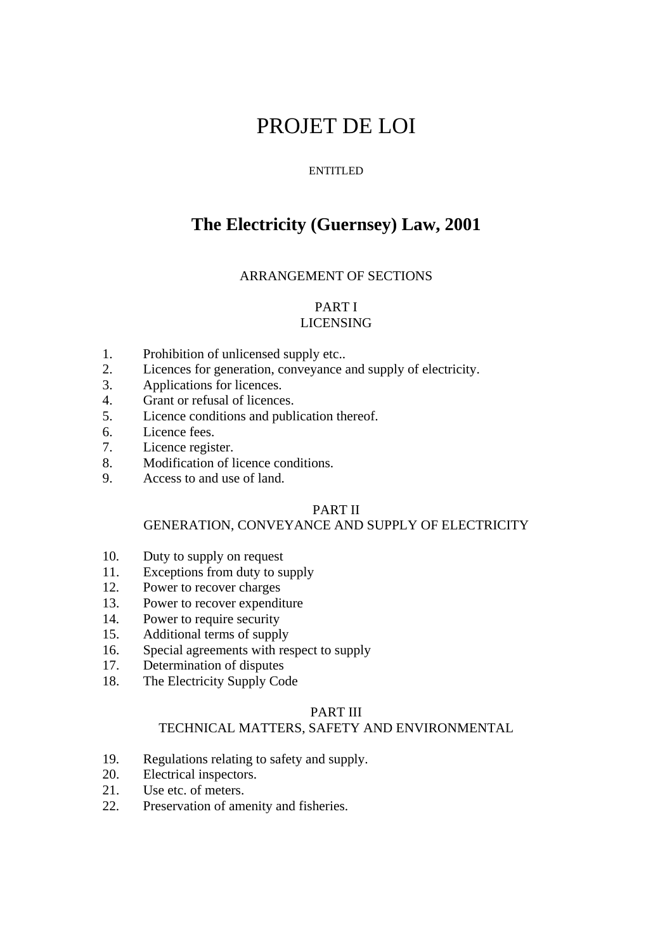# PROJET DE LOI

## ENTITLED

# **The Electricity (Guernsey) Law, 2001**

## ARRANGEMENT OF SECTIONS

## PART I

## LICENSING

- 1. Prohibition of unlicensed supply etc..
- 2. Licences for generation, conveyance and supply of electricity.
- 3. Applications for licences.
- 4. Grant or refusal of licences.
- 5. Licence conditions and publication thereof.
- 6. Licence fees.
- 7. Licence register.
- 8. Modification of licence conditions.
- 9. Access to and use of land.

## PART II

## GENERATION, CONVEYANCE AND SUPPLY OF ELECTRICITY

- 10. Duty to supply on request
- 11. Exceptions from duty to supply
- 12. Power to recover charges
- 13. Power to recover expenditure
- 14. Power to require security
- 15. Additional terms of supply
- 16. Special agreements with respect to supply
- 17. Determination of disputes
- 18. The Electricity Supply Code

## PART III

## TECHNICAL MATTERS, SAFETY AND ENVIRONMENTAL

- 19. Regulations relating to safety and supply.
- 20. Electrical inspectors.
- 21. Use etc. of meters.
- 22. Preservation of amenity and fisheries.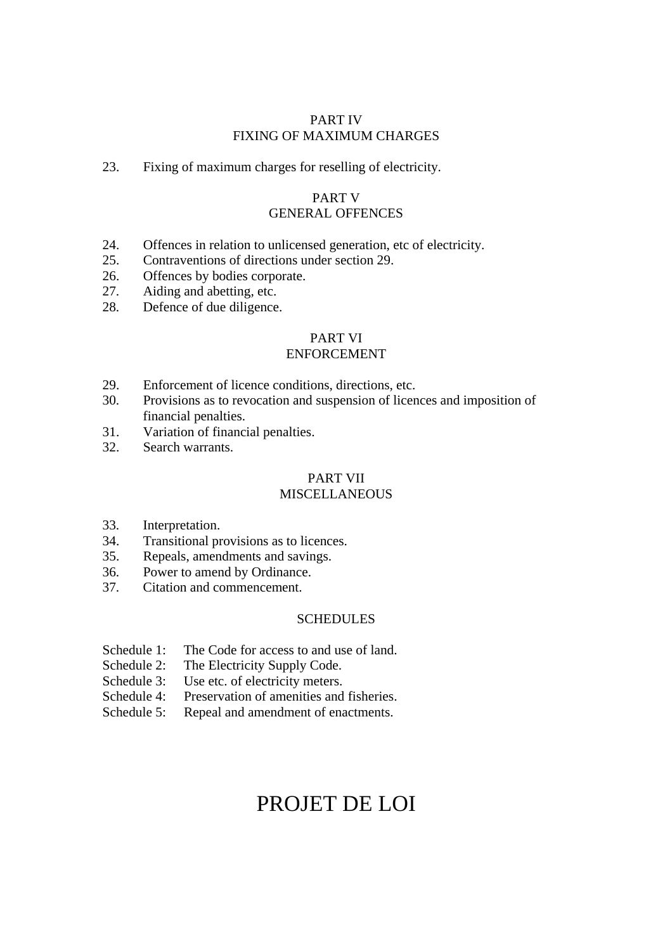## PART IV FIXING OF MAXIMUM CHARGES

23. Fixing of maximum charges for reselling of electricity.

## PART V

#### GENERAL OFFENCES

- 24. Offences in relation to unlicensed generation, etc of electricity.
- 25. Contraventions of directions under section 29.
- 26. Offences by bodies corporate.
- 27. Aiding and abetting, etc.
- 28. Defence of due diligence.

### PART VI

#### ENFORCEMENT

- 29. Enforcement of licence conditions, directions, etc.
- 30. Provisions as to revocation and suspension of licences and imposition of financial penalties.
- 31. Variation of financial penalties.
- 32. Search warrants.

## PART VII

## **MISCELLANEOUS**

- 33. Interpretation.
- 34. Transitional provisions as to licences.
- 35. Repeals, amendments and savings.
- 36. Power to amend by Ordinance.
- 37. Citation and commencement.

#### **SCHEDULES**

- Schedule 1: The Code for access to and use of land.
- Schedule 2: The Electricity Supply Code.
- Schedule 3: Use etc. of electricity meters.
- Schedule 4: Preservation of amenities and fisheries.
- Schedule 5: Repeal and amendment of enactments.

# PROJET DE LOI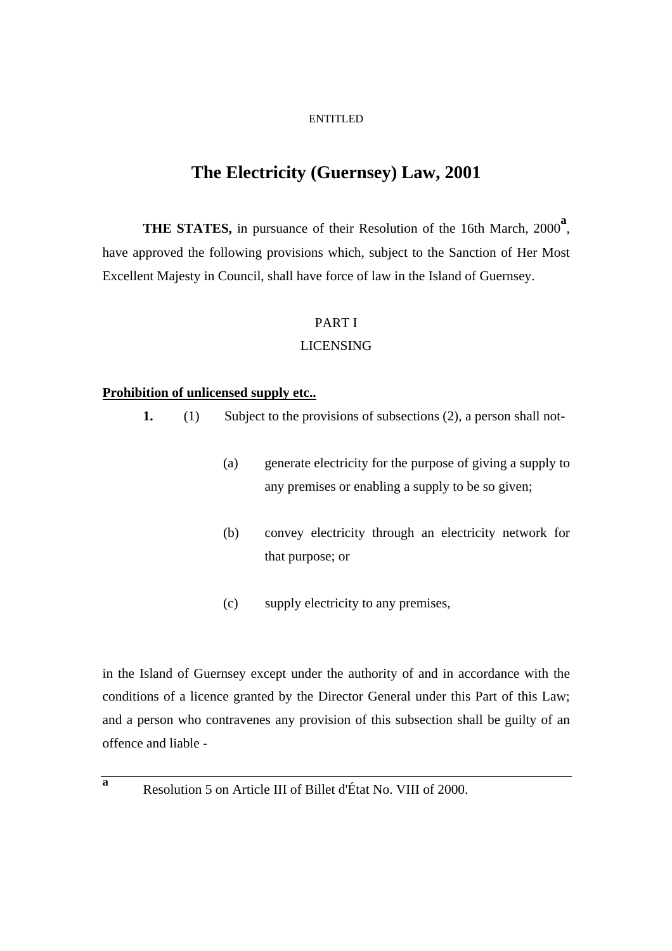#### ENTITLED

## **The Electricity (Guernsey) Law, 2001**

**THE STATES,** in pursuance of their Resolution of the 16th March, 2000<sup>a</sup>, have approved the following provisions which, subject to the Sanction of Her Most Excellent Majesty in Council, shall have force of law in the Island of Guernsey.

## PART I

#### LICENSING

## **Prohibition of unlicensed supply etc..**

- **1.** (1) Subject to the provisions of subsections (2), a person shall not-
	- (a) generate electricity for the purpose of giving a supply to any premises or enabling a supply to be so given;
	- (b) convey electricity through an electricity network for that purpose; or
	- (c) supply electricity to any premises,

in the Island of Guernsey except under the authority of and in accordance with the conditions of a licence granted by the Director General under this Part of this Law; and a person who contravenes any provision of this subsection shall be guilty of an offence and liable -

**a**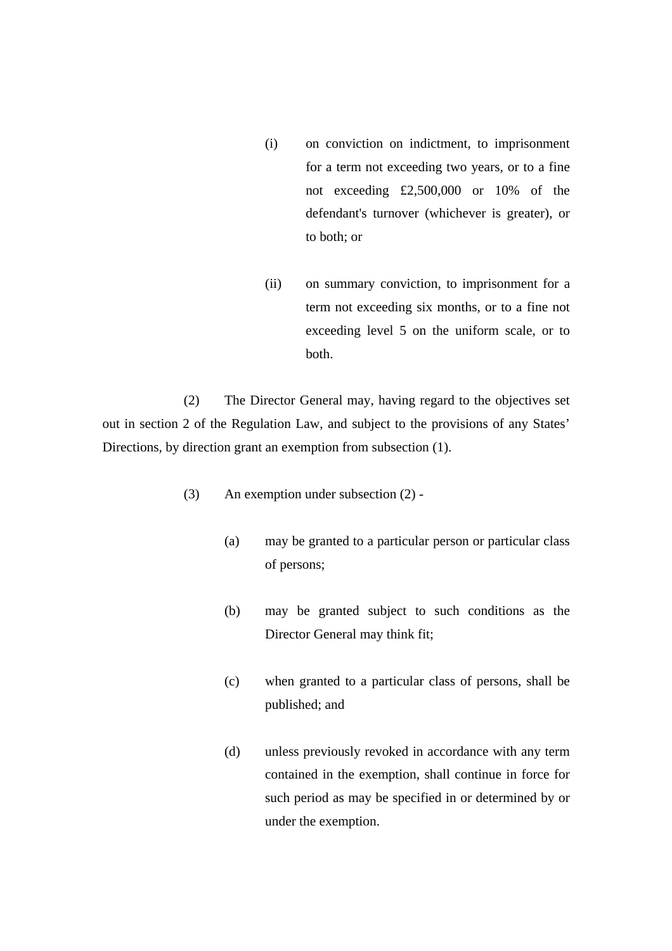- (i) on conviction on indictment, to imprisonment for a term not exceeding two years, or to a fine not exceeding £2,500,000 or 10% of the defendant's turnover (whichever is greater), or to both; or
- (ii) on summary conviction, to imprisonment for a term not exceeding six months, or to a fine not exceeding level 5 on the uniform scale, or to both.

 (2) The Director General may, having regard to the objectives set out in section 2 of the Regulation Law, and subject to the provisions of any States' Directions, by direction grant an exemption from subsection (1).

- (3) An exemption under subsection (2)
	- (a) may be granted to a particular person or particular class of persons;
	- (b) may be granted subject to such conditions as the Director General may think fit;
	- (c) when granted to a particular class of persons, shall be published; and
	- (d) unless previously revoked in accordance with any term contained in the exemption, shall continue in force for such period as may be specified in or determined by or under the exemption.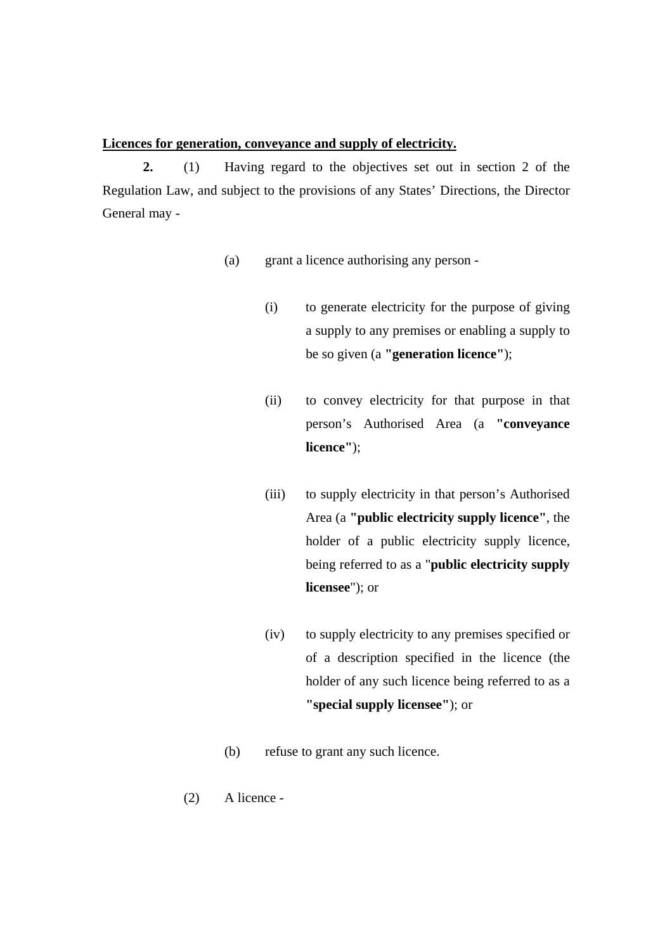## **Licences for generation, conveyance and supply of electricity.**

**2.** (1) Having regard to the objectives set out in section 2 of the Regulation Law, and subject to the provisions of any States' Directions, the Director General may -

- (a) grant a licence authorising any person
	- (i) to generate electricity for the purpose of giving a supply to any premises or enabling a supply to be so given (a **"generation licence"**);
	- (ii) to convey electricity for that purpose in that person's Authorised Area (a **"conveyance licence"**);
	- (iii) to supply electricity in that person's Authorised Area (a **"public electricity supply licence"**, the holder of a public electricity supply licence, being referred to as a "**public electricity supply licensee**"); or
	- (iv) to supply electricity to any premises specified or of a description specified in the licence (the holder of any such licence being referred to as a **"special supply licensee"**); or
- (b) refuse to grant any such licence.
- (2) A licence -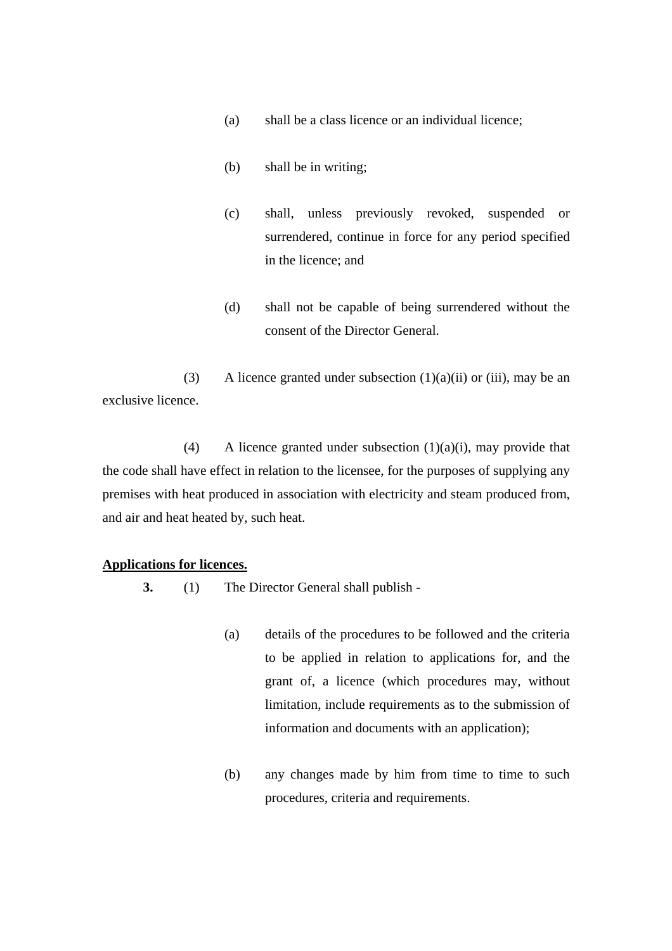- (a) shall be a class licence or an individual licence;
- (b) shall be in writing;
- (c) shall, unless previously revoked, suspended or surrendered, continue in force for any period specified in the licence; and
- (d) shall not be capable of being surrendered without the consent of the Director General.

(3) A licence granted under subsection  $(1)(a)(ii)$  or (iii), may be an exclusive licence.

(4) A licence granted under subsection  $(1)(a)(i)$ , may provide that the code shall have effect in relation to the licensee, for the purposes of supplying any premises with heat produced in association with electricity and steam produced from, and air and heat heated by, such heat.

## **Applications for licences.**

**3.** (1) The Director General shall publish -

- (a) details of the procedures to be followed and the criteria to be applied in relation to applications for, and the grant of, a licence (which procedures may, without limitation, include requirements as to the submission of information and documents with an application);
- (b) any changes made by him from time to time to such procedures, criteria and requirements.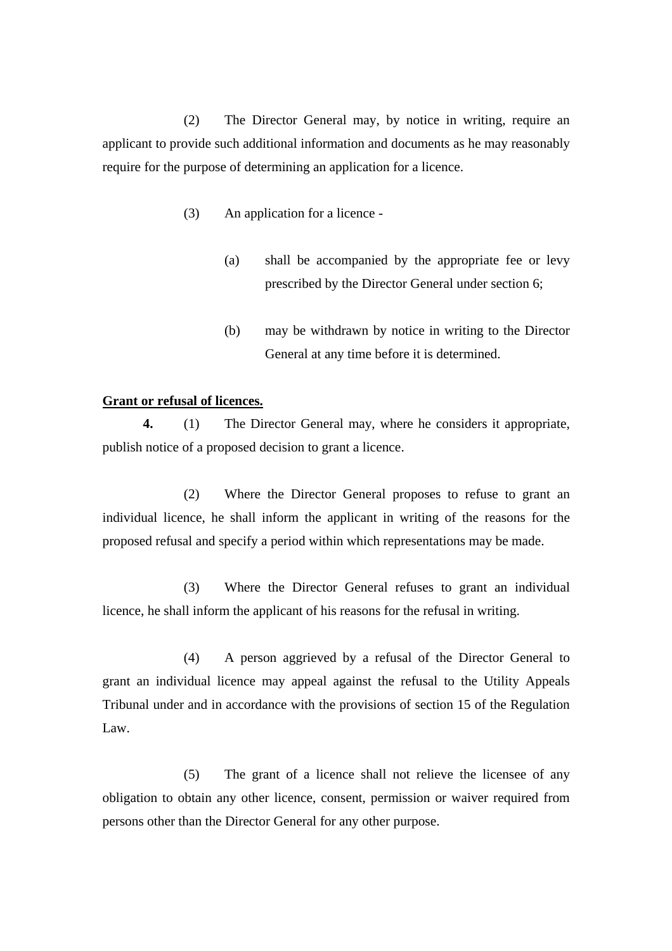(2) The Director General may, by notice in writing, require an applicant to provide such additional information and documents as he may reasonably require for the purpose of determining an application for a licence.

- (3) An application for a licence
	- (a) shall be accompanied by the appropriate fee or levy prescribed by the Director General under section 6;
	- (b) may be withdrawn by notice in writing to the Director General at any time before it is determined.

## **Grant or refusal of licences.**

**4.** (1) The Director General may, where he considers it appropriate, publish notice of a proposed decision to grant a licence.

 (2) Where the Director General proposes to refuse to grant an individual licence, he shall inform the applicant in writing of the reasons for the proposed refusal and specify a period within which representations may be made.

 (3) Where the Director General refuses to grant an individual licence, he shall inform the applicant of his reasons for the refusal in writing.

 (4) A person aggrieved by a refusal of the Director General to grant an individual licence may appeal against the refusal to the Utility Appeals Tribunal under and in accordance with the provisions of section 15 of the Regulation Law.

 (5) The grant of a licence shall not relieve the licensee of any obligation to obtain any other licence, consent, permission or waiver required from persons other than the Director General for any other purpose.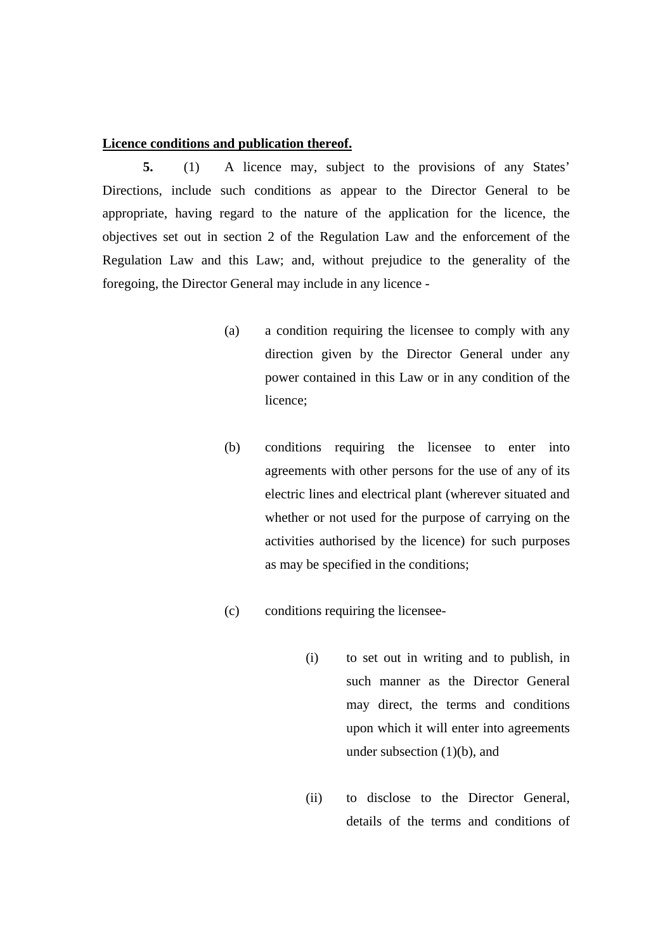## **Licence conditions and publication thereof.**

**5.** (1) A licence may, subject to the provisions of any States' Directions, include such conditions as appear to the Director General to be appropriate, having regard to the nature of the application for the licence, the objectives set out in section 2 of the Regulation Law and the enforcement of the Regulation Law and this Law; and, without prejudice to the generality of the foregoing, the Director General may include in any licence -

- (a) a condition requiring the licensee to comply with any direction given by the Director General under any power contained in this Law or in any condition of the licence;
- (b) conditions requiring the licensee to enter into agreements with other persons for the use of any of its electric lines and electrical plant (wherever situated and whether or not used for the purpose of carrying on the activities authorised by the licence) for such purposes as may be specified in the conditions;
- (c) conditions requiring the licensee-
	- (i) to set out in writing and to publish, in such manner as the Director General may direct, the terms and conditions upon which it will enter into agreements under subsection (1)(b), and
	- (ii) to disclose to the Director General, details of the terms and conditions of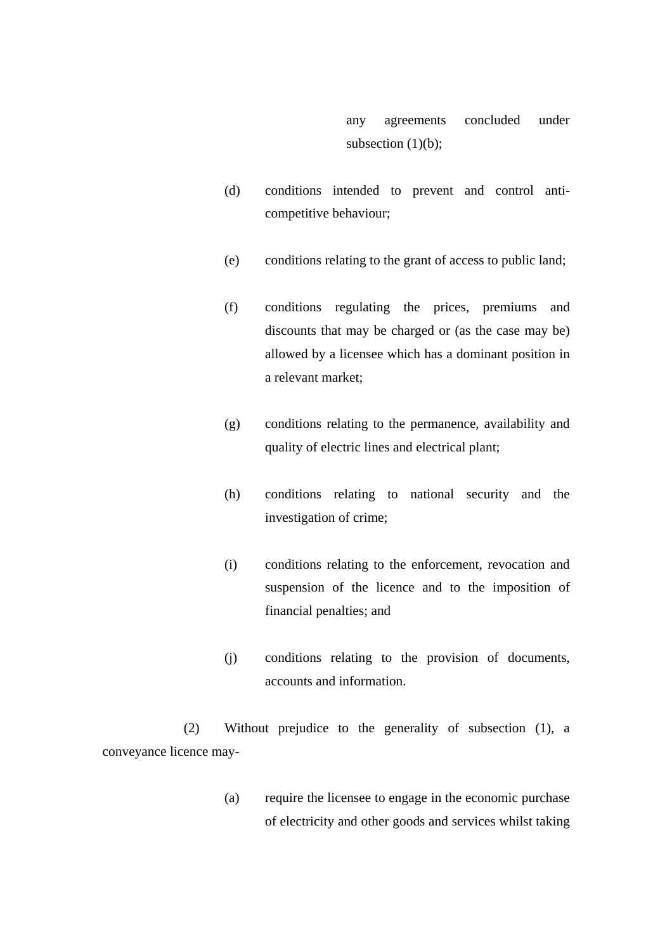any agreements concluded under subsection  $(1)(b)$ ;

- (d) conditions intended to prevent and control anticompetitive behaviour;
- (e) conditions relating to the grant of access to public land;
- (f) conditions regulating the prices, premiums and discounts that may be charged or (as the case may be) allowed by a licensee which has a dominant position in a relevant market;
- (g) conditions relating to the permanence, availability and quality of electric lines and electrical plant;
- (h) conditions relating to national security and the investigation of crime;
- (i) conditions relating to the enforcement, revocation and suspension of the licence and to the imposition of financial penalties; and
- (j) conditions relating to the provision of documents, accounts and information.

(2) Without prejudice to the generality of subsection (1), a conveyance licence may-

> (a) require the licensee to engage in the economic purchase of electricity and other goods and services whilst taking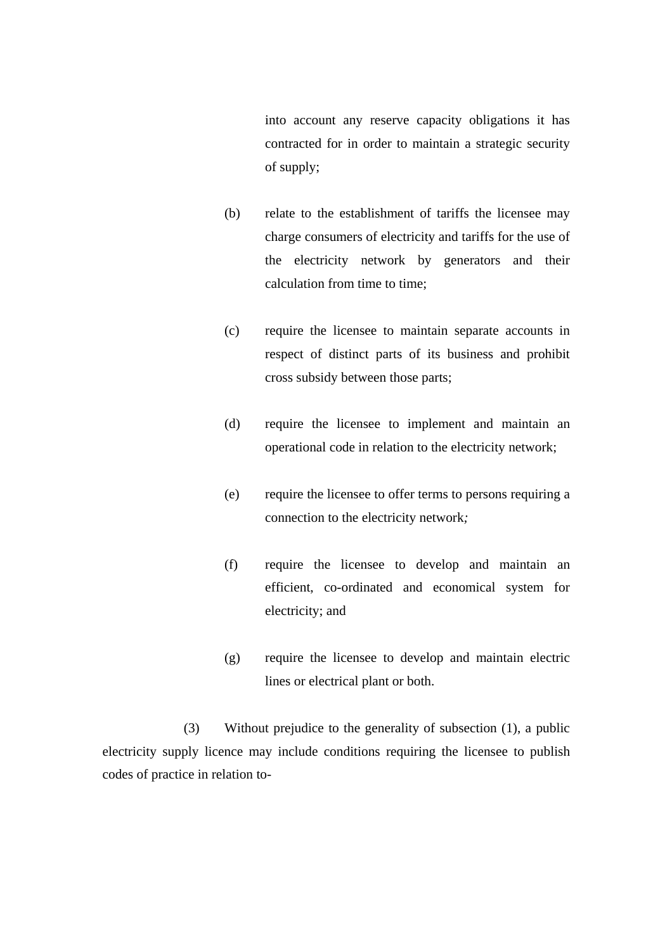into account any reserve capacity obligations it has contracted for in order to maintain a strategic security of supply;

- (b) relate to the establishment of tariffs the licensee may charge consumers of electricity and tariffs for the use of the electricity network by generators and their calculation from time to time;
- (c) require the licensee to maintain separate accounts in respect of distinct parts of its business and prohibit cross subsidy between those parts;
- (d) require the licensee to implement and maintain an operational code in relation to the electricity network;
- (e) require the licensee to offer terms to persons requiring a connection to the electricity network*;*
- (f) require the licensee to develop and maintain an efficient, co-ordinated and economical system for electricity; and
- (g) require the licensee to develop and maintain electric lines or electrical plant or both.

(3) Without prejudice to the generality of subsection (1), a public electricity supply licence may include conditions requiring the licensee to publish codes of practice in relation to-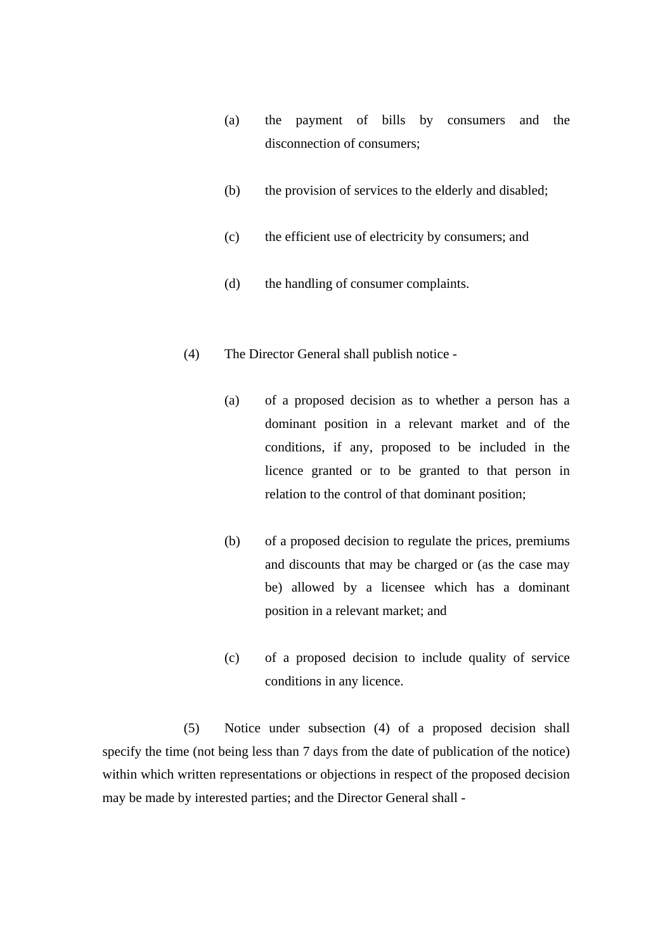- (a) the payment of bills by consumers and the disconnection of consumers;
- (b) the provision of services to the elderly and disabled;
- (c) the efficient use of electricity by consumers; and
- (d) the handling of consumer complaints.
- (4) The Director General shall publish notice
	- (a) of a proposed decision as to whether a person has a dominant position in a relevant market and of the conditions, if any, proposed to be included in the licence granted or to be granted to that person in relation to the control of that dominant position;
	- (b) of a proposed decision to regulate the prices, premiums and discounts that may be charged or (as the case may be) allowed by a licensee which has a dominant position in a relevant market; and
	- (c) of a proposed decision to include quality of service conditions in any licence.

(5) Notice under subsection (4) of a proposed decision shall specify the time (not being less than 7 days from the date of publication of the notice) within which written representations or objections in respect of the proposed decision may be made by interested parties; and the Director General shall -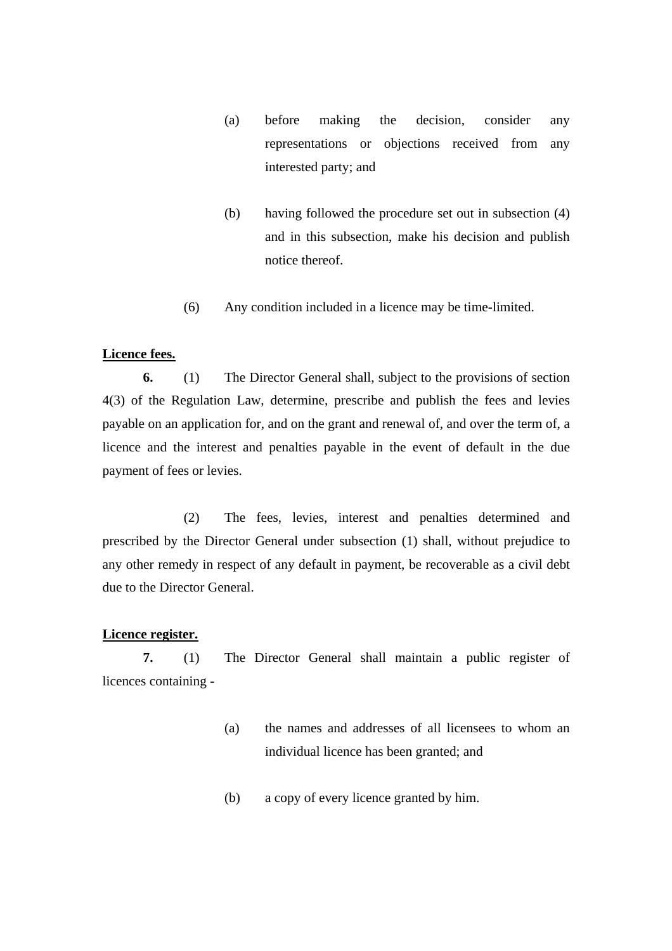- (a) before making the decision, consider any representations or objections received from any interested party; and
- (b) having followed the procedure set out in subsection (4) and in this subsection, make his decision and publish notice thereof.
- (6) Any condition included in a licence may be time-limited.

## **Licence fees.**

**6.** (1) The Director General shall, subject to the provisions of section 4(3) of the Regulation Law, determine, prescribe and publish the fees and levies payable on an application for, and on the grant and renewal of, and over the term of, a licence and the interest and penalties payable in the event of default in the due payment of fees or levies.

 (2) The fees, levies, interest and penalties determined and prescribed by the Director General under subsection (1) shall, without prejudice to any other remedy in respect of any default in payment, be recoverable as a civil debt due to the Director General.

## **Licence register.**

**7.** (1) The Director General shall maintain a public register of licences containing -

- (a) the names and addresses of all licensees to whom an individual licence has been granted; and
- (b) a copy of every licence granted by him.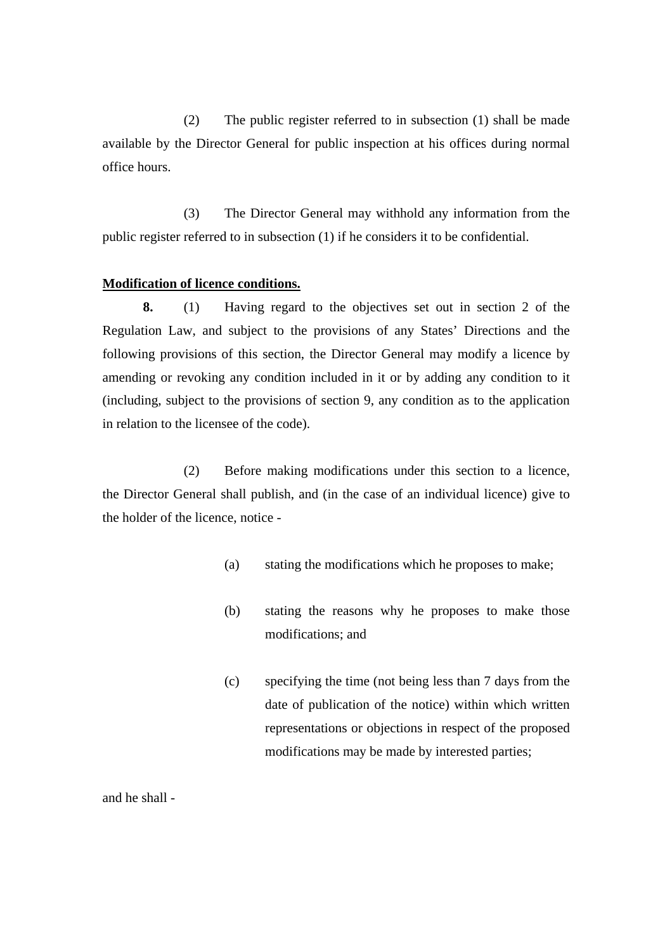(2) The public register referred to in subsection (1) shall be made available by the Director General for public inspection at his offices during normal office hours.

 (3) The Director General may withhold any information from the public register referred to in subsection (1) if he considers it to be confidential.

#### **Modification of licence conditions.**

**8.** (1) Having regard to the objectives set out in section 2 of the Regulation Law, and subject to the provisions of any States' Directions and the following provisions of this section, the Director General may modify a licence by amending or revoking any condition included in it or by adding any condition to it (including, subject to the provisions of section 9, any condition as to the application in relation to the licensee of the code).

 (2) Before making modifications under this section to a licence, the Director General shall publish, and (in the case of an individual licence) give to the holder of the licence, notice -

- (a) stating the modifications which he proposes to make;
- (b) stating the reasons why he proposes to make those modifications; and
- (c) specifying the time (not being less than 7 days from the date of publication of the notice) within which written representations or objections in respect of the proposed modifications may be made by interested parties;

and he shall -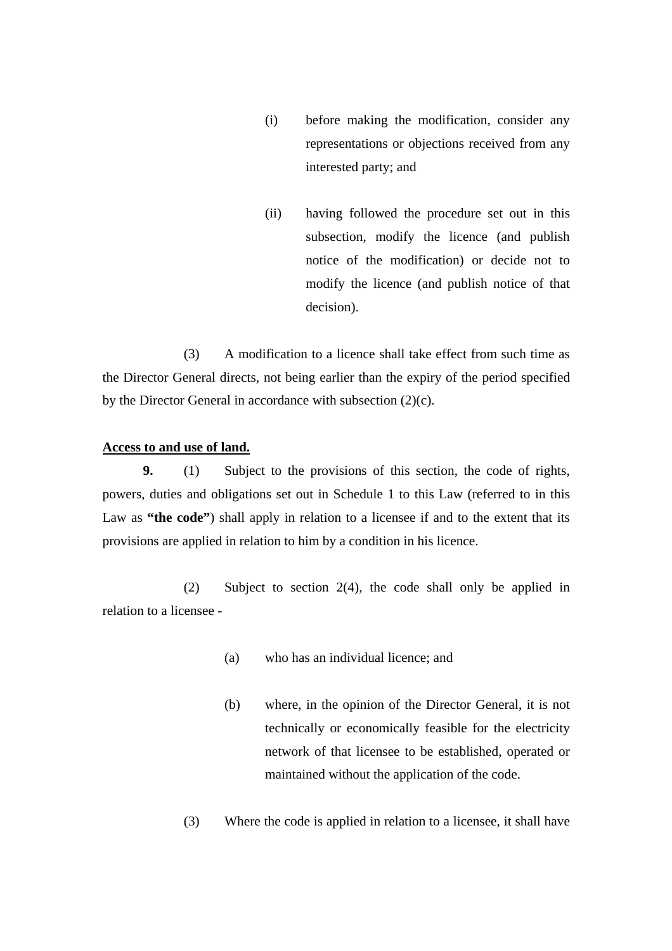- (i) before making the modification, consider any representations or objections received from any interested party; and
- (ii) having followed the procedure set out in this subsection, modify the licence (and publish notice of the modification) or decide not to modify the licence (and publish notice of that decision).

 (3) A modification to a licence shall take effect from such time as the Director General directs, not being earlier than the expiry of the period specified by the Director General in accordance with subsection (2)(c).

#### **Access to and use of land.**

**9.** (1) Subject to the provisions of this section, the code of rights, powers, duties and obligations set out in Schedule 1 to this Law (referred to in this Law as "the code") shall apply in relation to a licensee if and to the extent that its provisions are applied in relation to him by a condition in his licence.

 (2) Subject to section 2(4), the code shall only be applied in relation to a licensee -

- (a) who has an individual licence; and
- (b) where, in the opinion of the Director General, it is not technically or economically feasible for the electricity network of that licensee to be established, operated or maintained without the application of the code.
- (3) Where the code is applied in relation to a licensee, it shall have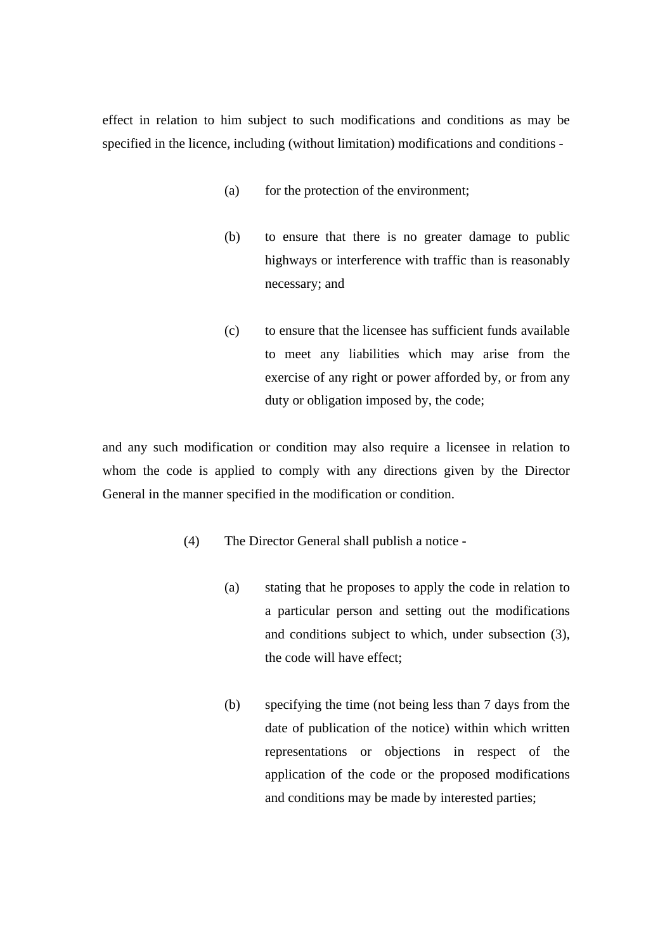effect in relation to him subject to such modifications and conditions as may be specified in the licence, including (without limitation) modifications and conditions -

- (a) for the protection of the environment;
- (b) to ensure that there is no greater damage to public highways or interference with traffic than is reasonably necessary; and
- (c) to ensure that the licensee has sufficient funds available to meet any liabilities which may arise from the exercise of any right or power afforded by, or from any duty or obligation imposed by, the code;

and any such modification or condition may also require a licensee in relation to whom the code is applied to comply with any directions given by the Director General in the manner specified in the modification or condition.

- (4) The Director General shall publish a notice
	- (a) stating that he proposes to apply the code in relation to a particular person and setting out the modifications and conditions subject to which, under subsection (3), the code will have effect;
	- (b) specifying the time (not being less than 7 days from the date of publication of the notice) within which written representations or objections in respect of the application of the code or the proposed modifications and conditions may be made by interested parties;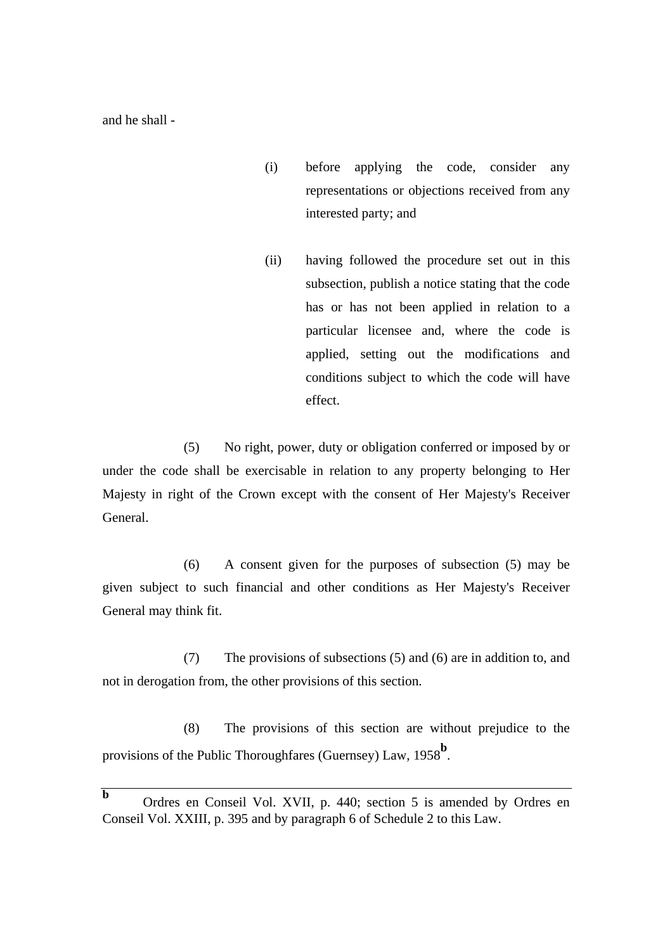and he shall -

- (i) before applying the code, consider any representations or objections received from any interested party; and
- (ii) having followed the procedure set out in this subsection, publish a notice stating that the code has or has not been applied in relation to a particular licensee and, where the code is applied, setting out the modifications and conditions subject to which the code will have effect.

 (5) No right, power, duty or obligation conferred or imposed by or under the code shall be exercisable in relation to any property belonging to Her Majesty in right of the Crown except with the consent of Her Majesty's Receiver General.

 (6) A consent given for the purposes of subsection (5) may be given subject to such financial and other conditions as Her Majesty's Receiver General may think fit.

 (7) The provisions of subsections (5) and (6) are in addition to, and not in derogation from, the other provisions of this section.

 (8) The provisions of this section are without prejudice to the provisions of the Public Thoroughfares (Guernsey) Law, 1958<sup>b</sup>.

**b** Ordres en Conseil Vol. XVII, p. 440; section 5 is amended by Ordres en Conseil Vol. XXIII, p. 395 and by paragraph 6 of Schedule 2 to this Law.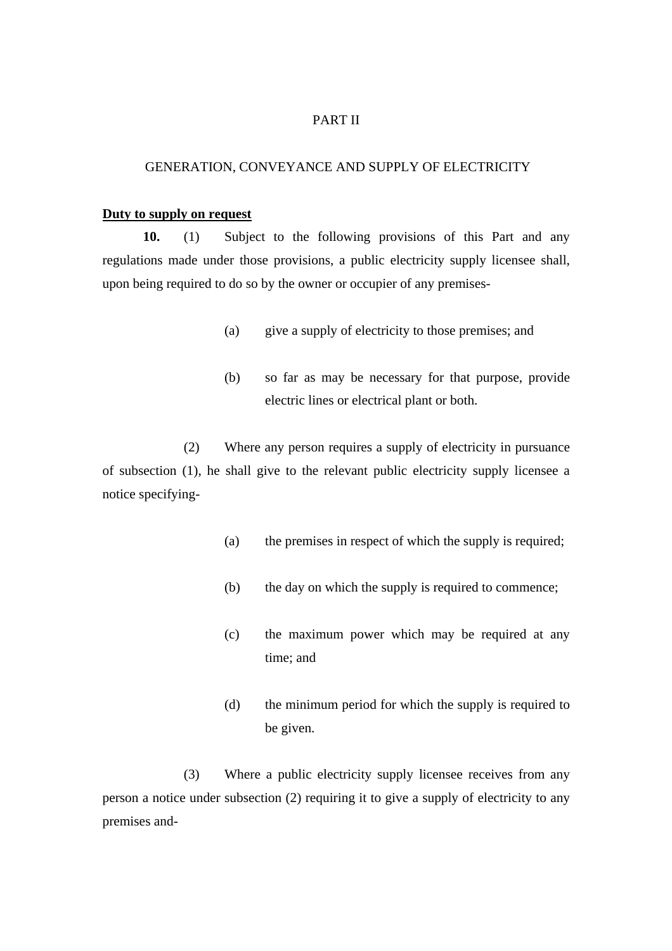## PART II

#### GENERATION, CONVEYANCE AND SUPPLY OF ELECTRICITY

#### **Duty to supply on request**

**10.** (1) Subject to the following provisions of this Part and any regulations made under those provisions, a public electricity supply licensee shall, upon being required to do so by the owner or occupier of any premises-

- (a) give a supply of electricity to those premises; and
- (b) so far as may be necessary for that purpose, provide electric lines or electrical plant or both.

(2) Where any person requires a supply of electricity in pursuance of subsection (1), he shall give to the relevant public electricity supply licensee a notice specifying-

- (a) the premises in respect of which the supply is required;
- (b) the day on which the supply is required to commence;
- (c) the maximum power which may be required at any time; and
- (d) the minimum period for which the supply is required to be given.

(3) Where a public electricity supply licensee receives from any person a notice under subsection (2) requiring it to give a supply of electricity to any premises and-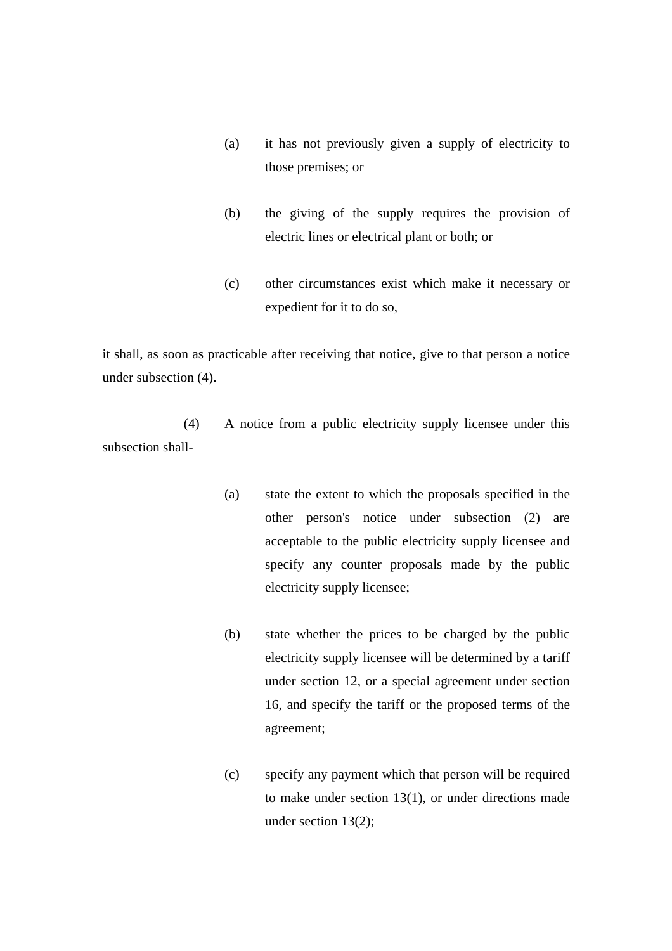- (a) it has not previously given a supply of electricity to those premises; or
- (b) the giving of the supply requires the provision of electric lines or electrical plant or both; or
- (c) other circumstances exist which make it necessary or expedient for it to do so,

it shall, as soon as practicable after receiving that notice, give to that person a notice under subsection (4).

(4) A notice from a public electricity supply licensee under this subsection shall-

- (a) state the extent to which the proposals specified in the other person's notice under subsection (2) are acceptable to the public electricity supply licensee and specify any counter proposals made by the public electricity supply licensee;
- (b) state whether the prices to be charged by the public electricity supply licensee will be determined by a tariff under section 12, or a special agreement under section 16, and specify the tariff or the proposed terms of the agreement;
- (c) specify any payment which that person will be required to make under section 13(1), or under directions made under section 13(2);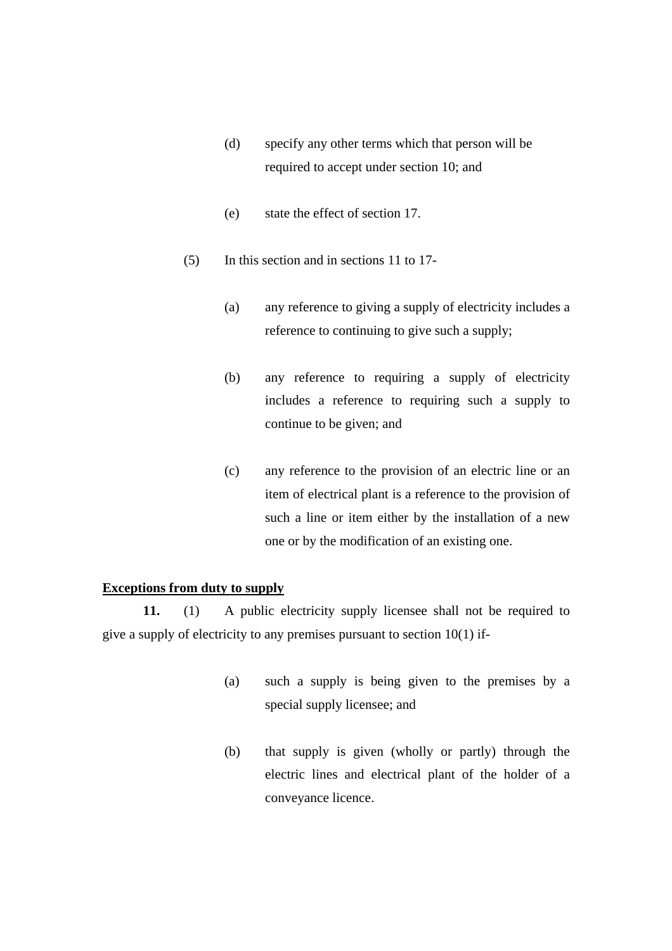- (d) specify any other terms which that person will be required to accept under section 10; and
- (e) state the effect of section 17.
- (5) In this section and in sections 11 to 17-
	- (a) any reference to giving a supply of electricity includes a reference to continuing to give such a supply;
	- (b) any reference to requiring a supply of electricity includes a reference to requiring such a supply to continue to be given; and
	- (c) any reference to the provision of an electric line or an item of electrical plant is a reference to the provision of such a line or item either by the installation of a new one or by the modification of an existing one.

## **Exceptions from duty to supply**

**11.** (1) A public electricity supply licensee shall not be required to give a supply of electricity to any premises pursuant to section  $10(1)$  if-

- (a) such a supply is being given to the premises by a special supply licensee; and
- (b) that supply is given (wholly or partly) through the electric lines and electrical plant of the holder of a conveyance licence.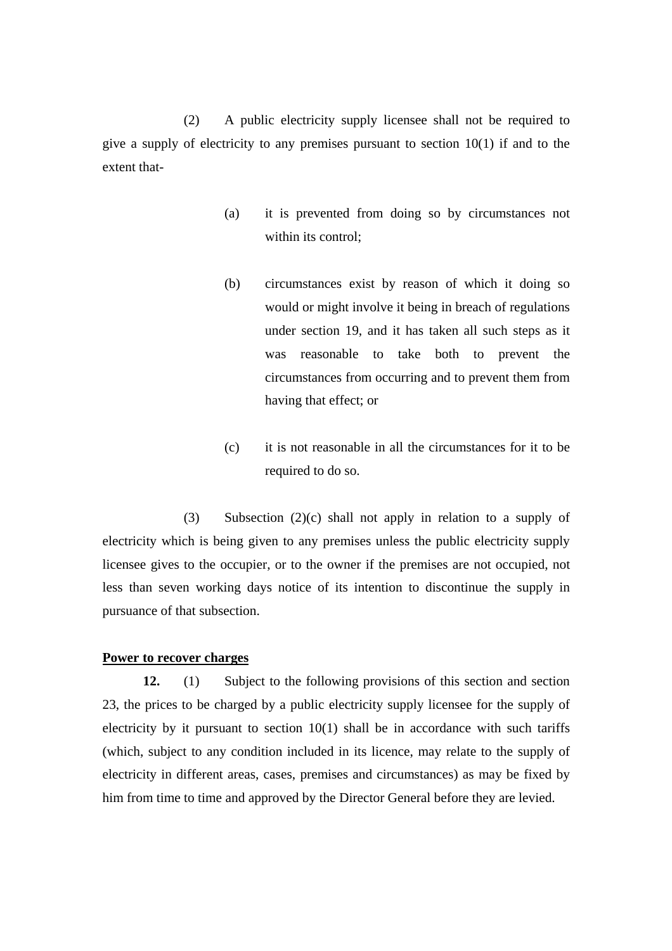(2) A public electricity supply licensee shall not be required to give a supply of electricity to any premises pursuant to section 10(1) if and to the extent that-

- (a) it is prevented from doing so by circumstances not within its control:
- (b) circumstances exist by reason of which it doing so would or might involve it being in breach of regulations under section 19, and it has taken all such steps as it was reasonable to take both to prevent the circumstances from occurring and to prevent them from having that effect; or
- (c) it is not reasonable in all the circumstances for it to be required to do so.

(3) Subsection (2)(c) shall not apply in relation to a supply of electricity which is being given to any premises unless the public electricity supply licensee gives to the occupier, or to the owner if the premises are not occupied, not less than seven working days notice of its intention to discontinue the supply in pursuance of that subsection.

## **Power to recover charges**

**12.** (1) Subject to the following provisions of this section and section 23, the prices to be charged by a public electricity supply licensee for the supply of electricity by it pursuant to section  $10(1)$  shall be in accordance with such tariffs (which, subject to any condition included in its licence, may relate to the supply of electricity in different areas, cases, premises and circumstances) as may be fixed by him from time to time and approved by the Director General before they are levied.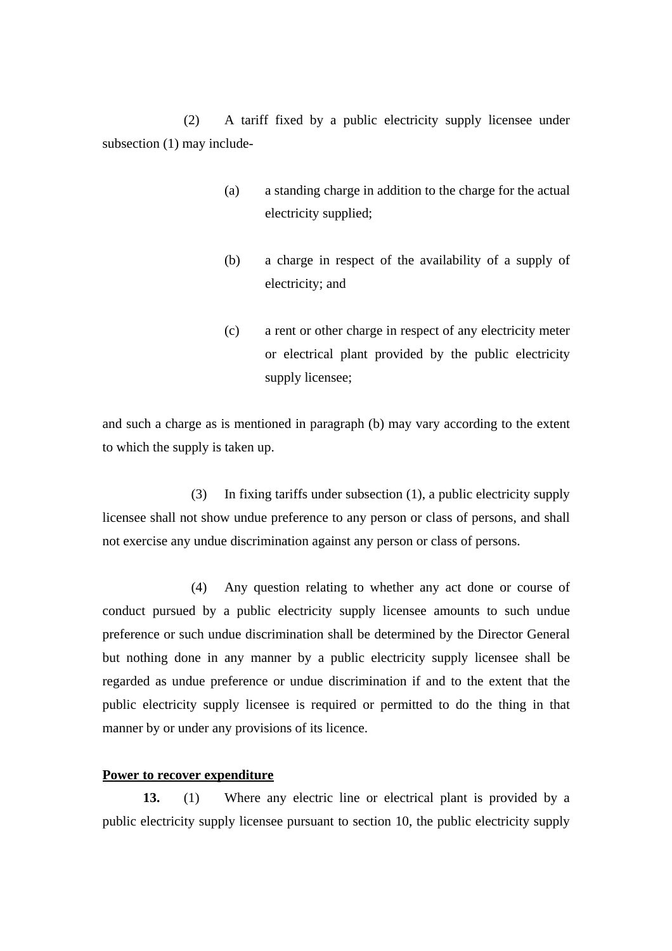(2) A tariff fixed by a public electricity supply licensee under subsection (1) may include-

- (a) a standing charge in addition to the charge for the actual electricity supplied;
- (b) a charge in respect of the availability of a supply of electricity; and
- (c) a rent or other charge in respect of any electricity meter or electrical plant provided by the public electricity supply licensee;

and such a charge as is mentioned in paragraph (b) may vary according to the extent to which the supply is taken up.

(3) In fixing tariffs under subsection (1), a public electricity supply licensee shall not show undue preference to any person or class of persons, and shall not exercise any undue discrimination against any person or class of persons.

(4) Any question relating to whether any act done or course of conduct pursued by a public electricity supply licensee amounts to such undue preference or such undue discrimination shall be determined by the Director General but nothing done in any manner by a public electricity supply licensee shall be regarded as undue preference or undue discrimination if and to the extent that the public electricity supply licensee is required or permitted to do the thing in that manner by or under any provisions of its licence.

## **Power to recover expenditure**

**13.** (1) Where any electric line or electrical plant is provided by a public electricity supply licensee pursuant to section 10, the public electricity supply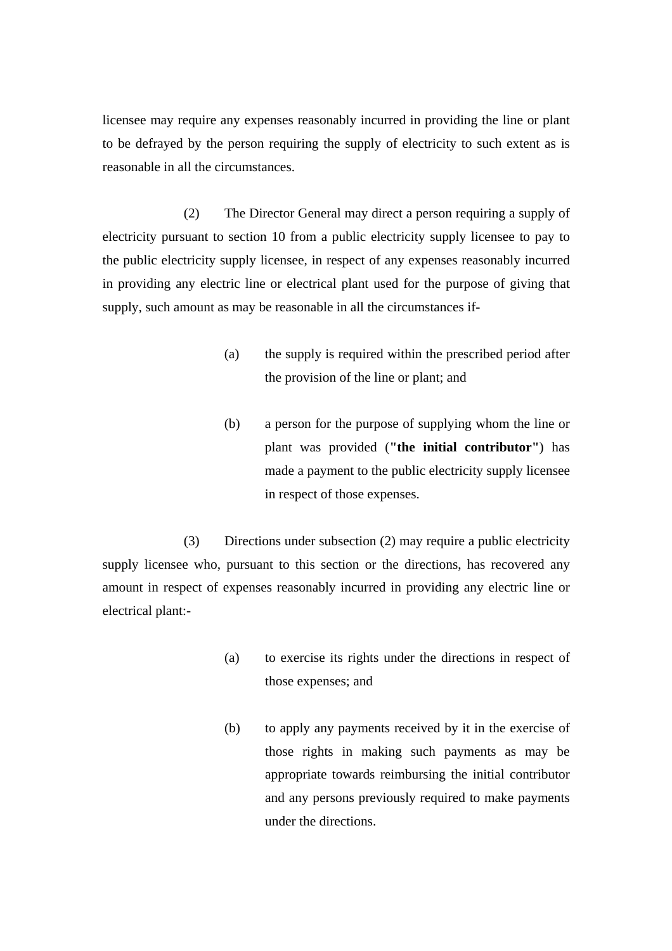licensee may require any expenses reasonably incurred in providing the line or plant to be defrayed by the person requiring the supply of electricity to such extent as is reasonable in all the circumstances.

(2) The Director General may direct a person requiring a supply of electricity pursuant to section 10 from a public electricity supply licensee to pay to the public electricity supply licensee, in respect of any expenses reasonably incurred in providing any electric line or electrical plant used for the purpose of giving that supply, such amount as may be reasonable in all the circumstances if-

- (a) the supply is required within the prescribed period after the provision of the line or plant; and
- (b) a person for the purpose of supplying whom the line or plant was provided (**"the initial contributor"**) has made a payment to the public electricity supply licensee in respect of those expenses.

(3) Directions under subsection (2) may require a public electricity supply licensee who, pursuant to this section or the directions, has recovered any amount in respect of expenses reasonably incurred in providing any electric line or electrical plant:-

- (a) to exercise its rights under the directions in respect of those expenses; and
- (b) to apply any payments received by it in the exercise of those rights in making such payments as may be appropriate towards reimbursing the initial contributor and any persons previously required to make payments under the directions.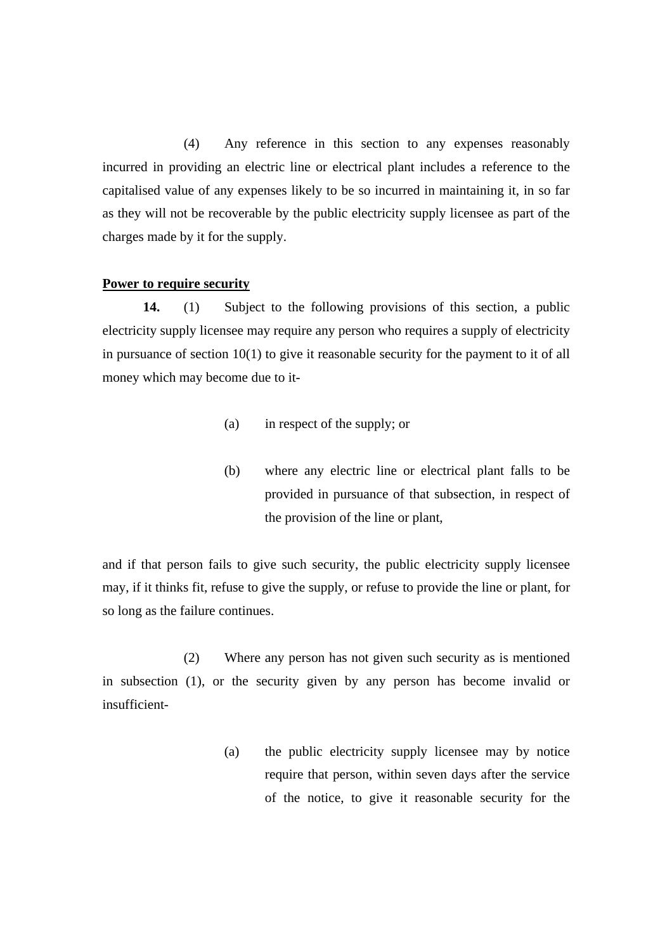(4) Any reference in this section to any expenses reasonably incurred in providing an electric line or electrical plant includes a reference to the capitalised value of any expenses likely to be so incurred in maintaining it, in so far as they will not be recoverable by the public electricity supply licensee as part of the charges made by it for the supply.

#### **Power to require security**

**14.** (1) Subject to the following provisions of this section, a public electricity supply licensee may require any person who requires a supply of electricity in pursuance of section 10(1) to give it reasonable security for the payment to it of all money which may become due to it-

- (a) in respect of the supply; or
- (b) where any electric line or electrical plant falls to be provided in pursuance of that subsection, in respect of the provision of the line or plant,

and if that person fails to give such security, the public electricity supply licensee may, if it thinks fit, refuse to give the supply, or refuse to provide the line or plant, for so long as the failure continues.

(2) Where any person has not given such security as is mentioned in subsection (1), or the security given by any person has become invalid or insufficient-

> (a) the public electricity supply licensee may by notice require that person, within seven days after the service of the notice, to give it reasonable security for the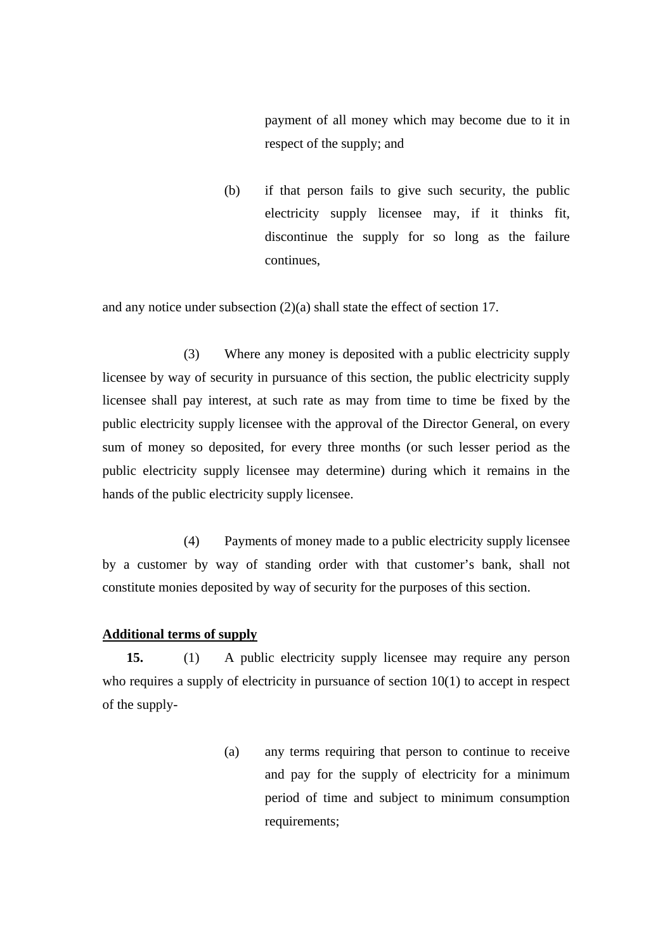payment of all money which may become due to it in respect of the supply; and

(b) if that person fails to give such security, the public electricity supply licensee may, if it thinks fit, discontinue the supply for so long as the failure continues,

and any notice under subsection (2)(a) shall state the effect of section 17.

(3) Where any money is deposited with a public electricity supply licensee by way of security in pursuance of this section, the public electricity supply licensee shall pay interest, at such rate as may from time to time be fixed by the public electricity supply licensee with the approval of the Director General, on every sum of money so deposited, for every three months (or such lesser period as the public electricity supply licensee may determine) during which it remains in the hands of the public electricity supply licensee.

(4) Payments of money made to a public electricity supply licensee by a customer by way of standing order with that customer's bank, shall not constitute monies deposited by way of security for the purposes of this section.

#### **Additional terms of supply**

**15.** (1) A public electricity supply licensee may require any person who requires a supply of electricity in pursuance of section 10(1) to accept in respect of the supply-

> (a) any terms requiring that person to continue to receive and pay for the supply of electricity for a minimum period of time and subject to minimum consumption requirements;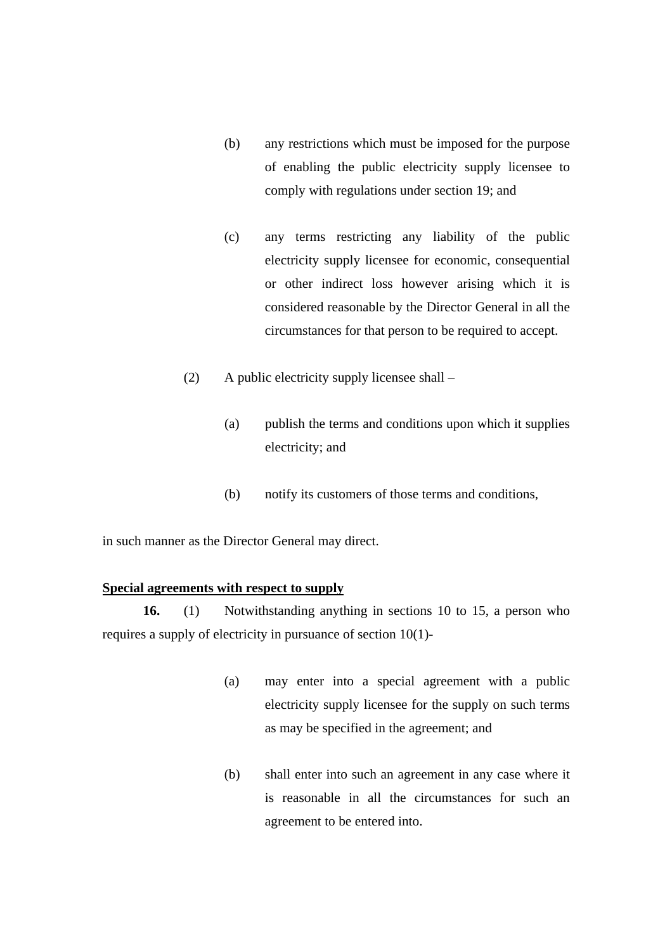- (b) any restrictions which must be imposed for the purpose of enabling the public electricity supply licensee to comply with regulations under section 19; and
- (c) any terms restricting any liability of the public electricity supply licensee for economic, consequential or other indirect loss however arising which it is considered reasonable by the Director General in all the circumstances for that person to be required to accept.
- (2) A public electricity supply licensee shall
	- (a) publish the terms and conditions upon which it supplies electricity; and
	- (b) notify its customers of those terms and conditions,

in such manner as the Director General may direct.

## **Special agreements with respect to supply**

**16.** (1) Notwithstanding anything in sections 10 to 15, a person who requires a supply of electricity in pursuance of section 10(1)-

- (a) may enter into a special agreement with a public electricity supply licensee for the supply on such terms as may be specified in the agreement; and
- (b) shall enter into such an agreement in any case where it is reasonable in all the circumstances for such an agreement to be entered into.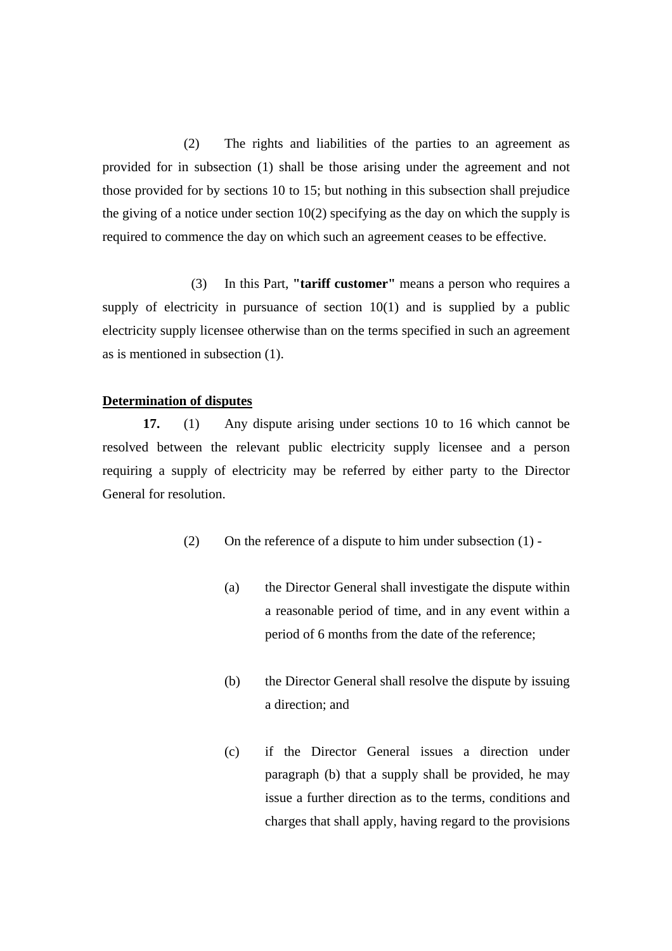(2) The rights and liabilities of the parties to an agreement as provided for in subsection (1) shall be those arising under the agreement and not those provided for by sections 10 to 15; but nothing in this subsection shall prejudice the giving of a notice under section 10(2) specifying as the day on which the supply is required to commence the day on which such an agreement ceases to be effective.

(3) In this Part, **"tariff customer"** means a person who requires a supply of electricity in pursuance of section  $10(1)$  and is supplied by a public electricity supply licensee otherwise than on the terms specified in such an agreement as is mentioned in subsection (1).

## **Determination of disputes**

**17.** (1) Any dispute arising under sections 10 to 16 which cannot be resolved between the relevant public electricity supply licensee and a person requiring a supply of electricity may be referred by either party to the Director General for resolution.

- (2) On the reference of a dispute to him under subsection (1)
	- (a) the Director General shall investigate the dispute within a reasonable period of time, and in any event within a period of 6 months from the date of the reference;
	- (b) the Director General shall resolve the dispute by issuing a direction; and
	- (c) if the Director General issues a direction under paragraph (b) that a supply shall be provided, he may issue a further direction as to the terms, conditions and charges that shall apply, having regard to the provisions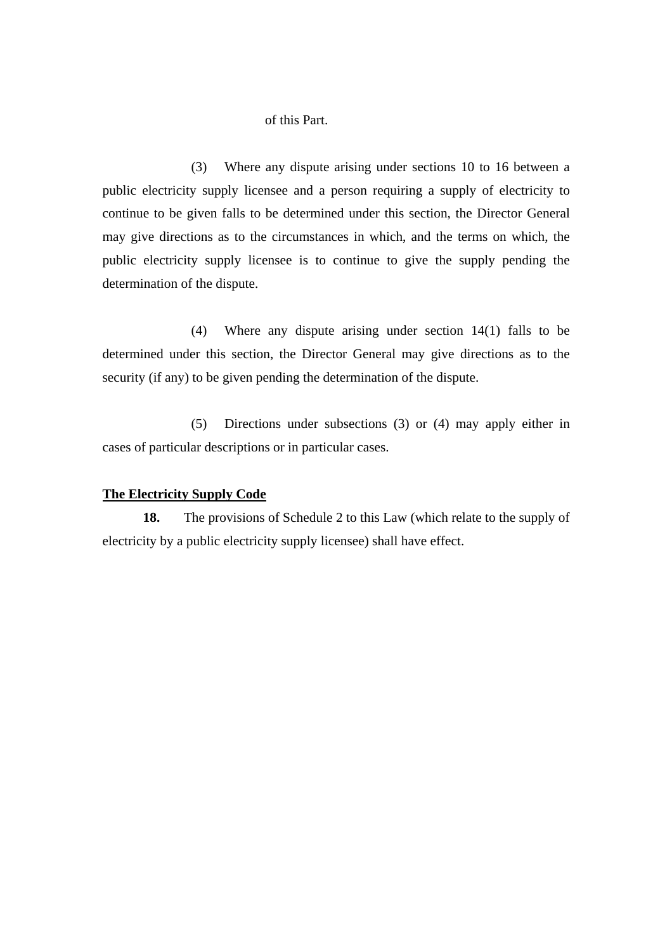## of this Part.

(3) Where any dispute arising under sections 10 to 16 between a public electricity supply licensee and a person requiring a supply of electricity to continue to be given falls to be determined under this section, the Director General may give directions as to the circumstances in which, and the terms on which, the public electricity supply licensee is to continue to give the supply pending the determination of the dispute.

(4) Where any dispute arising under section 14(1) falls to be determined under this section, the Director General may give directions as to the security (if any) to be given pending the determination of the dispute.

(5) Directions under subsections (3) or (4) may apply either in cases of particular descriptions or in particular cases.

#### **The Electricity Supply Code**

**18.** The provisions of Schedule 2 to this Law (which relate to the supply of electricity by a public electricity supply licensee) shall have effect.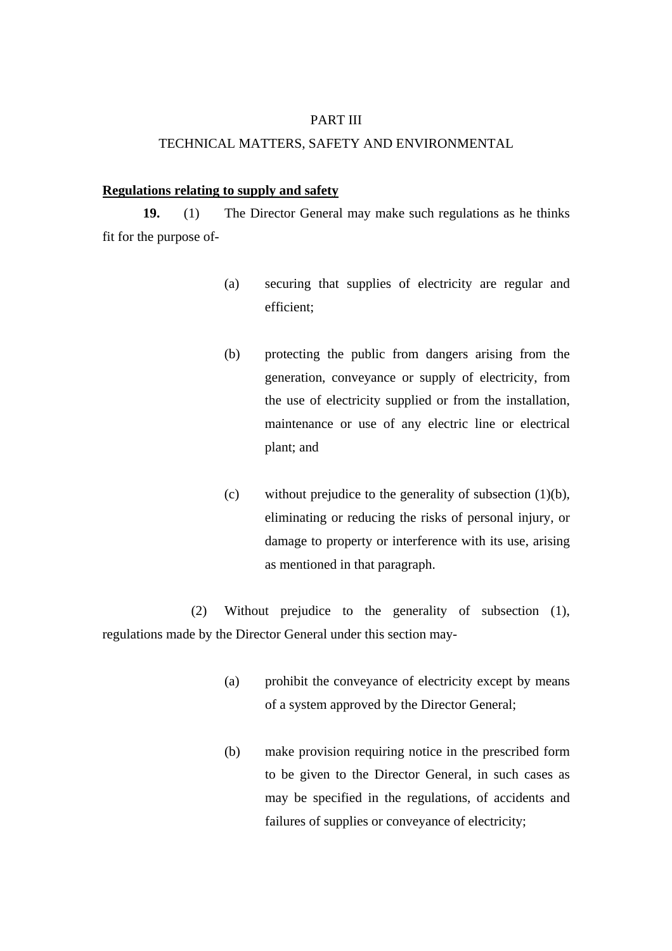#### PART III

## TECHNICAL MATTERS, SAFETY AND ENVIRONMENTAL

#### **Regulations relating to supply and safety**

**19.** (1) The Director General may make such regulations as he thinks fit for the purpose of-

- (a) securing that supplies of electricity are regular and efficient;
- (b) protecting the public from dangers arising from the generation, conveyance or supply of electricity, from the use of electricity supplied or from the installation, maintenance or use of any electric line or electrical plant; and
- (c) without prejudice to the generality of subsection  $(1)(b)$ , eliminating or reducing the risks of personal injury, or damage to property or interference with its use, arising as mentioned in that paragraph.

(2) Without prejudice to the generality of subsection (1), regulations made by the Director General under this section may-

- (a) prohibit the conveyance of electricity except by means of a system approved by the Director General;
- (b) make provision requiring notice in the prescribed form to be given to the Director General, in such cases as may be specified in the regulations, of accidents and failures of supplies or conveyance of electricity;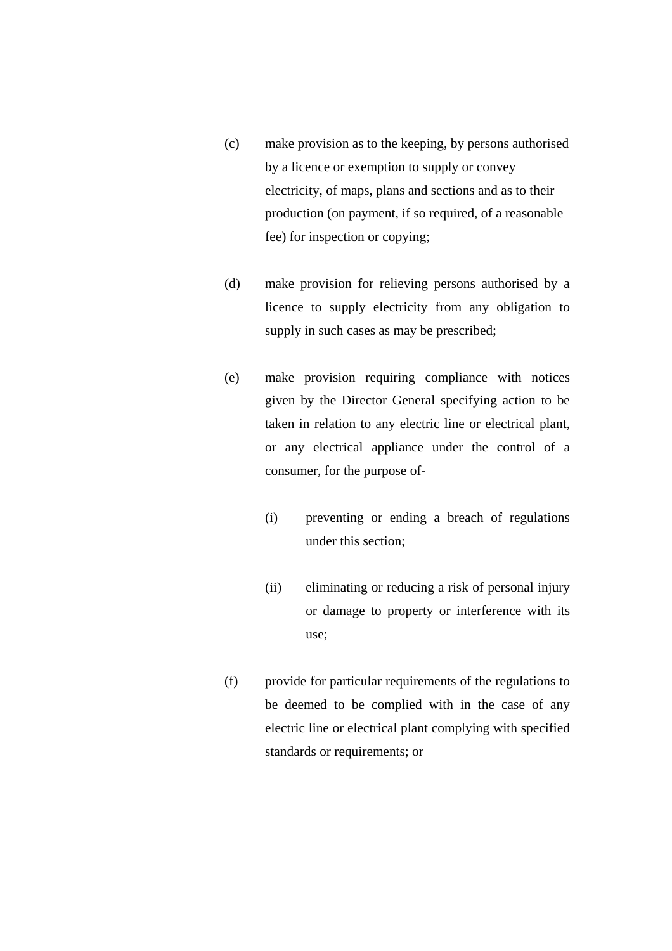- (c) make provision as to the keeping, by persons authorised by a licence or exemption to supply or convey electricity, of maps, plans and sections and as to their production (on payment, if so required, of a reasonable fee) for inspection or copying;
- (d) make provision for relieving persons authorised by a licence to supply electricity from any obligation to supply in such cases as may be prescribed;
- (e) make provision requiring compliance with notices given by the Director General specifying action to be taken in relation to any electric line or electrical plant, or any electrical appliance under the control of a consumer, for the purpose of-
	- (i) preventing or ending a breach of regulations under this section;
	- (ii) eliminating or reducing a risk of personal injury or damage to property or interference with its use;
- (f) provide for particular requirements of the regulations to be deemed to be complied with in the case of any electric line or electrical plant complying with specified standards or requirements; or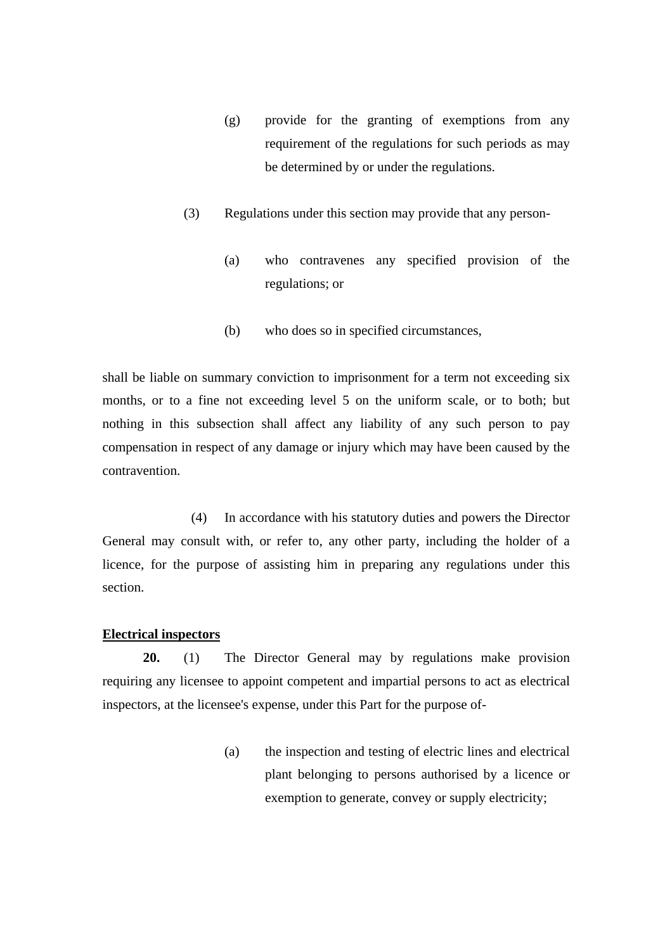- (g) provide for the granting of exemptions from any requirement of the regulations for such periods as may be determined by or under the regulations.
- (3) Regulations under this section may provide that any person-
	- (a) who contravenes any specified provision of the regulations; or
	- (b) who does so in specified circumstances,

shall be liable on summary conviction to imprisonment for a term not exceeding six months, or to a fine not exceeding level 5 on the uniform scale, or to both; but nothing in this subsection shall affect any liability of any such person to pay compensation in respect of any damage or injury which may have been caused by the contravention.

(4) In accordance with his statutory duties and powers the Director General may consult with, or refer to, any other party, including the holder of a licence, for the purpose of assisting him in preparing any regulations under this section.

## **Electrical inspectors**

**20.** (1) The Director General may by regulations make provision requiring any licensee to appoint competent and impartial persons to act as electrical inspectors, at the licensee's expense, under this Part for the purpose of-

> (a) the inspection and testing of electric lines and electrical plant belonging to persons authorised by a licence or exemption to generate, convey or supply electricity;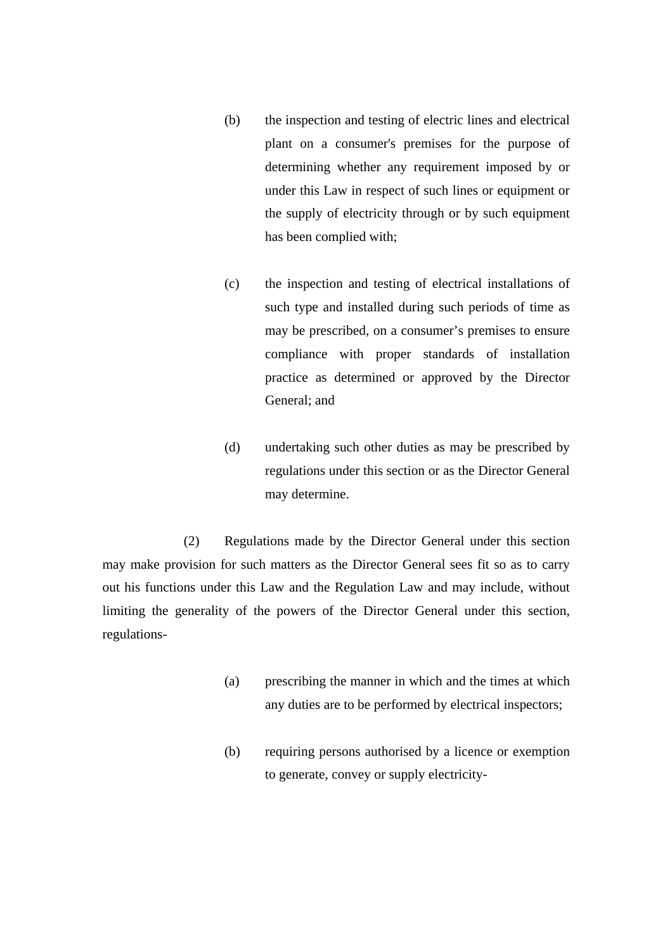- (b) the inspection and testing of electric lines and electrical plant on a consumer's premises for the purpose of determining whether any requirement imposed by or under this Law in respect of such lines or equipment or the supply of electricity through or by such equipment has been complied with;
- (c) the inspection and testing of electrical installations of such type and installed during such periods of time as may be prescribed, on a consumer's premises to ensure compliance with proper standards of installation practice as determined or approved by the Director General; and
- (d) undertaking such other duties as may be prescribed by regulations under this section or as the Director General may determine.

(2) Regulations made by the Director General under this section may make provision for such matters as the Director General sees fit so as to carry out his functions under this Law and the Regulation Law and may include, without limiting the generality of the powers of the Director General under this section, regulations-

- (a) prescribing the manner in which and the times at which any duties are to be performed by electrical inspectors;
- (b) requiring persons authorised by a licence or exemption to generate, convey or supply electricity-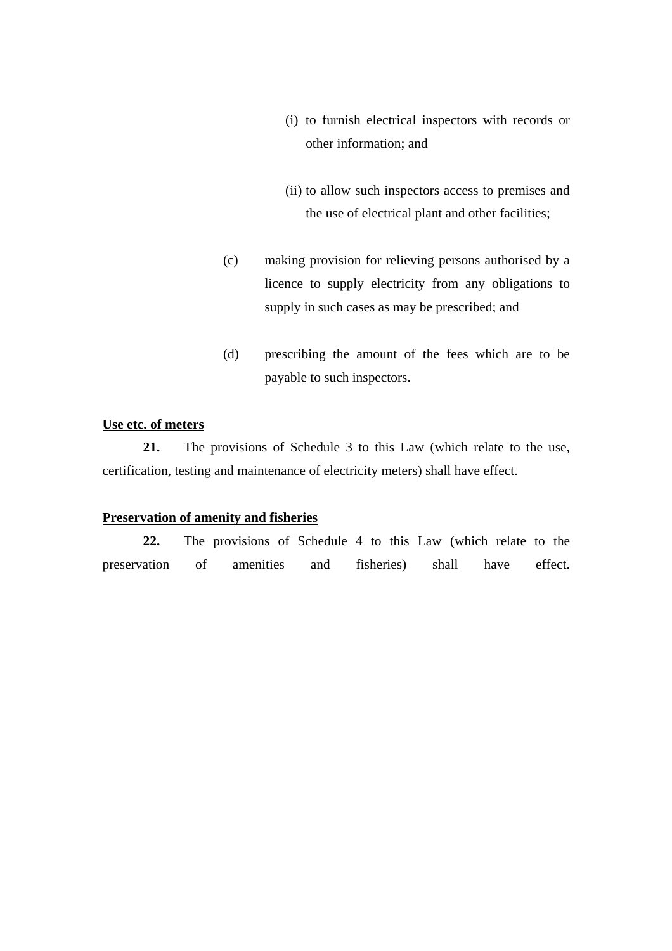- (i) to furnish electrical inspectors with records or other information; and
- (ii) to allow such inspectors access to premises and the use of electrical plant and other facilities;
- (c) making provision for relieving persons authorised by a licence to supply electricity from any obligations to supply in such cases as may be prescribed; and
- (d) prescribing the amount of the fees which are to be payable to such inspectors.

## **Use etc. of meters**

**21.** The provisions of Schedule 3 to this Law (which relate to the use, certification, testing and maintenance of electricity meters) shall have effect.

## **Preservation of amenity and fisheries**

**22.** The provisions of Schedule 4 to this Law (which relate to the preservation of amenities and fisheries) shall have effect.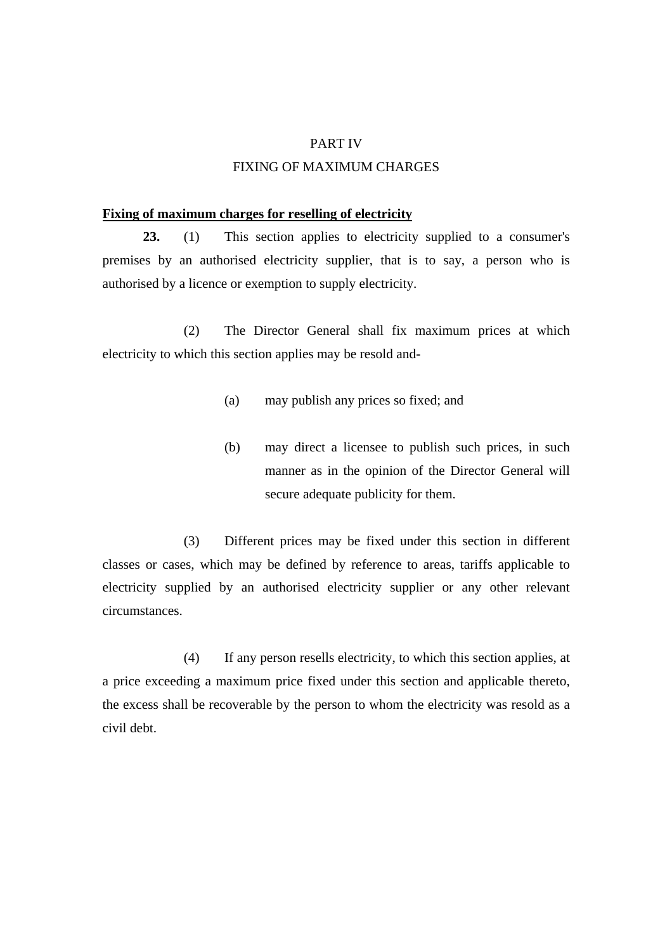#### PART IV

#### FIXING OF MAXIMUM CHARGES

#### **Fixing of maximum charges for reselling of electricity**

 **23.** (1) This section applies to electricity supplied to a consumer's premises by an authorised electricity supplier, that is to say, a person who is authorised by a licence or exemption to supply electricity.

 (2) The Director General shall fix maximum prices at which electricity to which this section applies may be resold and-

- (a) may publish any prices so fixed; and
- (b) may direct a licensee to publish such prices, in such manner as in the opinion of the Director General will secure adequate publicity for them.

 (3) Different prices may be fixed under this section in different classes or cases, which may be defined by reference to areas, tariffs applicable to electricity supplied by an authorised electricity supplier or any other relevant circumstances.

 (4) If any person resells electricity, to which this section applies, at a price exceeding a maximum price fixed under this section and applicable thereto, the excess shall be recoverable by the person to whom the electricity was resold as a civil debt.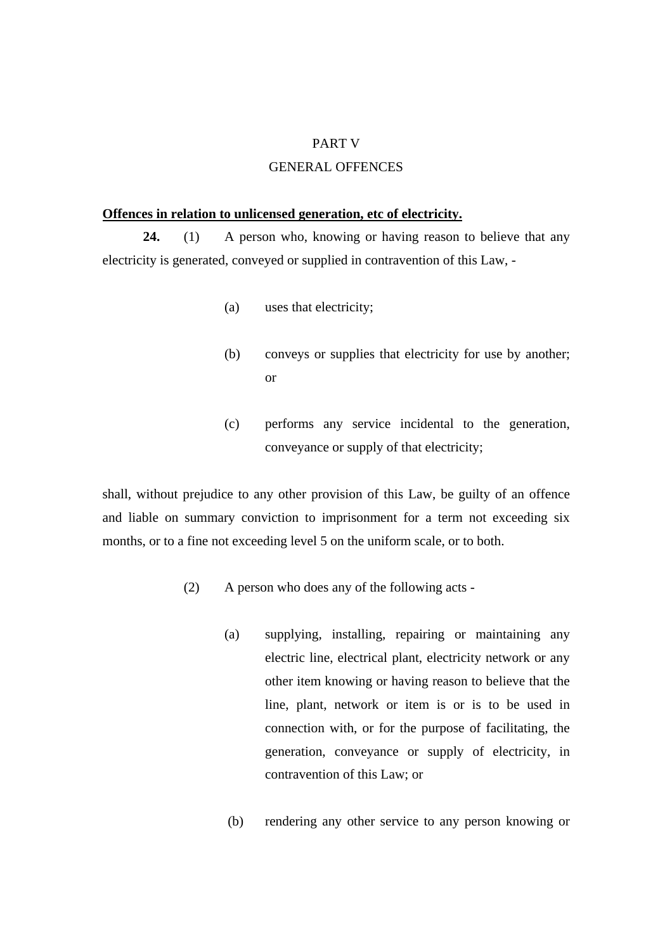## PART V

#### GENERAL OFFENCES

## **Offences in relation to unlicensed generation, etc of electricity.**

**24.** (1) A person who, knowing or having reason to believe that any electricity is generated, conveyed or supplied in contravention of this Law, -

- (a) uses that electricity;
- (b) conveys or supplies that electricity for use by another; or
- (c) performs any service incidental to the generation, conveyance or supply of that electricity;

shall, without prejudice to any other provision of this Law, be guilty of an offence and liable on summary conviction to imprisonment for a term not exceeding six months, or to a fine not exceeding level 5 on the uniform scale, or to both.

- (2) A person who does any of the following acts
	- (a) supplying, installing, repairing or maintaining any electric line, electrical plant, electricity network or any other item knowing or having reason to believe that the line, plant, network or item is or is to be used in connection with, or for the purpose of facilitating, the generation, conveyance or supply of electricity, in contravention of this Law; or
	- (b) rendering any other service to any person knowing or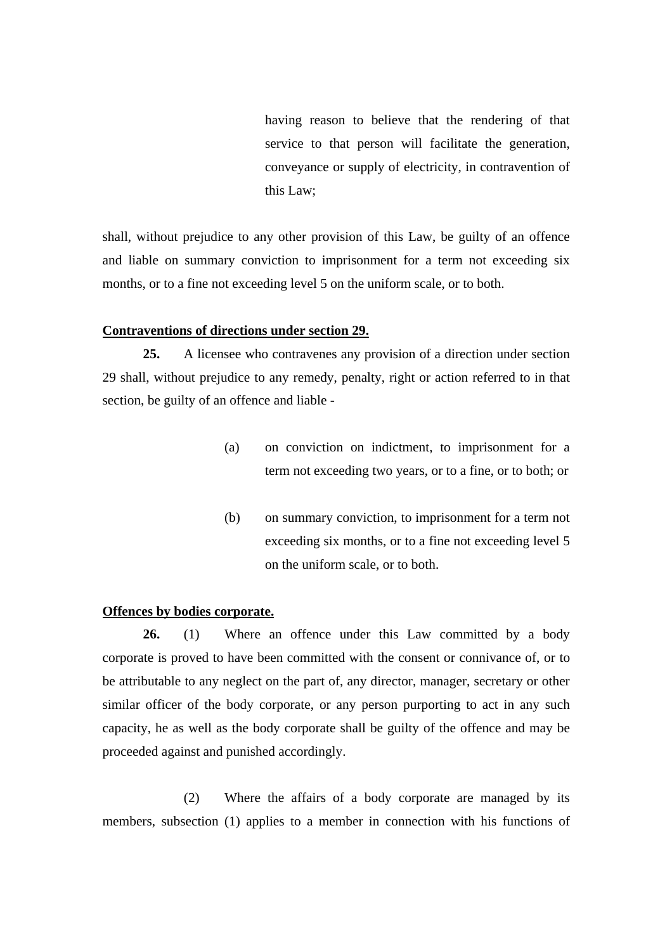having reason to believe that the rendering of that service to that person will facilitate the generation, conveyance or supply of electricity, in contravention of this Law;

shall, without prejudice to any other provision of this Law, be guilty of an offence and liable on summary conviction to imprisonment for a term not exceeding six months, or to a fine not exceeding level 5 on the uniform scale, or to both.

#### **Contraventions of directions under section 29.**

 **25.** A licensee who contravenes any provision of a direction under section 29 shall, without prejudice to any remedy, penalty, right or action referred to in that section, be guilty of an offence and liable -

- (a) on conviction on indictment, to imprisonment for a term not exceeding two years, or to a fine, or to both; or
- (b) on summary conviction, to imprisonment for a term not exceeding six months, or to a fine not exceeding level 5 on the uniform scale, or to both.

#### **Offences by bodies corporate.**

**26.** (1) Where an offence under this Law committed by a body corporate is proved to have been committed with the consent or connivance of, or to be attributable to any neglect on the part of, any director, manager, secretary or other similar officer of the body corporate, or any person purporting to act in any such capacity, he as well as the body corporate shall be guilty of the offence and may be proceeded against and punished accordingly.

 (2) Where the affairs of a body corporate are managed by its members, subsection (1) applies to a member in connection with his functions of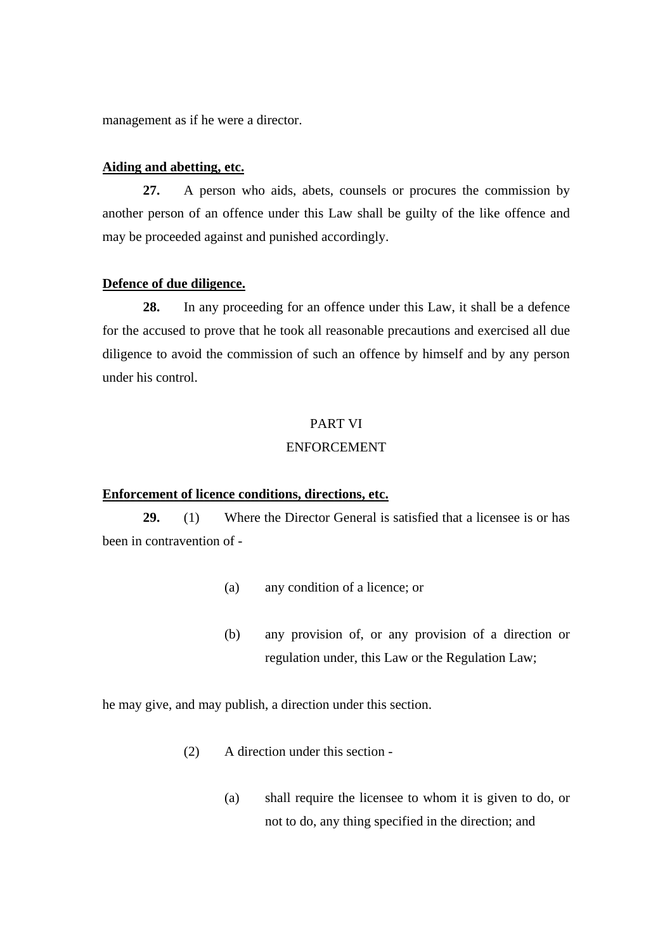management as if he were a director.

## **Aiding and abetting, etc.**

**27.** A person who aids, abets, counsels or procures the commission by another person of an offence under this Law shall be guilty of the like offence and may be proceeded against and punished accordingly.

## **Defence of due diligence.**

**28.** In any proceeding for an offence under this Law, it shall be a defence for the accused to prove that he took all reasonable precautions and exercised all due diligence to avoid the commission of such an offence by himself and by any person under his control.

#### PART VI

#### ENFORCEMENT

#### **Enforcement of licence conditions, directions, etc.**

**29.** (1) Where the Director General is satisfied that a licensee is or has been in contravention of -

- (a) any condition of a licence; or
- (b) any provision of, or any provision of a direction or regulation under, this Law or the Regulation Law;

he may give, and may publish, a direction under this section.

- (2) A direction under this section
	- (a) shall require the licensee to whom it is given to do, or not to do, any thing specified in the direction; and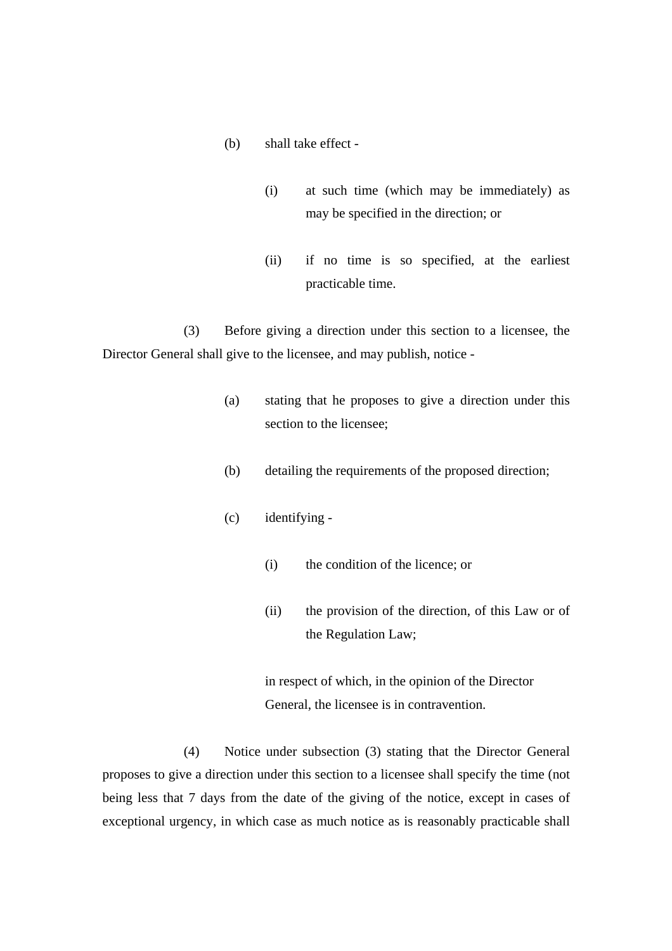- (b) shall take effect
	- (i) at such time (which may be immediately) as may be specified in the direction; or
	- (ii) if no time is so specified, at the earliest practicable time.

 (3) Before giving a direction under this section to a licensee, the Director General shall give to the licensee, and may publish, notice -

- (a) stating that he proposes to give a direction under this section to the licensee;
- (b) detailing the requirements of the proposed direction;
- (c) identifying
	- (i) the condition of the licence; or
	- (ii) the provision of the direction, of this Law or of the Regulation Law;

in respect of which, in the opinion of the Director General, the licensee is in contravention.

 (4) Notice under subsection (3) stating that the Director General proposes to give a direction under this section to a licensee shall specify the time (not being less that 7 days from the date of the giving of the notice, except in cases of exceptional urgency, in which case as much notice as is reasonably practicable shall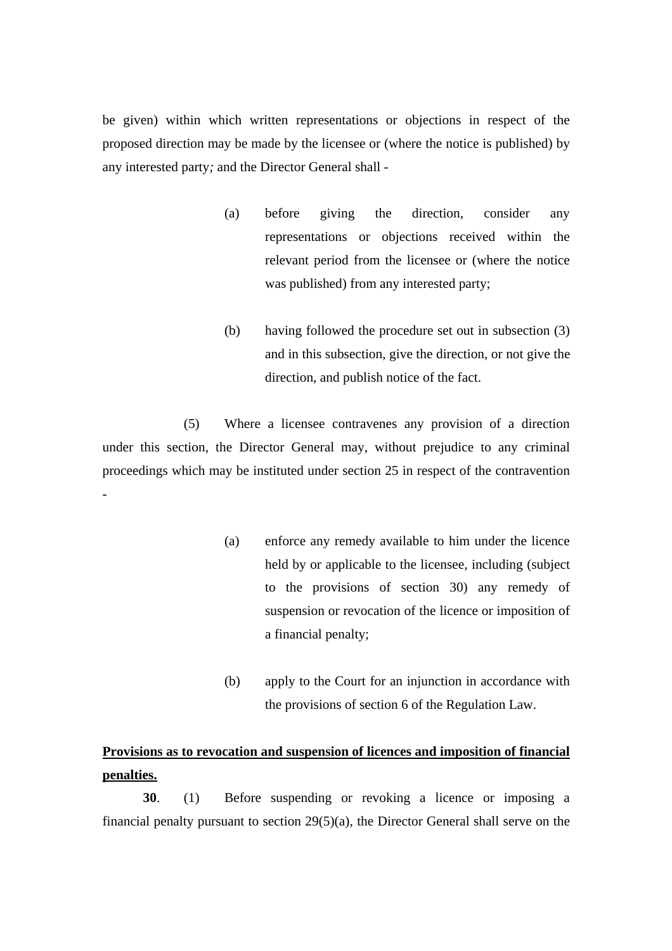be given) within which written representations or objections in respect of the proposed direction may be made by the licensee or (where the notice is published) by any interested party*;* and the Director General shall -

- (a) before giving the direction, consider any representations or objections received within the relevant period from the licensee or (where the notice was published) from any interested party;
- (b) having followed the procedure set out in subsection (3) and in this subsection, give the direction, or not give the direction, and publish notice of the fact.

 (5) Where a licensee contravenes any provision of a direction under this section, the Director General may, without prejudice to any criminal proceedings which may be instituted under section 25 in respect of the contravention

-

- (a) enforce any remedy available to him under the licence held by or applicable to the licensee, including (subject to the provisions of section 30) any remedy of suspension or revocation of the licence or imposition of a financial penalty;
- (b) apply to the Court for an injunction in accordance with the provisions of section 6 of the Regulation Law.

## **Provisions as to revocation and suspension of licences and imposition of financial penalties.**

**30**. (1) Before suspending or revoking a licence or imposing a financial penalty pursuant to section 29(5)(a), the Director General shall serve on the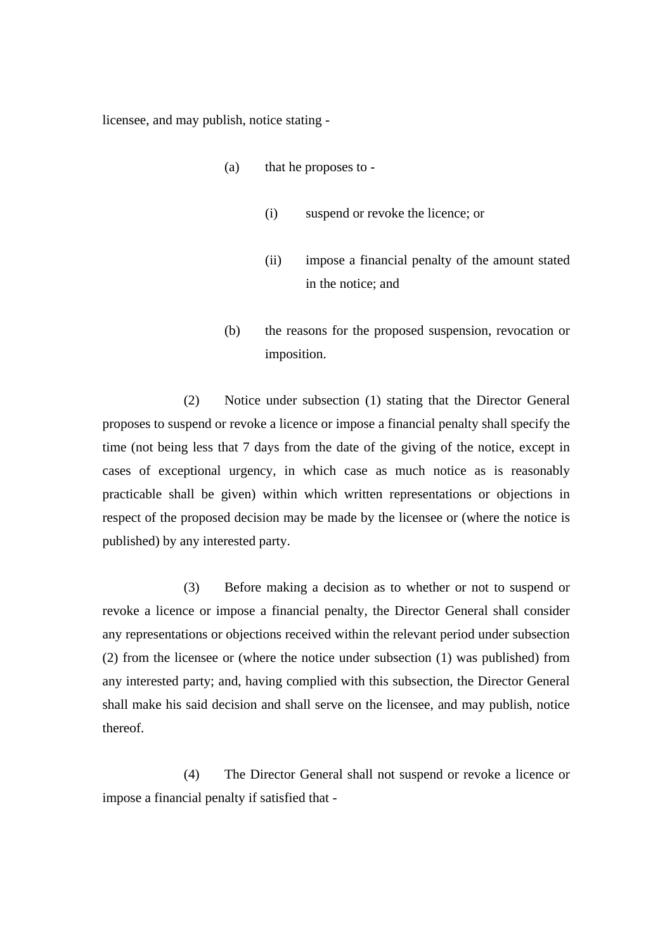licensee, and may publish, notice stating -

- (a) that he proposes to
	- (i) suspend or revoke the licence; or
	- (ii) impose a financial penalty of the amount stated in the notice; and
- (b) the reasons for the proposed suspension, revocation or imposition.

 (2) Notice under subsection (1) stating that the Director General proposes to suspend or revoke a licence or impose a financial penalty shall specify the time (not being less that 7 days from the date of the giving of the notice, except in cases of exceptional urgency, in which case as much notice as is reasonably practicable shall be given) within which written representations or objections in respect of the proposed decision may be made by the licensee or (where the notice is published) by any interested party.

 (3) Before making a decision as to whether or not to suspend or revoke a licence or impose a financial penalty, the Director General shall consider any representations or objections received within the relevant period under subsection (2) from the licensee or (where the notice under subsection (1) was published) from any interested party; and, having complied with this subsection, the Director General shall make his said decision and shall serve on the licensee, and may publish, notice thereof.

 (4) The Director General shall not suspend or revoke a licence or impose a financial penalty if satisfied that -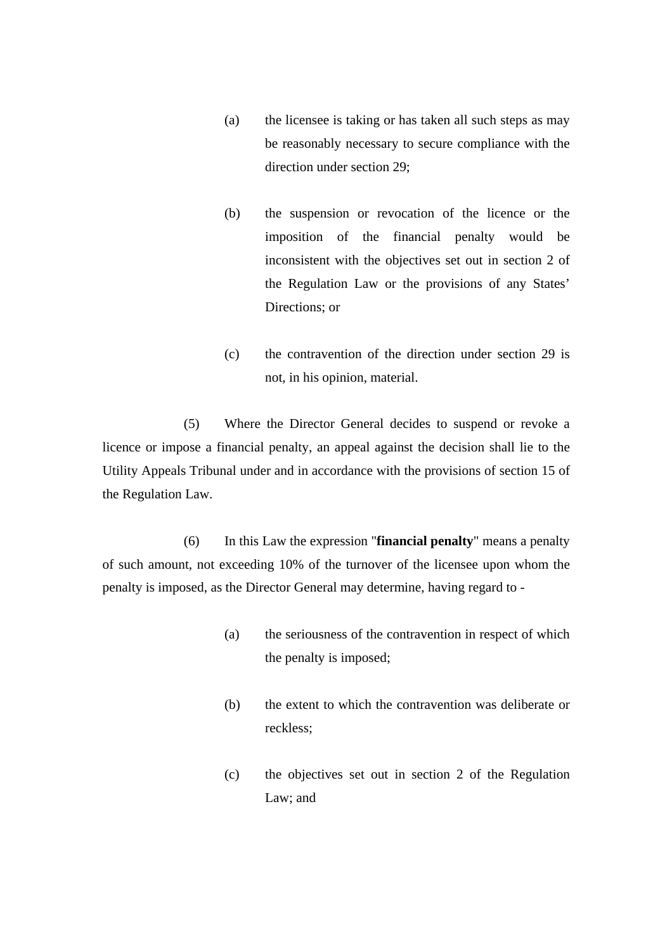- (a) the licensee is taking or has taken all such steps as may be reasonably necessary to secure compliance with the direction under section 29;
- (b) the suspension or revocation of the licence or the imposition of the financial penalty would be inconsistent with the objectives set out in section 2 of the Regulation Law or the provisions of any States' Directions; or
- (c) the contravention of the direction under section 29 is not, in his opinion, material.

 (5) Where the Director General decides to suspend or revoke a licence or impose a financial penalty, an appeal against the decision shall lie to the Utility Appeals Tribunal under and in accordance with the provisions of section 15 of the Regulation Law.

 (6) In this Law the expression "**financial penalty**" means a penalty of such amount, not exceeding 10% of the turnover of the licensee upon whom the penalty is imposed, as the Director General may determine, having regard to -

- (a) the seriousness of the contravention in respect of which the penalty is imposed;
- (b) the extent to which the contravention was deliberate or reckless;
- (c) the objectives set out in section 2 of the Regulation Law; and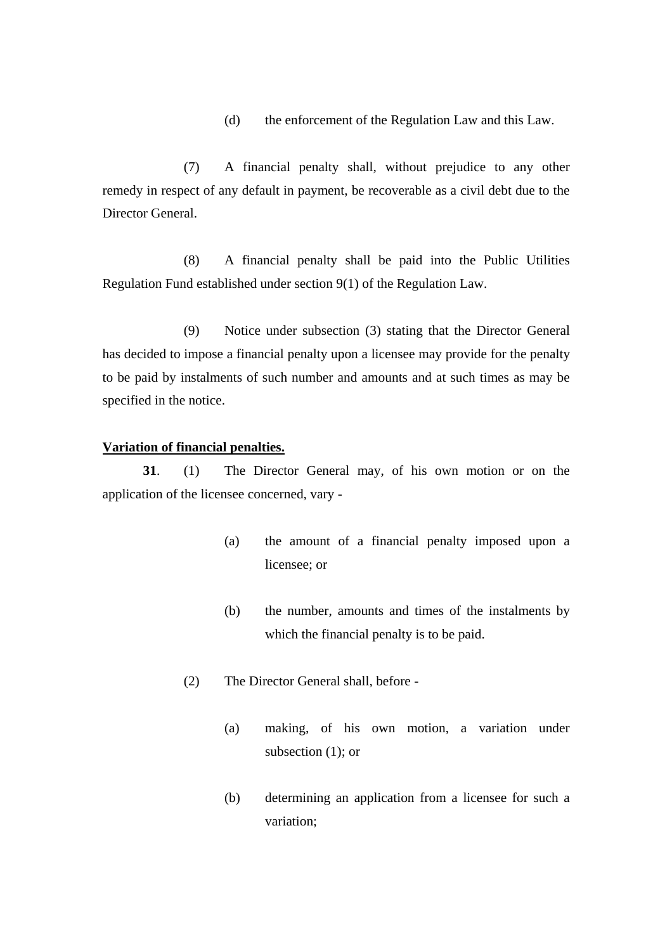(d) the enforcement of the Regulation Law and this Law.

 (7) A financial penalty shall, without prejudice to any other remedy in respect of any default in payment, be recoverable as a civil debt due to the Director General.

 (8) A financial penalty shall be paid into the Public Utilities Regulation Fund established under section 9(1) of the Regulation Law.

 (9) Notice under subsection (3) stating that the Director General has decided to impose a financial penalty upon a licensee may provide for the penalty to be paid by instalments of such number and amounts and at such times as may be specified in the notice.

#### **Variation of financial penalties.**

**31**. (1) The Director General may, of his own motion or on the application of the licensee concerned, vary -

- (a) the amount of a financial penalty imposed upon a licensee; or
- (b) the number, amounts and times of the instalments by which the financial penalty is to be paid.
- (2) The Director General shall, before
	- (a) making, of his own motion, a variation under subsection (1); or
	- (b) determining an application from a licensee for such a variation;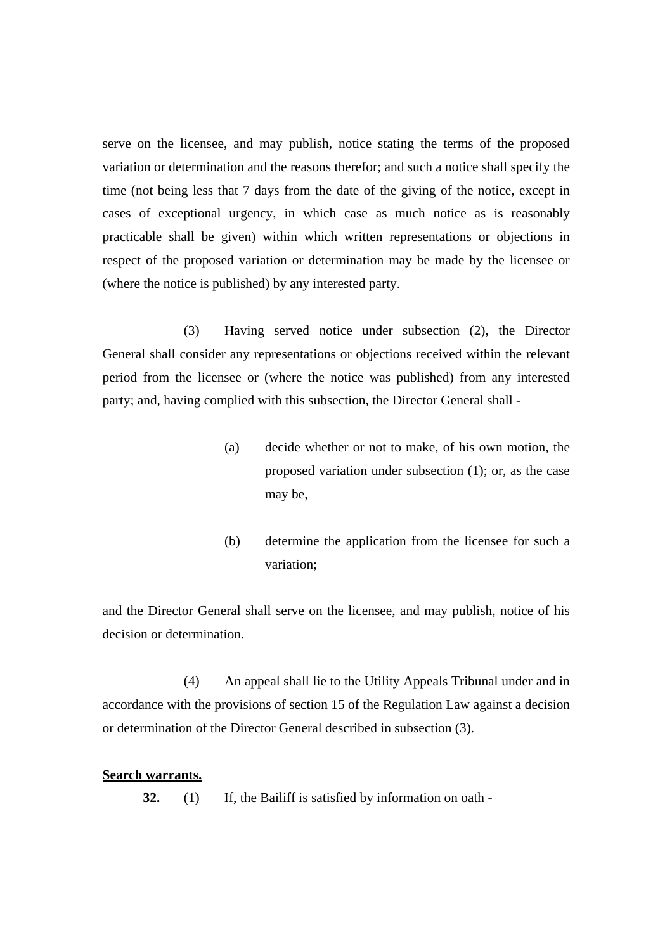serve on the licensee, and may publish, notice stating the terms of the proposed variation or determination and the reasons therefor; and such a notice shall specify the time (not being less that 7 days from the date of the giving of the notice, except in cases of exceptional urgency, in which case as much notice as is reasonably practicable shall be given) within which written representations or objections in respect of the proposed variation or determination may be made by the licensee or (where the notice is published) by any interested party.

 (3) Having served notice under subsection (2), the Director General shall consider any representations or objections received within the relevant period from the licensee or (where the notice was published) from any interested party; and, having complied with this subsection, the Director General shall -

- (a) decide whether or not to make, of his own motion, the proposed variation under subsection (1); or, as the case may be,
- (b) determine the application from the licensee for such a variation;

and the Director General shall serve on the licensee, and may publish, notice of his decision or determination.

 (4) An appeal shall lie to the Utility Appeals Tribunal under and in accordance with the provisions of section 15 of the Regulation Law against a decision or determination of the Director General described in subsection (3).

#### **Search warrants.**

**32.** (1) If, the Bailiff is satisfied by information on oath -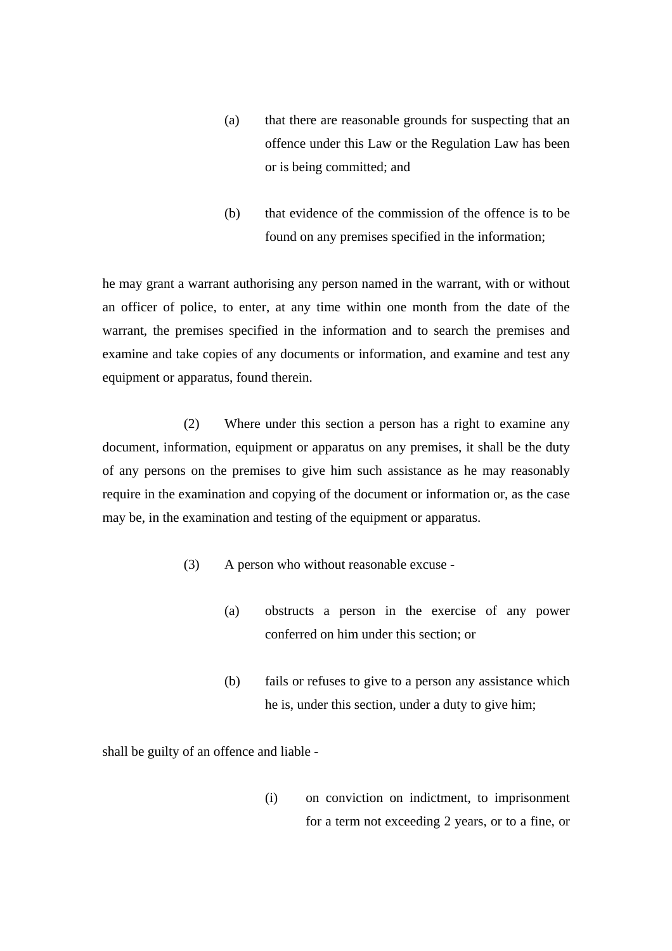- (a) that there are reasonable grounds for suspecting that an offence under this Law or the Regulation Law has been or is being committed; and
- (b) that evidence of the commission of the offence is to be found on any premises specified in the information;

he may grant a warrant authorising any person named in the warrant, with or without an officer of police, to enter, at any time within one month from the date of the warrant, the premises specified in the information and to search the premises and examine and take copies of any documents or information, and examine and test any equipment or apparatus, found therein.

 (2) Where under this section a person has a right to examine any document, information, equipment or apparatus on any premises, it shall be the duty of any persons on the premises to give him such assistance as he may reasonably require in the examination and copying of the document or information or, as the case may be, in the examination and testing of the equipment or apparatus.

- (3) A person who without reasonable excuse
	- (a) obstructs a person in the exercise of any power conferred on him under this section; or
	- (b) fails or refuses to give to a person any assistance which he is, under this section, under a duty to give him;

shall be guilty of an offence and liable -

(i) on conviction on indictment, to imprisonment for a term not exceeding 2 years, or to a fine, or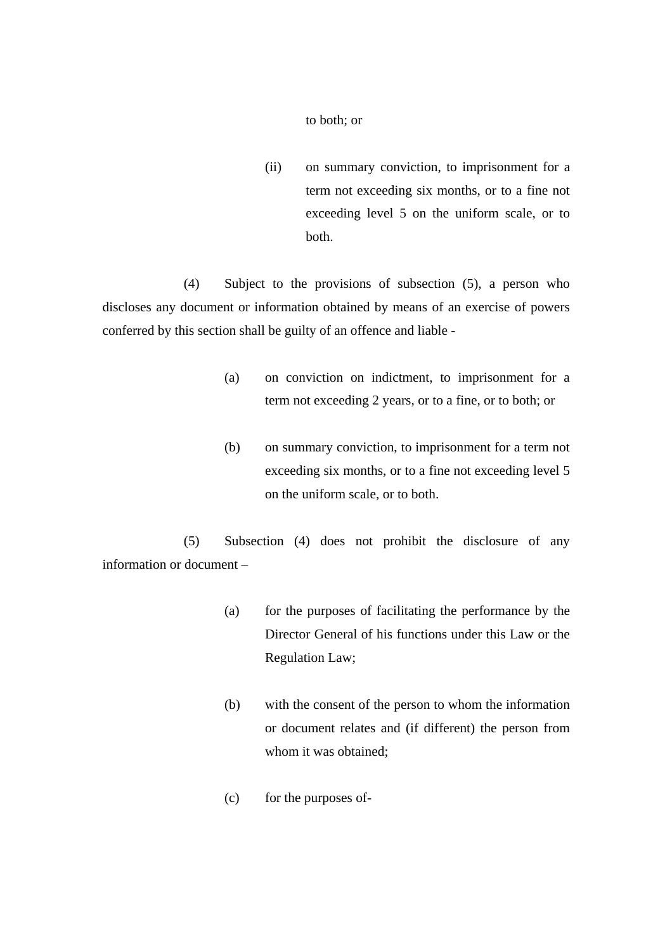#### to both; or

(ii) on summary conviction, to imprisonment for a term not exceeding six months, or to a fine not exceeding level 5 on the uniform scale, or to both.

 (4) Subject to the provisions of subsection (5), a person who discloses any document or information obtained by means of an exercise of powers conferred by this section shall be guilty of an offence and liable -

- (a) on conviction on indictment, to imprisonment for a term not exceeding 2 years, or to a fine, or to both; or
- (b) on summary conviction, to imprisonment for a term not exceeding six months, or to a fine not exceeding level 5 on the uniform scale, or to both.

 (5) Subsection (4) does not prohibit the disclosure of any information or document –

- (a) for the purposes of facilitating the performance by the Director General of his functions under this Law or the Regulation Law;
- (b) with the consent of the person to whom the information or document relates and (if different) the person from whom it was obtained;
- (c) for the purposes of-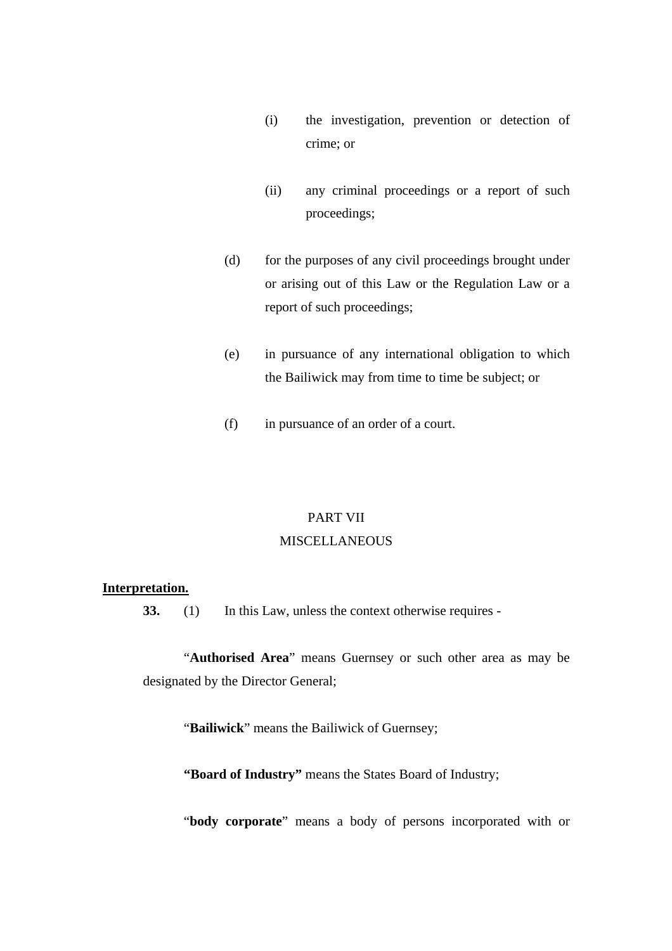- (i) the investigation, prevention or detection of crime; or
- (ii) any criminal proceedings or a report of such proceedings;
- (d) for the purposes of any civil proceedings brought under or arising out of this Law or the Regulation Law or a report of such proceedings;
- (e) in pursuance of any international obligation to which the Bailiwick may from time to time be subject; or
- (f) in pursuance of an order of a court.

## PART VII

## **MISCELLANEOUS**

## **Interpretation.**

**33.** (1) In this Law, unless the context otherwise requires -

"**Authorised Area**" means Guernsey or such other area as may be designated by the Director General;

"**Bailiwick**" means the Bailiwick of Guernsey;

**"Board of Industry"** means the States Board of Industry;

"**body corporate**" means a body of persons incorporated with or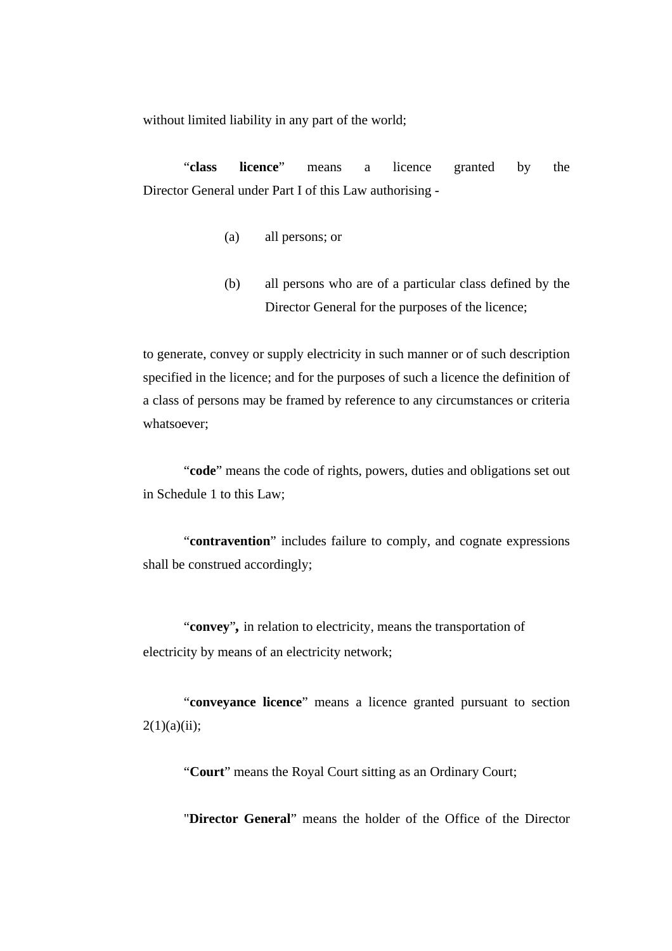without limited liability in any part of the world;

"**class licence**" means a licence granted by the Director General under Part I of this Law authorising -

- (a) all persons; or
- (b) all persons who are of a particular class defined by the Director General for the purposes of the licence;

to generate, convey or supply electricity in such manner or of such description specified in the licence; and for the purposes of such a licence the definition of a class of persons may be framed by reference to any circumstances or criteria whatsoever;

"**code**" means the code of rights, powers, duties and obligations set out in Schedule 1 to this Law;

"**contravention**" includes failure to comply, and cognate expressions shall be construed accordingly;

"**convey**"*,* in relation to electricity, means the transportation of electricity by means of an electricity network;

"**conveyance licence**" means a licence granted pursuant to section  $2(1)(a)(ii);$ 

"**Court**" means the Royal Court sitting as an Ordinary Court;

"**Director General**" means the holder of the Office of the Director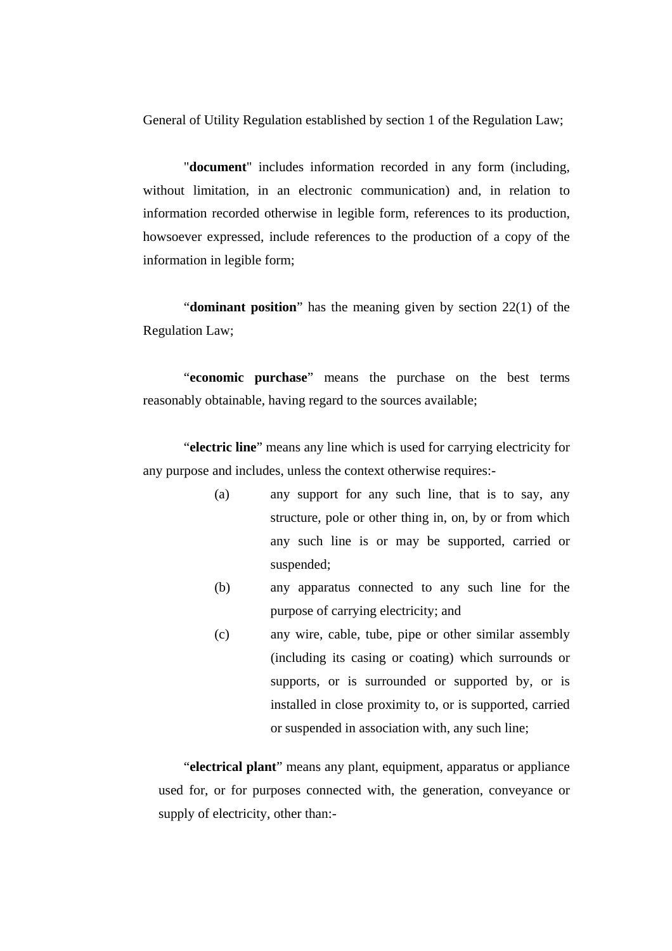General of Utility Regulation established by section 1 of the Regulation Law;

"**document**" includes information recorded in any form (including, without limitation, in an electronic communication) and, in relation to information recorded otherwise in legible form, references to its production, howsoever expressed, include references to the production of a copy of the information in legible form;

"**dominant position**" has the meaning given by section 22(1) of the Regulation Law;

"**economic purchase**" means the purchase on the best terms reasonably obtainable, having regard to the sources available;

"**electric line**" means any line which is used for carrying electricity for any purpose and includes, unless the context otherwise requires:-

- (a) any support for any such line, that is to say, any structure, pole or other thing in, on, by or from which any such line is or may be supported, carried or suspended;
- (b) any apparatus connected to any such line for the purpose of carrying electricity; and
- (c) any wire, cable, tube, pipe or other similar assembly (including its casing or coating) which surrounds or supports, or is surrounded or supported by, or is installed in close proximity to, or is supported, carried or suspended in association with, any such line;

"**electrical plant**" means any plant, equipment, apparatus or appliance used for, or for purposes connected with, the generation, conveyance or supply of electricity, other than:-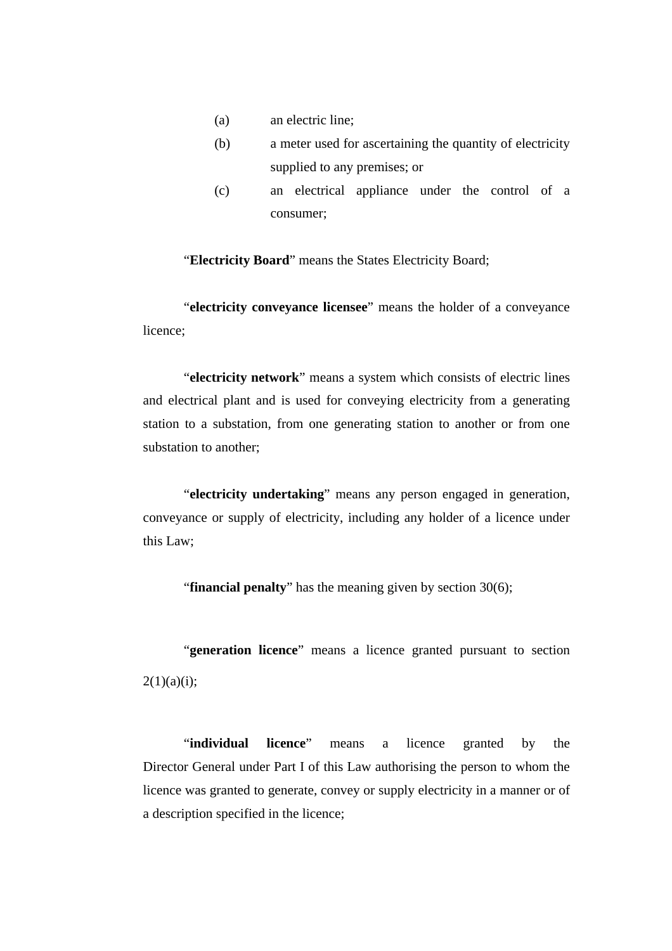- (a) an electric line;
- (b) a meter used for ascertaining the quantity of electricity supplied to any premises; or
- (c) an electrical appliance under the control of a consumer;

"**Electricity Board**" means the States Electricity Board;

"**electricity conveyance licensee**" means the holder of a conveyance licence;

"**electricity network**" means a system which consists of electric lines and electrical plant and is used for conveying electricity from a generating station to a substation, from one generating station to another or from one substation to another;

"**electricity undertaking**" means any person engaged in generation, conveyance or supply of electricity, including any holder of a licence under this Law;

"**financial penalty**" has the meaning given by section 30(6);

"**generation licence**" means a licence granted pursuant to section  $2(1)(a)(i);$ 

 "**individual licence**" means a licence granted by the Director General under Part I of this Law authorising the person to whom the licence was granted to generate, convey or supply electricity in a manner or of a description specified in the licence;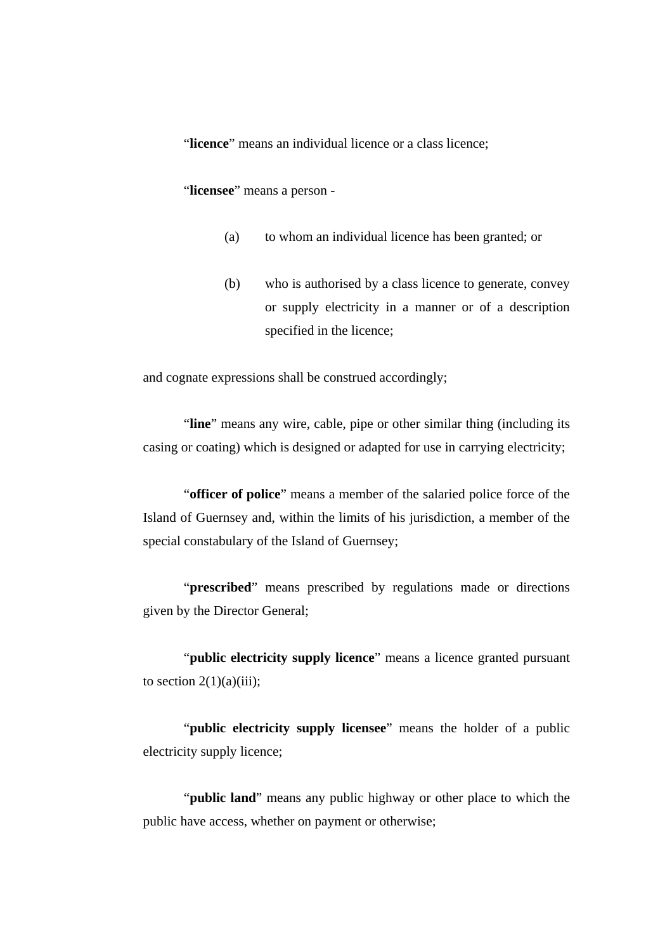"**licence**" means an individual licence or a class licence;

"**licensee**" means a person -

- (a) to whom an individual licence has been granted; or
- (b) who is authorised by a class licence to generate, convey or supply electricity in a manner or of a description specified in the licence;

and cognate expressions shall be construed accordingly;

 "**line**" means any wire, cable, pipe or other similar thing (including its casing or coating) which is designed or adapted for use in carrying electricity;

"**officer of police**" means a member of the salaried police force of the Island of Guernsey and, within the limits of his jurisdiction, a member of the special constabulary of the Island of Guernsey;

"**prescribed**" means prescribed by regulations made or directions given by the Director General;

"**public electricity supply licence**" means a licence granted pursuant to section  $2(1)(a)(iii)$ ;

"**public electricity supply licensee**" means the holder of a public electricity supply licence;

"**public land**" means any public highway or other place to which the public have access, whether on payment or otherwise;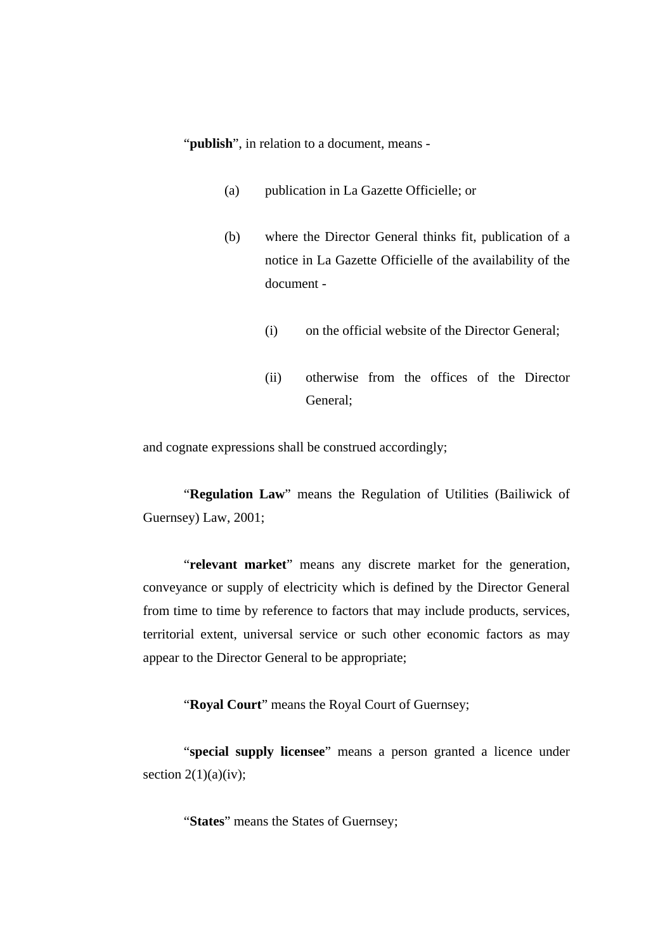"**publish**", in relation to a document, means -

- (a) publication in La Gazette Officielle; or
- (b) where the Director General thinks fit, publication of a notice in La Gazette Officielle of the availability of the document -
	- (i) on the official website of the Director General;
	- (ii) otherwise from the offices of the Director General;

and cognate expressions shall be construed accordingly;

"**Regulation Law**" means the Regulation of Utilities (Bailiwick of Guernsey) Law, 2001;

"**relevant market**" means any discrete market for the generation, conveyance or supply of electricity which is defined by the Director General from time to time by reference to factors that may include products, services, territorial extent, universal service or such other economic factors as may appear to the Director General to be appropriate;

"**Royal Court**" means the Royal Court of Guernsey;

"**special supply licensee**" means a person granted a licence under section  $2(1)(a)(iv)$ ;

"**States**" means the States of Guernsey;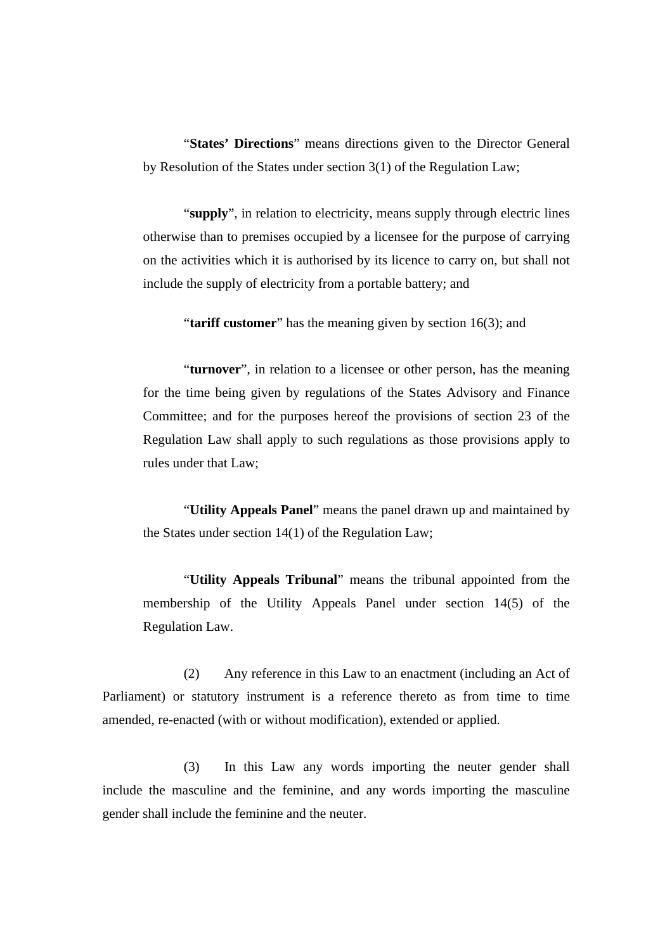"**States' Directions**" means directions given to the Director General by Resolution of the States under section 3(1) of the Regulation Law;

"supply", in relation to electricity, means supply through electric lines otherwise than to premises occupied by a licensee for the purpose of carrying on the activities which it is authorised by its licence to carry on, but shall not include the supply of electricity from a portable battery; and

"tariff customer" has the meaning given by section 16(3); and

"**turnover**", in relation to a licensee or other person, has the meaning for the time being given by regulations of the States Advisory and Finance Committee; and for the purposes hereof the provisions of section 23 of the Regulation Law shall apply to such regulations as those provisions apply to rules under that Law;

"**Utility Appeals Panel**" means the panel drawn up and maintained by the States under section 14(1) of the Regulation Law;

"**Utility Appeals Tribunal**" means the tribunal appointed from the membership of the Utility Appeals Panel under section 14(5) of the Regulation Law.

 (2) Any reference in this Law to an enactment (including an Act of Parliament) or statutory instrument is a reference thereto as from time to time amended, re-enacted (with or without modification), extended or applied.

 (3) In this Law any words importing the neuter gender shall include the masculine and the feminine, and any words importing the masculine gender shall include the feminine and the neuter.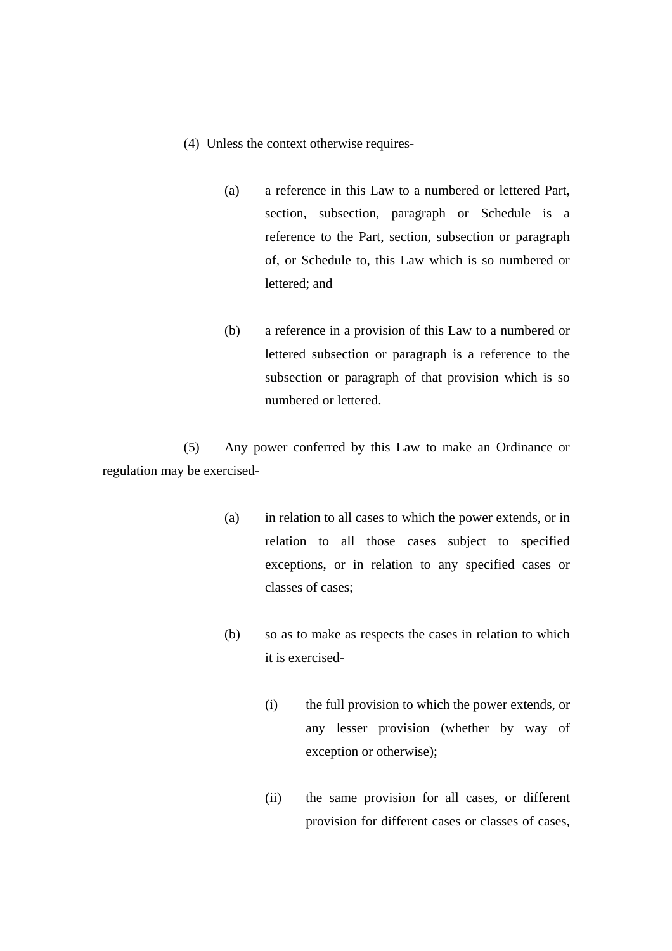- (4) Unless the context otherwise requires-
	- (a) a reference in this Law to a numbered or lettered Part, section, subsection, paragraph or Schedule is a reference to the Part, section, subsection or paragraph of, or Schedule to, this Law which is so numbered or lettered; and
	- (b) a reference in a provision of this Law to a numbered or lettered subsection or paragraph is a reference to the subsection or paragraph of that provision which is so numbered or lettered.

 (5) Any power conferred by this Law to make an Ordinance or regulation may be exercised-

- (a) in relation to all cases to which the power extends, or in relation to all those cases subject to specified exceptions, or in relation to any specified cases or classes of cases;
- (b) so as to make as respects the cases in relation to which it is exercised-
	- (i) the full provision to which the power extends, or any lesser provision (whether by way of exception or otherwise);
	- (ii) the same provision for all cases, or different provision for different cases or classes of cases,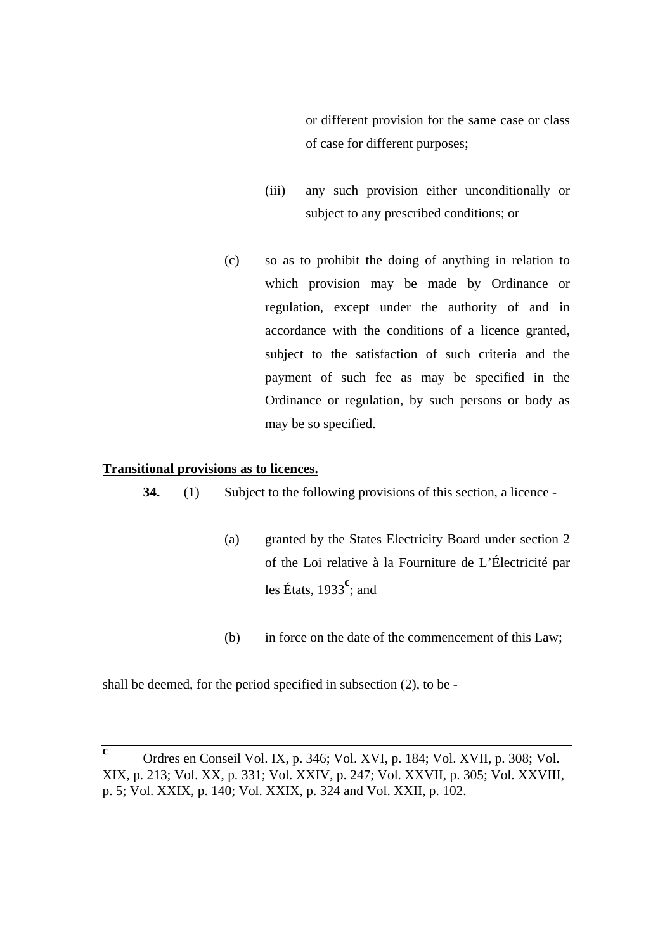or different provision for the same case or class of case for different purposes;

- (iii) any such provision either unconditionally or subject to any prescribed conditions; or
- (c) so as to prohibit the doing of anything in relation to which provision may be made by Ordinance or regulation, except under the authority of and in accordance with the conditions of a licence granted, subject to the satisfaction of such criteria and the payment of such fee as may be specified in the Ordinance or regulation, by such persons or body as may be so specified.

### **Transitional provisions as to licences.**

**34.** (1) Subject to the following provisions of this section, a licence -

- (a) granted by the States Electricity Board under section 2 of the Loi relative à la Fourniture de L'Électricité par les États, 1933**<sup>c</sup>** ; and
- (b) in force on the date of the commencement of this Law;

shall be deemed, for the period specified in subsection (2), to be -

**c** Ordres en Conseil Vol. IX, p. 346; Vol. XVI, p. 184; Vol. XVII, p. 308; Vol. XIX, p. 213; Vol. XX, p. 331; Vol. XXIV, p. 247; Vol. XXVII, p. 305; Vol. XXVIII, p. 5; Vol. XXIX, p. 140; Vol. XXIX, p. 324 and Vol. XXII, p. 102.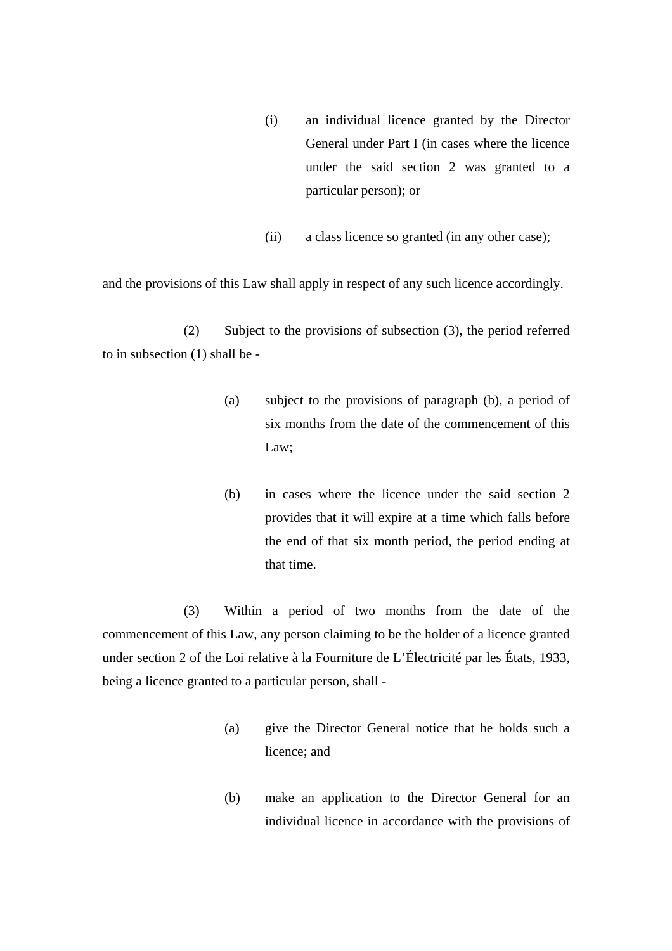- (i) an individual licence granted by the Director General under Part I (in cases where the licence under the said section 2 was granted to a particular person); or
- (ii) a class licence so granted (in any other case);

and the provisions of this Law shall apply in respect of any such licence accordingly.

 (2) Subject to the provisions of subsection (3), the period referred to in subsection (1) shall be -

- (a) subject to the provisions of paragraph (b), a period of six months from the date of the commencement of this Law;
- (b) in cases where the licence under the said section 2 provides that it will expire at a time which falls before the end of that six month period, the period ending at that time.

 (3) Within a period of two months from the date of the commencement of this Law, any person claiming to be the holder of a licence granted under section 2 of the Loi relative à la Fourniture de L'Électricité par les États, 1933, being a licence granted to a particular person, shall -

- (a) give the Director General notice that he holds such a licence; and
- (b) make an application to the Director General for an individual licence in accordance with the provisions of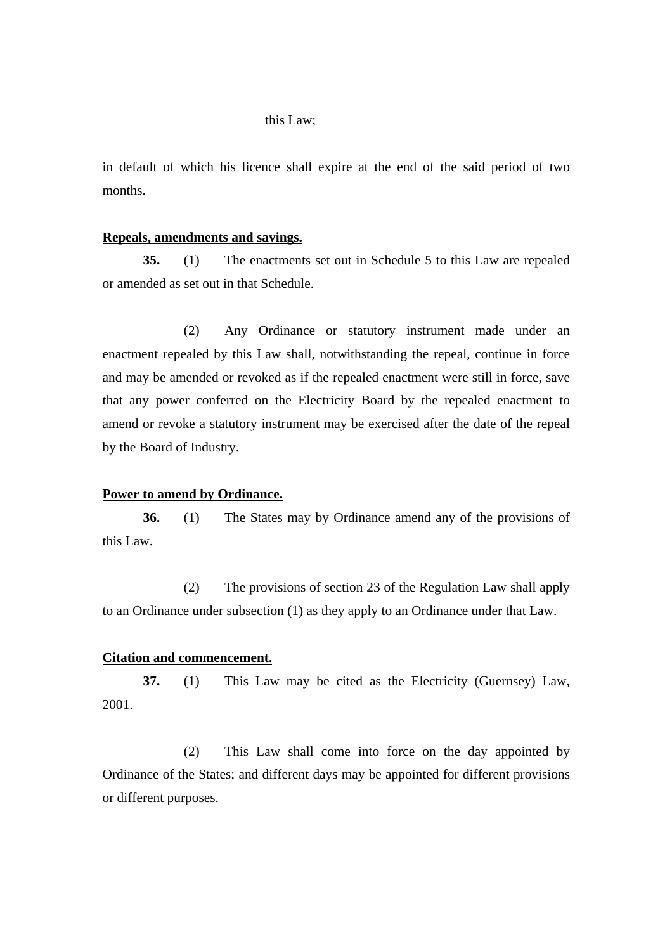#### this Law;

in default of which his licence shall expire at the end of the said period of two months.

## **Repeals, amendments and savings.**

**35.** (1) The enactments set out in Schedule 5 to this Law are repealed or amended as set out in that Schedule.

 (2) Any Ordinance or statutory instrument made under an enactment repealed by this Law shall, notwithstanding the repeal, continue in force and may be amended or revoked as if the repealed enactment were still in force, save that any power conferred on the Electricity Board by the repealed enactment to amend or revoke a statutory instrument may be exercised after the date of the repeal by the Board of Industry.

## **Power to amend by Ordinance.**

**36.** (1) The States may by Ordinance amend any of the provisions of this Law.

 (2) The provisions of section 23 of the Regulation Law shall apply to an Ordinance under subsection (1) as they apply to an Ordinance under that Law.

#### **Citation and commencement.**

**37.** (1) This Law may be cited as the Electricity (Guernsey) Law, 2001.

 (2) This Law shall come into force on the day appointed by Ordinance of the States; and different days may be appointed for different provisions or different purposes.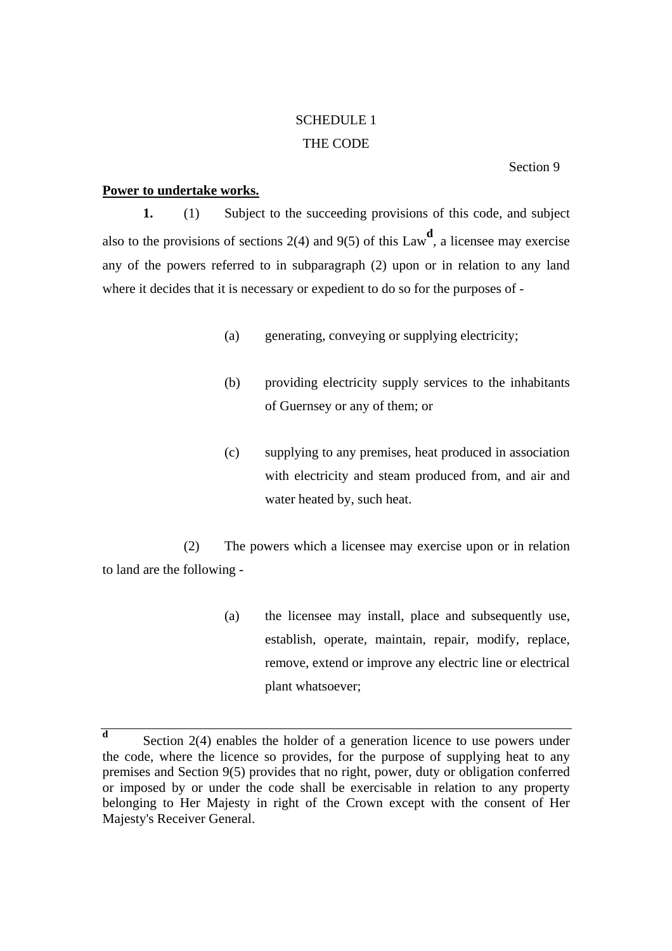# SCHEDULE 1 THE CODE

Section 9

## **Power to undertake works.**

**1.** (1) Subject to the succeeding provisions of this code, and subject also to the provisions of sections 2(4) and 9(5) of this Law<sup>d</sup>, a licensee may exercise any of the powers referred to in subparagraph (2) upon or in relation to any land where it decides that it is necessary or expedient to do so for the purposes of -

- (a) generating, conveying or supplying electricity;
- (b) providing electricity supply services to the inhabitants of Guernsey or any of them; or
- (c) supplying to any premises, heat produced in association with electricity and steam produced from, and air and water heated by, such heat.

 (2) The powers which a licensee may exercise upon or in relation to land are the following -

> (a) the licensee may install, place and subsequently use, establish, operate, maintain, repair, modify, replace, remove, extend or improve any electric line or electrical plant whatsoever;

**d** Section 2(4) enables the holder of a generation licence to use powers under the code, where the licence so provides, for the purpose of supplying heat to any premises and Section 9(5) provides that no right, power, duty or obligation conferred or imposed by or under the code shall be exercisable in relation to any property belonging to Her Majesty in right of the Crown except with the consent of Her Majesty's Receiver General.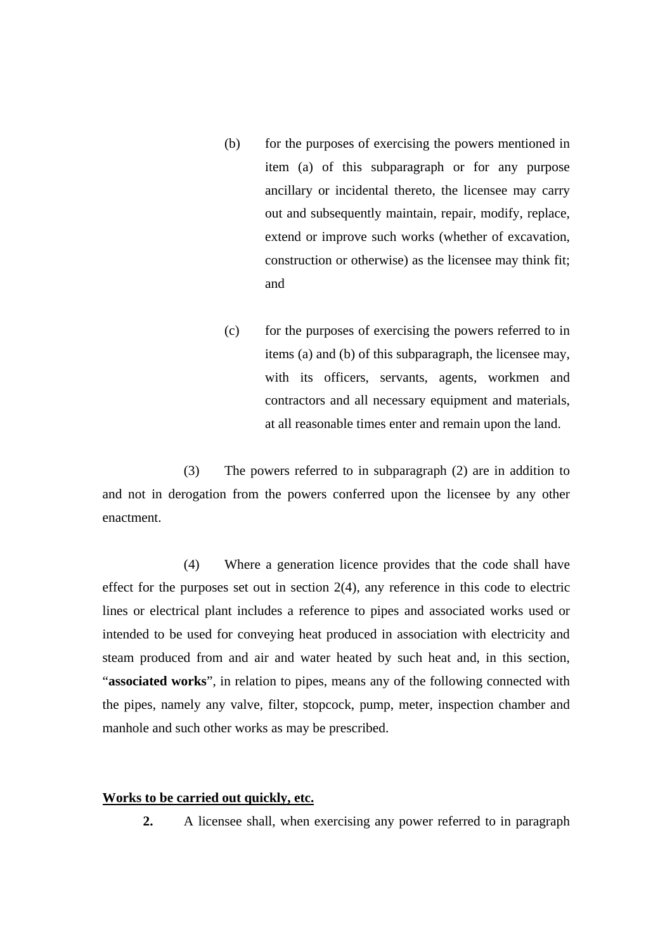- (b) for the purposes of exercising the powers mentioned in item (a) of this subparagraph or for any purpose ancillary or incidental thereto, the licensee may carry out and subsequently maintain, repair, modify, replace, extend or improve such works (whether of excavation, construction or otherwise) as the licensee may think fit; and
- (c) for the purposes of exercising the powers referred to in items (a) and (b) of this subparagraph, the licensee may, with its officers, servants, agents, workmen and contractors and all necessary equipment and materials, at all reasonable times enter and remain upon the land.

 (3) The powers referred to in subparagraph (2) are in addition to and not in derogation from the powers conferred upon the licensee by any other enactment.

 (4) Where a generation licence provides that the code shall have effect for the purposes set out in section 2(4), any reference in this code to electric lines or electrical plant includes a reference to pipes and associated works used or intended to be used for conveying heat produced in association with electricity and steam produced from and air and water heated by such heat and, in this section, "**associated works**", in relation to pipes, means any of the following connected with the pipes, namely any valve, filter, stopcock, pump, meter, inspection chamber and manhole and such other works as may be prescribed.

#### **Works to be carried out quickly, etc.**

**2.** A licensee shall, when exercising any power referred to in paragraph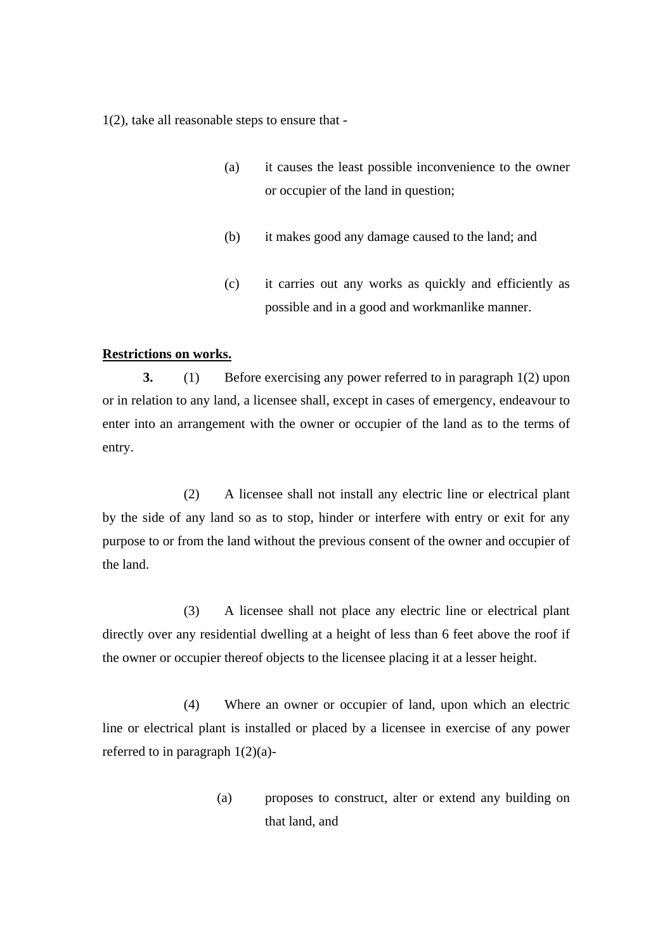1(2), take all reasonable steps to ensure that -

- (a) it causes the least possible inconvenience to the owner or occupier of the land in question;
- (b) it makes good any damage caused to the land; and
- (c) it carries out any works as quickly and efficiently as possible and in a good and workmanlike manner.

#### **Restrictions on works.**

**3.** (1) Before exercising any power referred to in paragraph 1(2) upon or in relation to any land, a licensee shall, except in cases of emergency, endeavour to enter into an arrangement with the owner or occupier of the land as to the terms of entry.

 (2) A licensee shall not install any electric line or electrical plant by the side of any land so as to stop, hinder or interfere with entry or exit for any purpose to or from the land without the previous consent of the owner and occupier of the land.

 (3) A licensee shall not place any electric line or electrical plant directly over any residential dwelling at a height of less than 6 feet above the roof if the owner or occupier thereof objects to the licensee placing it at a lesser height.

(4) Where an owner or occupier of land, upon which an electric line or electrical plant is installed or placed by a licensee in exercise of any power referred to in paragraph  $1(2)(a)$ -

> (a) proposes to construct, alter or extend any building on that land, and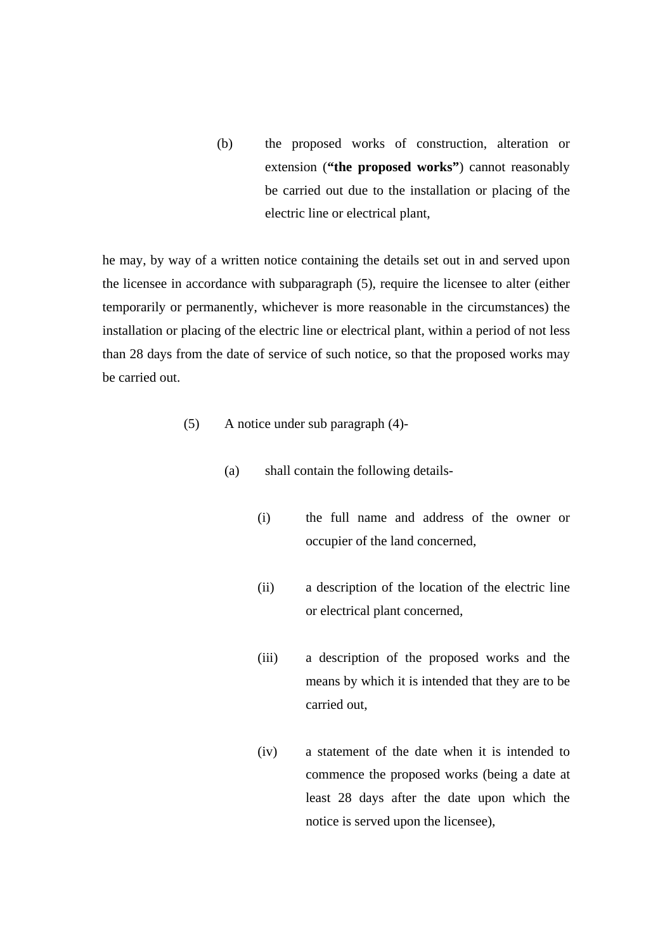(b) the proposed works of construction, alteration or extension (**"the proposed works"**) cannot reasonably be carried out due to the installation or placing of the electric line or electrical plant,

he may, by way of a written notice containing the details set out in and served upon the licensee in accordance with subparagraph (5), require the licensee to alter (either temporarily or permanently, whichever is more reasonable in the circumstances) the installation or placing of the electric line or electrical plant, within a period of not less than 28 days from the date of service of such notice, so that the proposed works may be carried out.

- (5) A notice under sub paragraph (4)-
	- (a) shall contain the following details-
		- (i) the full name and address of the owner or occupier of the land concerned,
		- (ii) a description of the location of the electric line or electrical plant concerned,
		- (iii) a description of the proposed works and the means by which it is intended that they are to be carried out,
		- (iv) a statement of the date when it is intended to commence the proposed works (being a date at least 28 days after the date upon which the notice is served upon the licensee),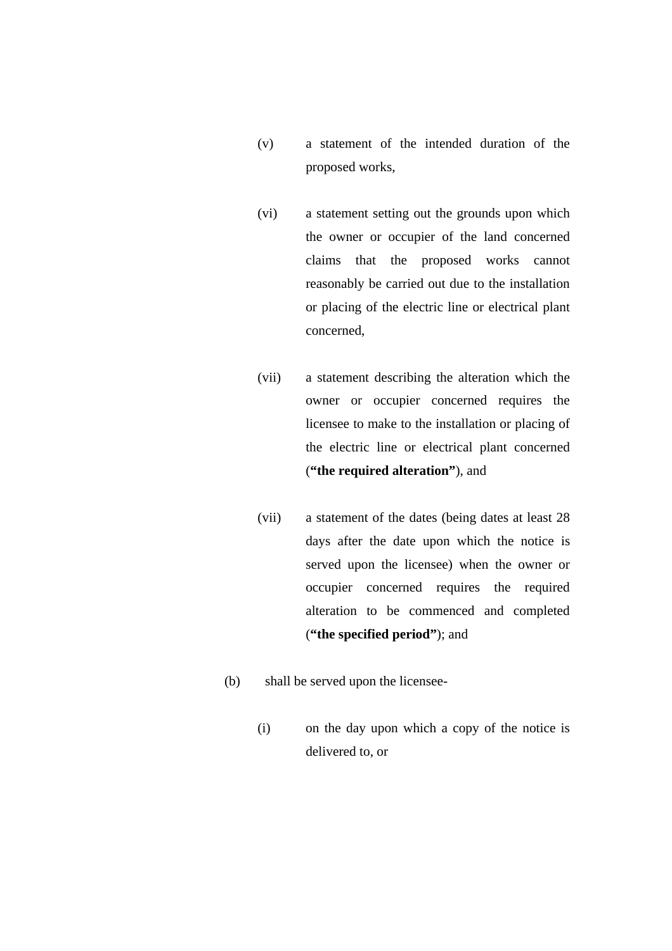- (v) a statement of the intended duration of the proposed works,
- (vi) a statement setting out the grounds upon which the owner or occupier of the land concerned claims that the proposed works cannot reasonably be carried out due to the installation or placing of the electric line or electrical plant concerned,
- (vii) a statement describing the alteration which the owner or occupier concerned requires the licensee to make to the installation or placing of the electric line or electrical plant concerned (**"the required alteration"**), and
- (vii) a statement of the dates (being dates at least 28 days after the date upon which the notice is served upon the licensee) when the owner or occupier concerned requires the required alteration to be commenced and completed (**"the specified period"**); and
- (b) shall be served upon the licensee-
	- (i) on the day upon which a copy of the notice is delivered to, or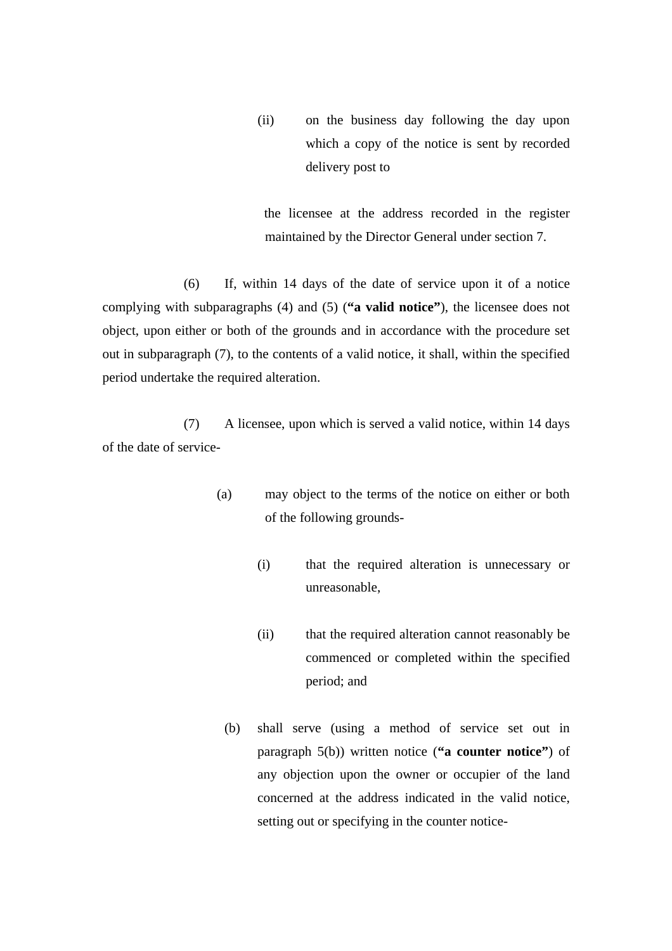(ii) on the business day following the day upon which a copy of the notice is sent by recorded delivery post to

the licensee at the address recorded in the register maintained by the Director General under section 7.

 (6) If, within 14 days of the date of service upon it of a notice complying with subparagraphs (4) and (5) (**"a valid notice"**), the licensee does not object, upon either or both of the grounds and in accordance with the procedure set out in subparagraph (7), to the contents of a valid notice, it shall, within the specified period undertake the required alteration.

 (7) A licensee, upon which is served a valid notice, within 14 days of the date of service-

- (a) may object to the terms of the notice on either or both of the following grounds-
	- (i) that the required alteration is unnecessary or unreasonable,
	- (ii) that the required alteration cannot reasonably be commenced or completed within the specified period; and
	- (b) shall serve (using a method of service set out in paragraph 5(b)) written notice (**"a counter notice"**) of any objection upon the owner or occupier of the land concerned at the address indicated in the valid notice, setting out or specifying in the counter notice-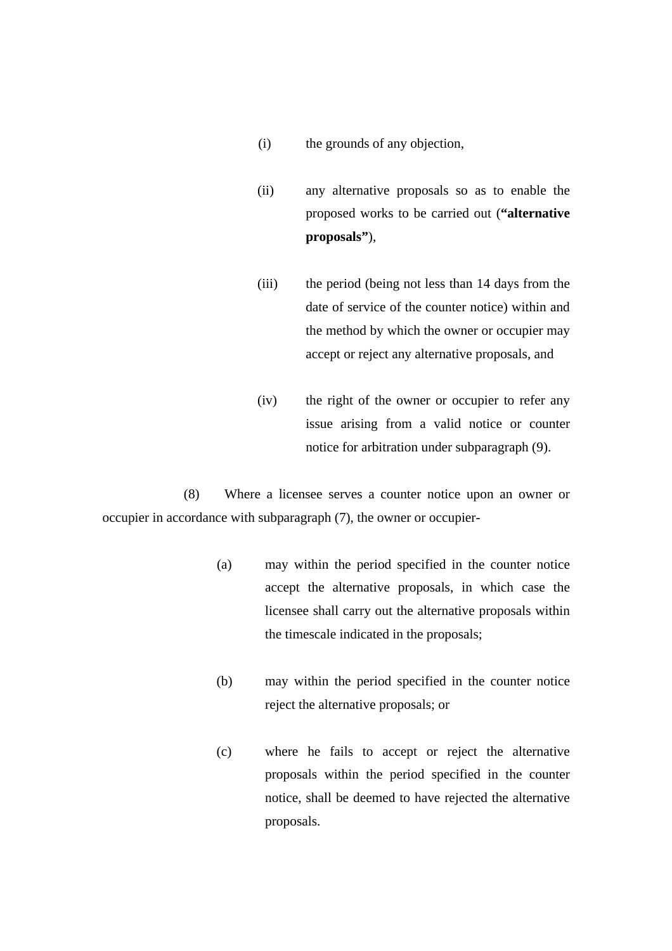- (i) the grounds of any objection,
- (ii) any alternative proposals so as to enable the proposed works to be carried out (**"alternative proposals"**),
- (iii) the period (being not less than 14 days from the date of service of the counter notice) within and the method by which the owner or occupier may accept or reject any alternative proposals, and
- (iv) the right of the owner or occupier to refer any issue arising from a valid notice or counter notice for arbitration under subparagraph (9).

(8) Where a licensee serves a counter notice upon an owner or occupier in accordance with subparagraph (7), the owner or occupier-

- (a) may within the period specified in the counter notice accept the alternative proposals, in which case the licensee shall carry out the alternative proposals within the timescale indicated in the proposals;
- (b) may within the period specified in the counter notice reject the alternative proposals; or
- (c) where he fails to accept or reject the alternative proposals within the period specified in the counter notice, shall be deemed to have rejected the alternative proposals.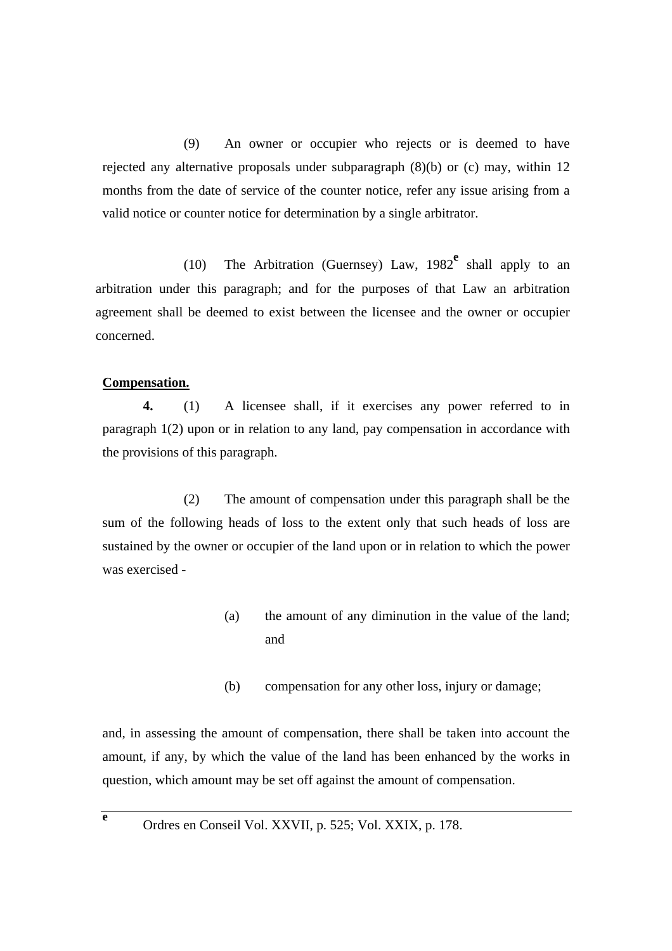(9) An owner or occupier who rejects or is deemed to have rejected any alternative proposals under subparagraph (8)(b) or (c) may, within 12 months from the date of service of the counter notice, refer any issue arising from a valid notice or counter notice for determination by a single arbitrator.

(10) The Arbitration (Guernsey) Law, 1982**<sup>e</sup>** shall apply to an arbitration under this paragraph; and for the purposes of that Law an arbitration agreement shall be deemed to exist between the licensee and the owner or occupier concerned.

## **Compensation.**

**4.** (1) A licensee shall, if it exercises any power referred to in paragraph 1(2) upon or in relation to any land, pay compensation in accordance with the provisions of this paragraph.

 (2) The amount of compensation under this paragraph shall be the sum of the following heads of loss to the extent only that such heads of loss are sustained by the owner or occupier of the land upon or in relation to which the power was exercised -

- (a) the amount of any diminution in the value of the land; and
- (b) compensation for any other loss, injury or damage;

and, in assessing the amount of compensation, there shall be taken into account the amount, if any, by which the value of the land has been enhanced by the works in question, which amount may be set off against the amount of compensation.

**e**

Ordres en Conseil Vol. XXVII, p. 525; Vol. XXIX, p. 178.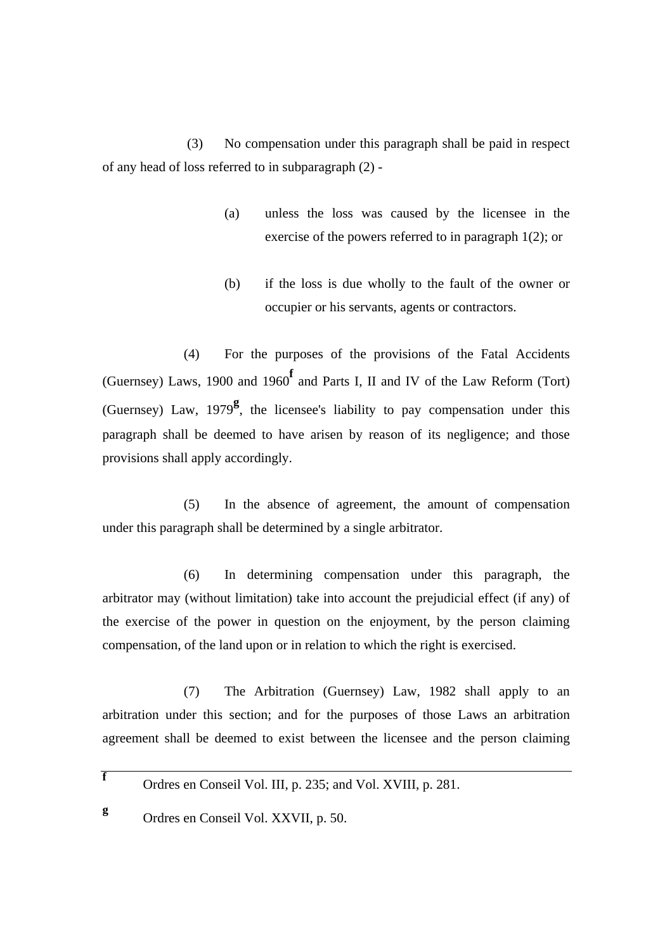(3) No compensation under this paragraph shall be paid in respect of any head of loss referred to in subparagraph (2) -

- (a) unless the loss was caused by the licensee in the exercise of the powers referred to in paragraph 1(2); or
- (b) if the loss is due wholly to the fault of the owner or occupier or his servants, agents or contractors.

 (4) For the purposes of the provisions of the Fatal Accidents (Guernsey) Laws, 1900 and 1960<sup>f</sup> and Parts I, II and IV of the Law Reform (Tort) (Guernsey) Law,  $1979^{\mathbf{g}}$ , the licensee's liability to pay compensation under this paragraph shall be deemed to have arisen by reason of its negligence; and those provisions shall apply accordingly.

 (5) In the absence of agreement, the amount of compensation under this paragraph shall be determined by a single arbitrator.

 (6) In determining compensation under this paragraph, the arbitrator may (without limitation) take into account the prejudicial effect (if any) of the exercise of the power in question on the enjoyment, by the person claiming compensation, of the land upon or in relation to which the right is exercised.

 (7) The Arbitration (Guernsey) Law, 1982 shall apply to an arbitration under this section; and for the purposes of those Laws an arbitration agreement shall be deemed to exist between the licensee and the person claiming

**<sup>g</sup>** Ordres en Conseil Vol. XXVII, p. 50.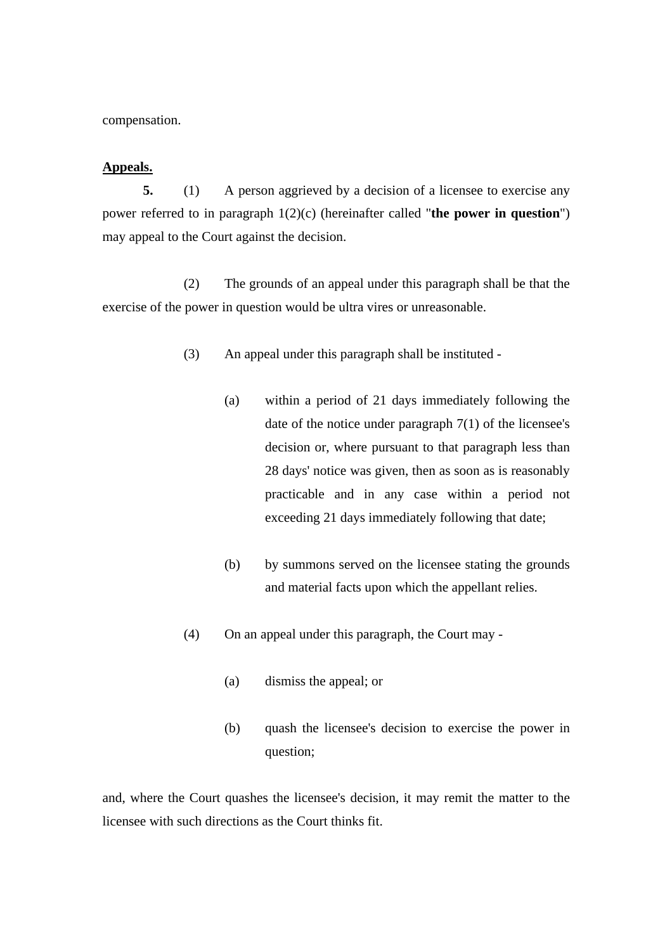compensation.

## **Appeals.**

**5.** (1) A person aggrieved by a decision of a licensee to exercise any power referred to in paragraph 1(2)(c) (hereinafter called "**the power in question**") may appeal to the Court against the decision.

 (2) The grounds of an appeal under this paragraph shall be that the exercise of the power in question would be ultra vires or unreasonable.

- (3) An appeal under this paragraph shall be instituted
	- (a) within a period of 21 days immediately following the date of the notice under paragraph 7(1) of the licensee's decision or, where pursuant to that paragraph less than 28 days' notice was given, then as soon as is reasonably practicable and in any case within a period not exceeding 21 days immediately following that date;
	- (b) by summons served on the licensee stating the grounds and material facts upon which the appellant relies.
- (4) On an appeal under this paragraph, the Court may
	- (a) dismiss the appeal; or
	- (b) quash the licensee's decision to exercise the power in question;

and, where the Court quashes the licensee's decision, it may remit the matter to the licensee with such directions as the Court thinks fit.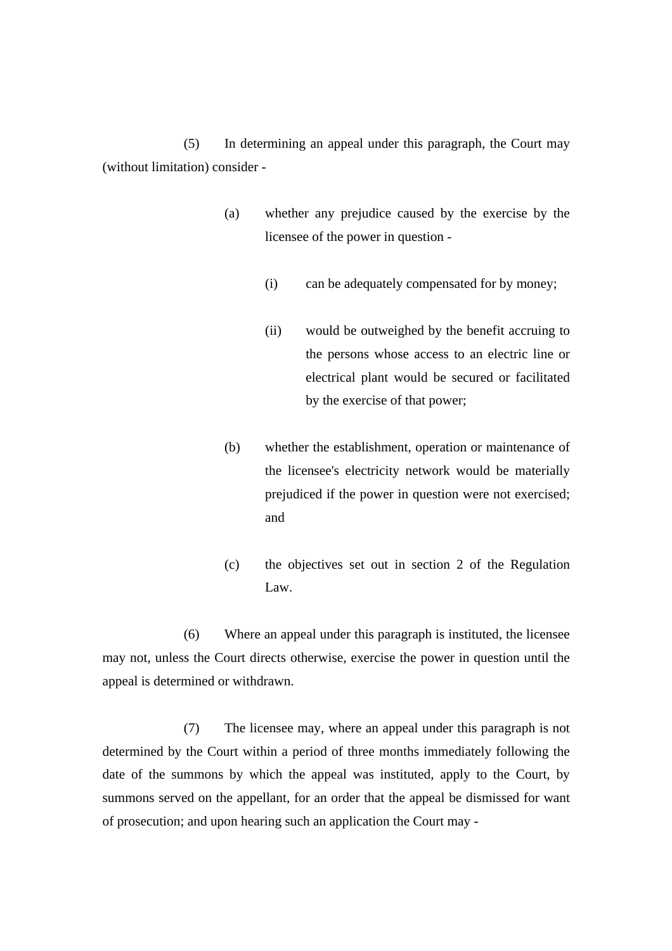(5) In determining an appeal under this paragraph, the Court may (without limitation) consider -

- (a) whether any prejudice caused by the exercise by the licensee of the power in question -
	- (i) can be adequately compensated for by money;
	- (ii) would be outweighed by the benefit accruing to the persons whose access to an electric line or electrical plant would be secured or facilitated by the exercise of that power;
- (b) whether the establishment, operation or maintenance of the licensee's electricity network would be materially prejudiced if the power in question were not exercised; and
- (c) the objectives set out in section 2 of the Regulation Law.

 (6) Where an appeal under this paragraph is instituted, the licensee may not, unless the Court directs otherwise, exercise the power in question until the appeal is determined or withdrawn.

 (7) The licensee may, where an appeal under this paragraph is not determined by the Court within a period of three months immediately following the date of the summons by which the appeal was instituted, apply to the Court, by summons served on the appellant, for an order that the appeal be dismissed for want of prosecution; and upon hearing such an application the Court may -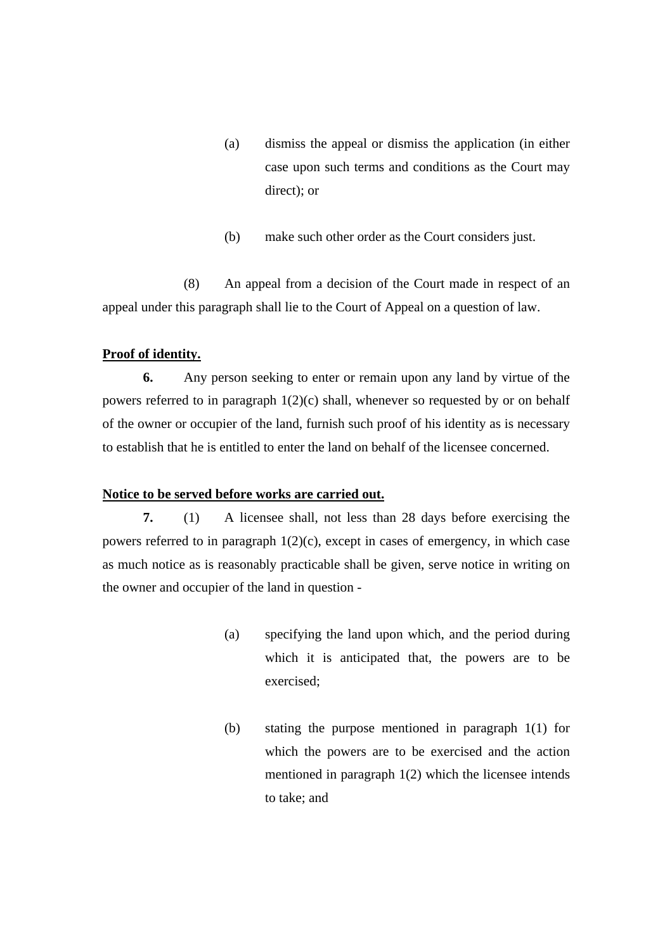- (a) dismiss the appeal or dismiss the application (in either case upon such terms and conditions as the Court may direct); or
- (b) make such other order as the Court considers just.

 (8) An appeal from a decision of the Court made in respect of an appeal under this paragraph shall lie to the Court of Appeal on a question of law.

## **Proof of identity.**

**6.** Any person seeking to enter or remain upon any land by virtue of the powers referred to in paragraph 1(2)(c) shall, whenever so requested by or on behalf of the owner or occupier of the land, furnish such proof of his identity as is necessary to establish that he is entitled to enter the land on behalf of the licensee concerned.

## **Notice to be served before works are carried out.**

**7.** (1) A licensee shall, not less than 28 days before exercising the powers referred to in paragraph  $1(2)(c)$ , except in cases of emergency, in which case as much notice as is reasonably practicable shall be given, serve notice in writing on the owner and occupier of the land in question -

- (a) specifying the land upon which, and the period during which it is anticipated that, the powers are to be exercised;
- (b) stating the purpose mentioned in paragraph 1(1) for which the powers are to be exercised and the action mentioned in paragraph 1(2) which the licensee intends to take; and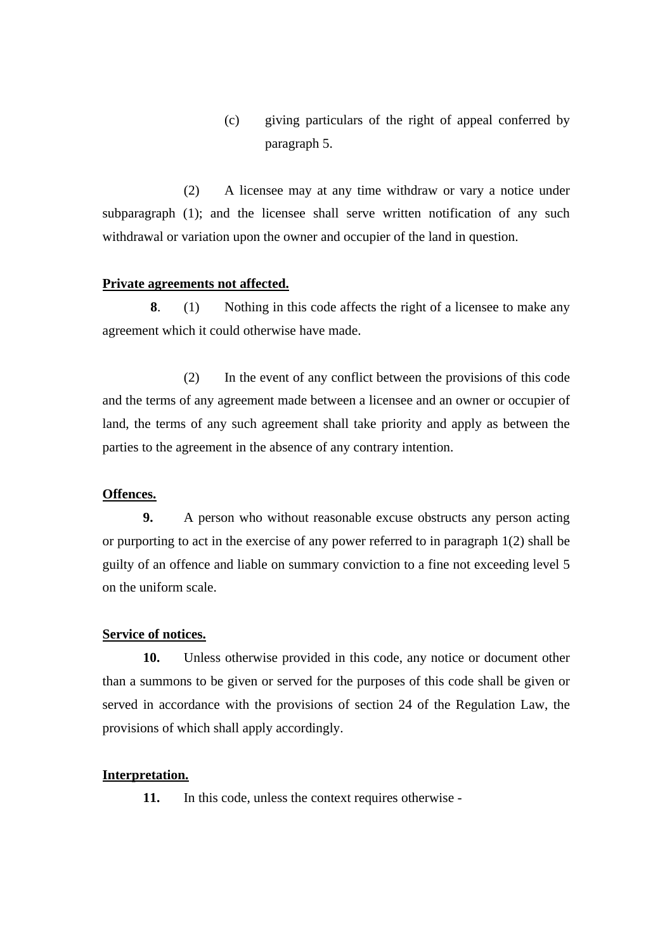(c) giving particulars of the right of appeal conferred by paragraph 5.

 (2) A licensee may at any time withdraw or vary a notice under subparagraph (1); and the licensee shall serve written notification of any such withdrawal or variation upon the owner and occupier of the land in question.

#### **Private agreements not affected.**

**8**. (1) Nothing in this code affects the right of a licensee to make any agreement which it could otherwise have made.

 (2) In the event of any conflict between the provisions of this code and the terms of any agreement made between a licensee and an owner or occupier of land, the terms of any such agreement shall take priority and apply as between the parties to the agreement in the absence of any contrary intention.

## **Offences.**

**9.** A person who without reasonable excuse obstructs any person acting or purporting to act in the exercise of any power referred to in paragraph 1(2) shall be guilty of an offence and liable on summary conviction to a fine not exceeding level 5 on the uniform scale.

#### **Service of notices.**

**10.** Unless otherwise provided in this code, any notice or document other than a summons to be given or served for the purposes of this code shall be given or served in accordance with the provisions of section 24 of the Regulation Law, the provisions of which shall apply accordingly.

#### **Interpretation.**

**11.** In this code, unless the context requires otherwise -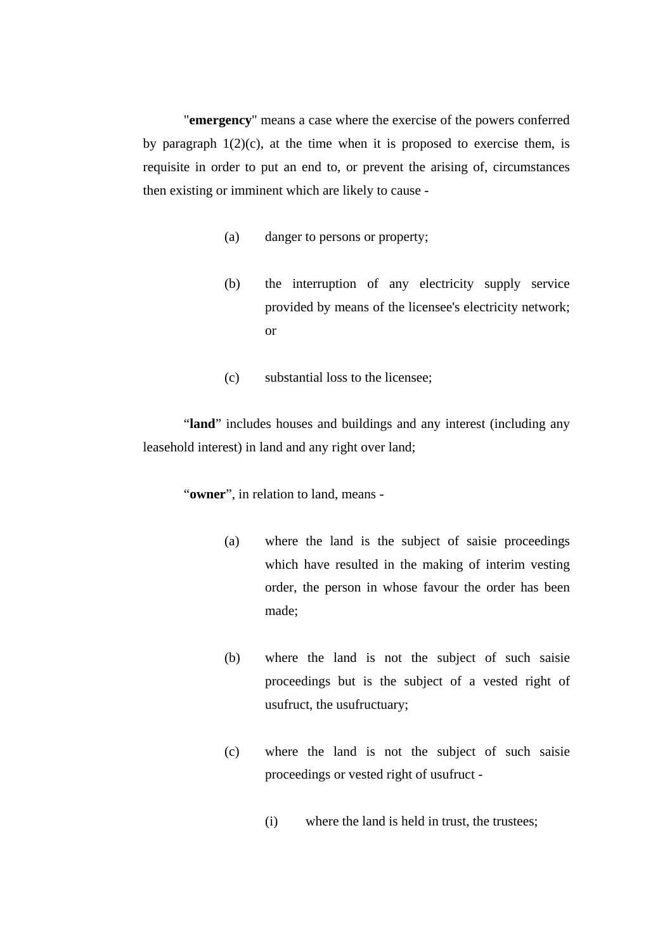"**emergency**" means a case where the exercise of the powers conferred by paragraph  $1(2)(c)$ , at the time when it is proposed to exercise them, is requisite in order to put an end to, or prevent the arising of, circumstances then existing or imminent which are likely to cause -

- (a) danger to persons or property;
- (b) the interruption of any electricity supply service provided by means of the licensee's electricity network; or
- (c) substantial loss to the licensee;

"**land**" includes houses and buildings and any interest (including any leasehold interest) in land and any right over land;

"**owner**", in relation to land, means -

- (a) where the land is the subject of saisie proceedings which have resulted in the making of interim vesting order, the person in whose favour the order has been made;
- (b) where the land is not the subject of such saisie proceedings but is the subject of a vested right of usufruct, the usufructuary;
- (c) where the land is not the subject of such saisie proceedings or vested right of usufruct -
	- (i) where the land is held in trust, the trustees;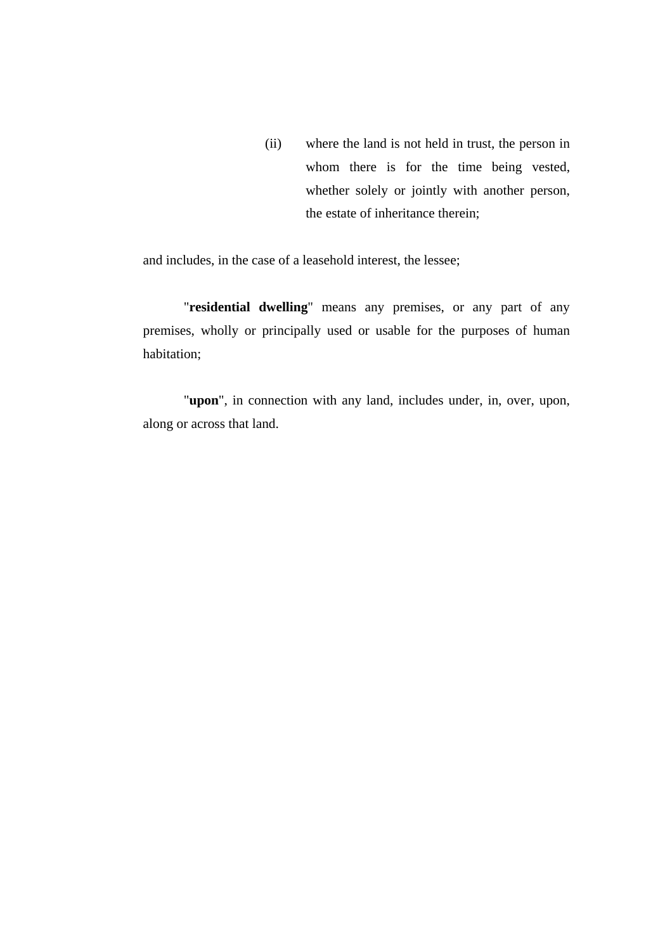(ii) where the land is not held in trust, the person in whom there is for the time being vested, whether solely or jointly with another person, the estate of inheritance therein;

and includes, in the case of a leasehold interest, the lessee;

"**residential dwelling**" means any premises, or any part of any premises, wholly or principally used or usable for the purposes of human habitation;

"**upon**", in connection with any land, includes under, in, over, upon, along or across that land.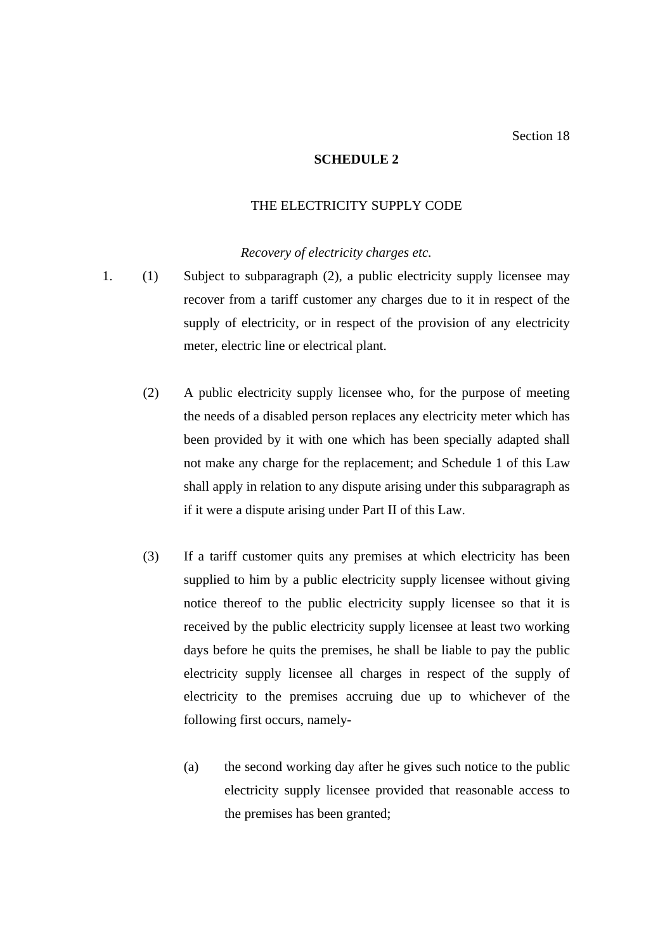#### Section 18

#### **SCHEDULE 2**

## THE ELECTRICITY SUPPLY CODE

#### *Recovery of electricity charges etc.*

- 1. (1) Subject to subparagraph (2), a public electricity supply licensee may recover from a tariff customer any charges due to it in respect of the supply of electricity, or in respect of the provision of any electricity meter, electric line or electrical plant.
	- (2) A public electricity supply licensee who, for the purpose of meeting the needs of a disabled person replaces any electricity meter which has been provided by it with one which has been specially adapted shall not make any charge for the replacement; and Schedule 1 of this Law shall apply in relation to any dispute arising under this subparagraph as if it were a dispute arising under Part II of this Law.
	- (3) If a tariff customer quits any premises at which electricity has been supplied to him by a public electricity supply licensee without giving notice thereof to the public electricity supply licensee so that it is received by the public electricity supply licensee at least two working days before he quits the premises, he shall be liable to pay the public electricity supply licensee all charges in respect of the supply of electricity to the premises accruing due up to whichever of the following first occurs, namely-
		- (a) the second working day after he gives such notice to the public electricity supply licensee provided that reasonable access to the premises has been granted;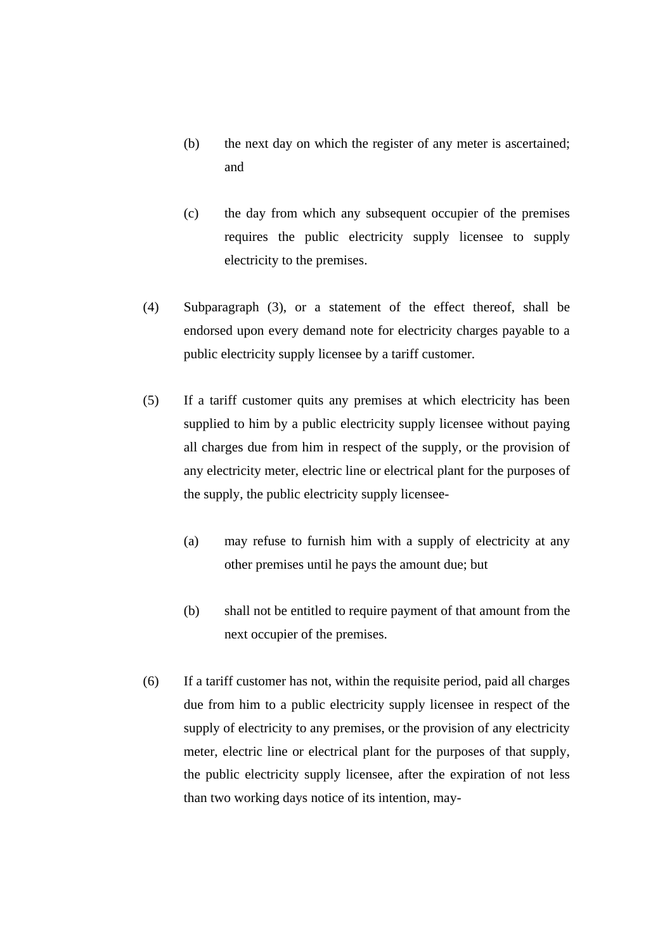- (b) the next day on which the register of any meter is ascertained; and
- (c) the day from which any subsequent occupier of the premises requires the public electricity supply licensee to supply electricity to the premises.
- (4) Subparagraph (3), or a statement of the effect thereof, shall be endorsed upon every demand note for electricity charges payable to a public electricity supply licensee by a tariff customer.
- (5) If a tariff customer quits any premises at which electricity has been supplied to him by a public electricity supply licensee without paying all charges due from him in respect of the supply, or the provision of any electricity meter, electric line or electrical plant for the purposes of the supply, the public electricity supply licensee-
	- (a) may refuse to furnish him with a supply of electricity at any other premises until he pays the amount due; but
	- (b) shall not be entitled to require payment of that amount from the next occupier of the premises.
- (6) If a tariff customer has not, within the requisite period, paid all charges due from him to a public electricity supply licensee in respect of the supply of electricity to any premises, or the provision of any electricity meter, electric line or electrical plant for the purposes of that supply, the public electricity supply licensee, after the expiration of not less than two working days notice of its intention, may-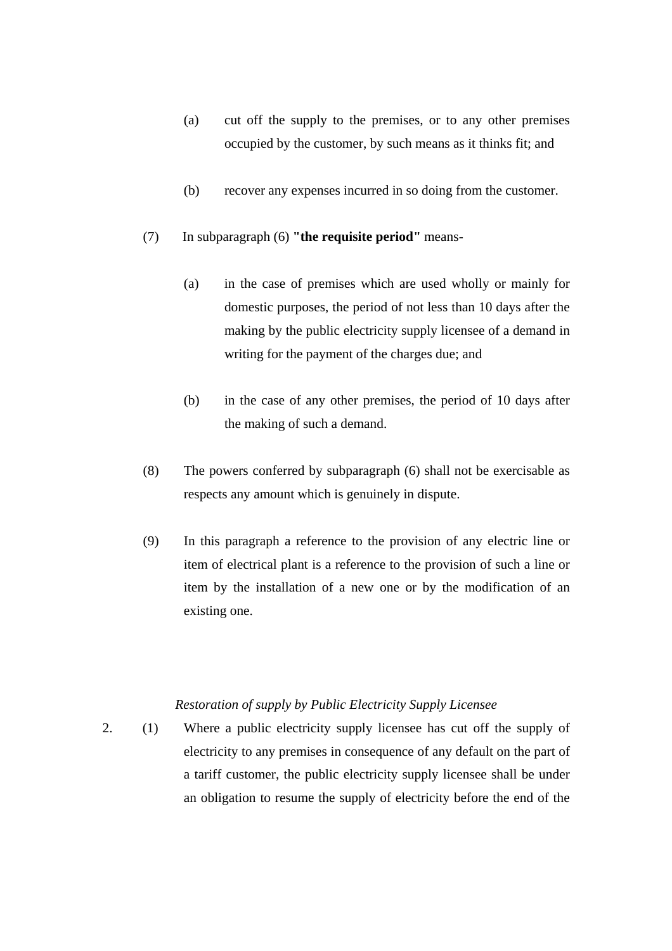- (a) cut off the supply to the premises, or to any other premises occupied by the customer, by such means as it thinks fit; and
- (b) recover any expenses incurred in so doing from the customer.

## (7) In subparagraph (6) **"the requisite period"** means-

- (a) in the case of premises which are used wholly or mainly for domestic purposes, the period of not less than 10 days after the making by the public electricity supply licensee of a demand in writing for the payment of the charges due; and
- (b) in the case of any other premises, the period of 10 days after the making of such a demand.
- (8) The powers conferred by subparagraph (6) shall not be exercisable as respects any amount which is genuinely in dispute.
- (9) In this paragraph a reference to the provision of any electric line or item of electrical plant is a reference to the provision of such a line or item by the installation of a new one or by the modification of an existing one.

### *Restoration of supply by Public Electricity Supply Licensee*

2. (1) Where a public electricity supply licensee has cut off the supply of electricity to any premises in consequence of any default on the part of a tariff customer, the public electricity supply licensee shall be under an obligation to resume the supply of electricity before the end of the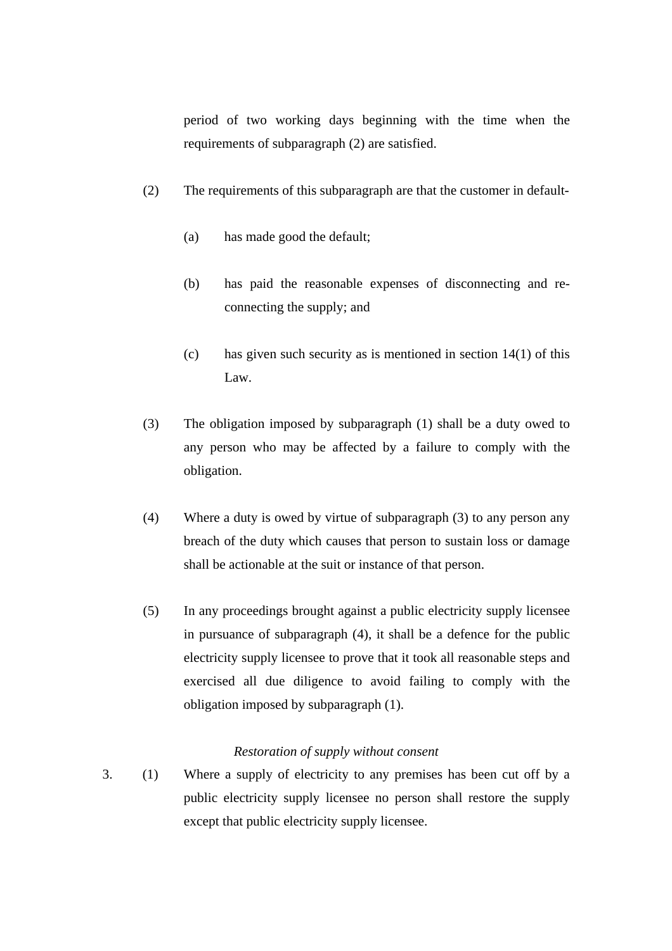period of two working days beginning with the time when the requirements of subparagraph (2) are satisfied.

- (2) The requirements of this subparagraph are that the customer in default-
	- (a) has made good the default;
	- (b) has paid the reasonable expenses of disconnecting and reconnecting the supply; and
	- (c) has given such security as is mentioned in section 14(1) of this Law.
- (3) The obligation imposed by subparagraph (1) shall be a duty owed to any person who may be affected by a failure to comply with the obligation.
- (4) Where a duty is owed by virtue of subparagraph (3) to any person any breach of the duty which causes that person to sustain loss or damage shall be actionable at the suit or instance of that person.
- (5) In any proceedings brought against a public electricity supply licensee in pursuance of subparagraph (4), it shall be a defence for the public electricity supply licensee to prove that it took all reasonable steps and exercised all due diligence to avoid failing to comply with the obligation imposed by subparagraph (1).

### *Restoration of supply without consent*

3. (1) Where a supply of electricity to any premises has been cut off by a public electricity supply licensee no person shall restore the supply except that public electricity supply licensee.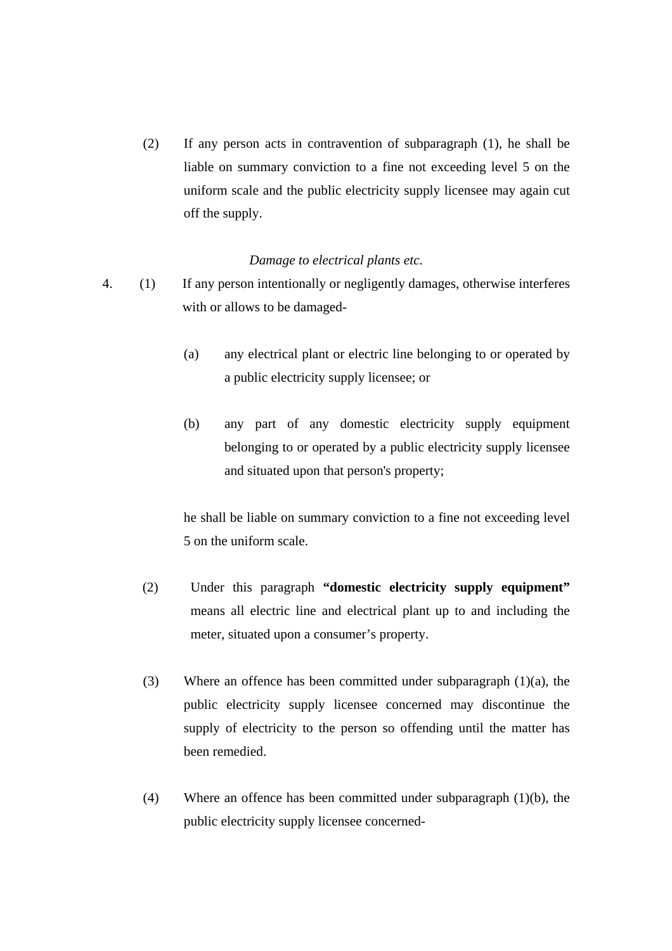(2) If any person acts in contravention of subparagraph (1), he shall be liable on summary conviction to a fine not exceeding level 5 on the uniform scale and the public electricity supply licensee may again cut off the supply.

### *Damage to electrical plants etc.*

- 4. (1) If any person intentionally or negligently damages, otherwise interferes with or allows to be damaged-
	- (a) any electrical plant or electric line belonging to or operated by a public electricity supply licensee; or
	- (b) any part of any domestic electricity supply equipment belonging to or operated by a public electricity supply licensee and situated upon that person's property;

he shall be liable on summary conviction to a fine not exceeding level 5 on the uniform scale.

- (2) Under this paragraph **"domestic electricity supply equipment"** means all electric line and electrical plant up to and including the meter, situated upon a consumer's property.
- (3) Where an offence has been committed under subparagraph  $(1)(a)$ , the public electricity supply licensee concerned may discontinue the supply of electricity to the person so offending until the matter has been remedied.
- (4) Where an offence has been committed under subparagraph (1)(b), the public electricity supply licensee concerned-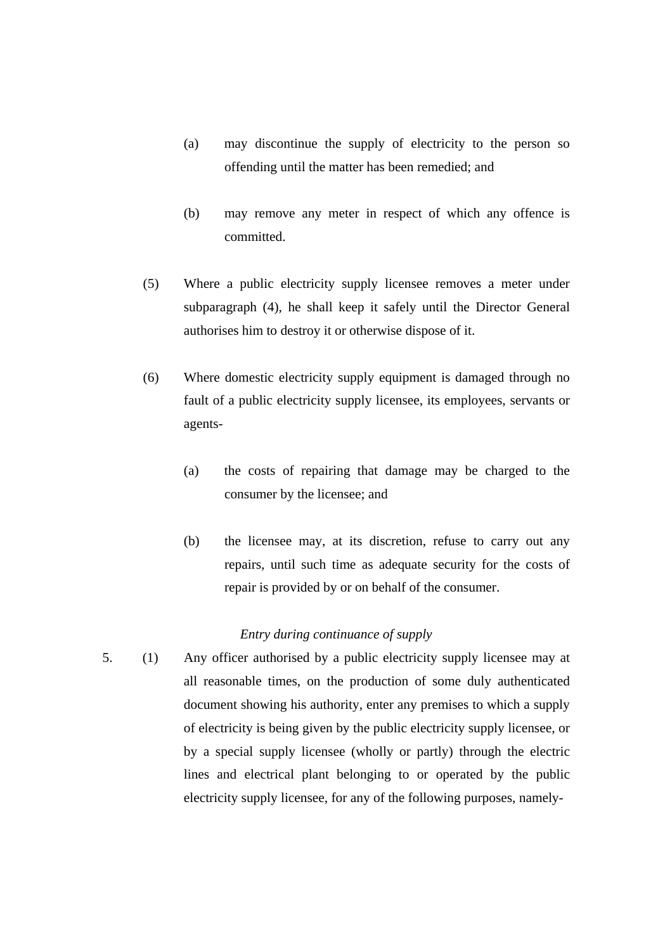- (a) may discontinue the supply of electricity to the person so offending until the matter has been remedied; and
- (b) may remove any meter in respect of which any offence is committed.
- (5) Where a public electricity supply licensee removes a meter under subparagraph (4), he shall keep it safely until the Director General authorises him to destroy it or otherwise dispose of it.
- (6) Where domestic electricity supply equipment is damaged through no fault of a public electricity supply licensee, its employees, servants or agents-
	- (a) the costs of repairing that damage may be charged to the consumer by the licensee; and
	- (b) the licensee may, at its discretion, refuse to carry out any repairs, until such time as adequate security for the costs of repair is provided by or on behalf of the consumer.

# *Entry during continuance of supply*

5. (1) Any officer authorised by a public electricity supply licensee may at all reasonable times, on the production of some duly authenticated document showing his authority, enter any premises to which a supply of electricity is being given by the public electricity supply licensee, or by a special supply licensee (wholly or partly) through the electric lines and electrical plant belonging to or operated by the public electricity supply licensee, for any of the following purposes, namely-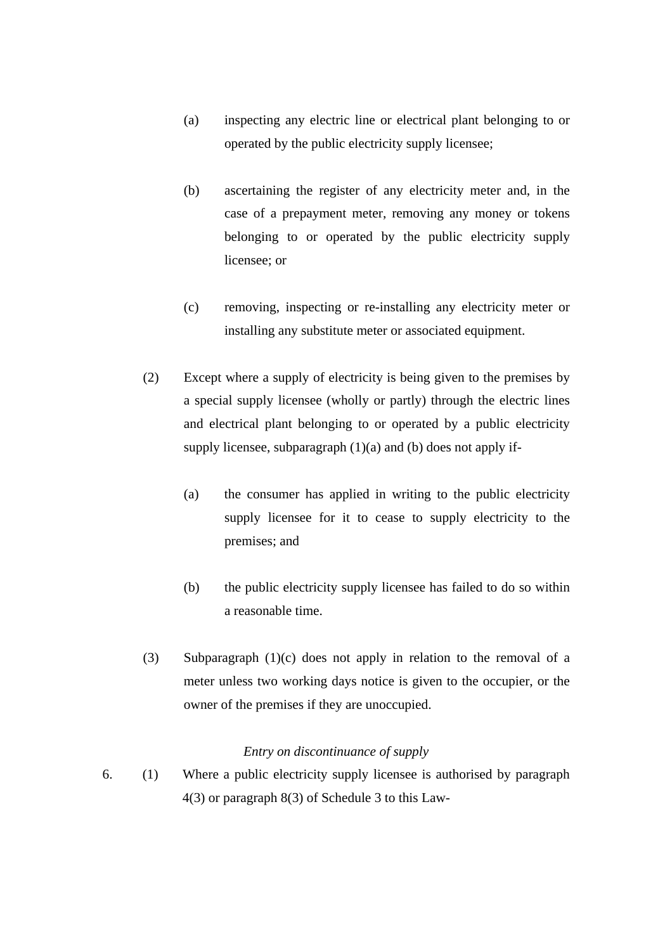- (a) inspecting any electric line or electrical plant belonging to or operated by the public electricity supply licensee;
- (b) ascertaining the register of any electricity meter and, in the case of a prepayment meter, removing any money or tokens belonging to or operated by the public electricity supply licensee; or
- (c) removing, inspecting or re-installing any electricity meter or installing any substitute meter or associated equipment.
- (2) Except where a supply of electricity is being given to the premises by a special supply licensee (wholly or partly) through the electric lines and electrical plant belonging to or operated by a public electricity supply licensee, subparagraph  $(1)(a)$  and  $(b)$  does not apply if-
	- (a) the consumer has applied in writing to the public electricity supply licensee for it to cease to supply electricity to the premises; and
	- (b) the public electricity supply licensee has failed to do so within a reasonable time.
- (3) Subparagraph (1)(c) does not apply in relation to the removal of a meter unless two working days notice is given to the occupier, or the owner of the premises if they are unoccupied.

# *Entry on discontinuance of supply*

6. (1) Where a public electricity supply licensee is authorised by paragraph 4(3) or paragraph 8(3) of Schedule 3 to this Law-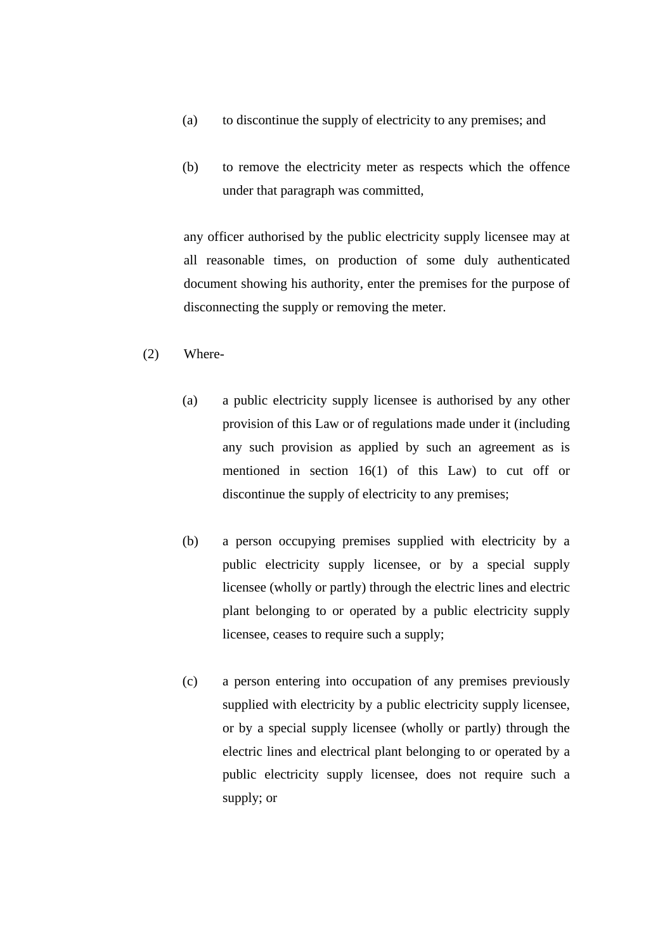- (a) to discontinue the supply of electricity to any premises; and
- (b) to remove the electricity meter as respects which the offence under that paragraph was committed,

 any officer authorised by the public electricity supply licensee may at all reasonable times, on production of some duly authenticated document showing his authority, enter the premises for the purpose of disconnecting the supply or removing the meter.

- (2) Where-
	- (a) a public electricity supply licensee is authorised by any other provision of this Law or of regulations made under it (including any such provision as applied by such an agreement as is mentioned in section 16(1) of this Law) to cut off or discontinue the supply of electricity to any premises;
	- (b) a person occupying premises supplied with electricity by a public electricity supply licensee, or by a special supply licensee (wholly or partly) through the electric lines and electric plant belonging to or operated by a public electricity supply licensee, ceases to require such a supply;
	- (c) a person entering into occupation of any premises previously supplied with electricity by a public electricity supply licensee, or by a special supply licensee (wholly or partly) through the electric lines and electrical plant belonging to or operated by a public electricity supply licensee, does not require such a supply; or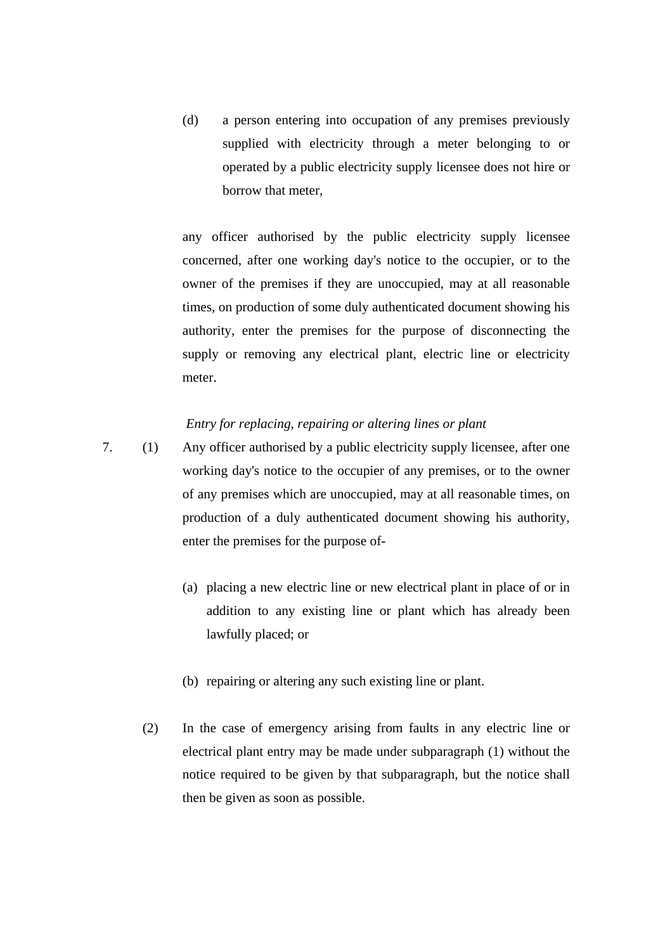(d) a person entering into occupation of any premises previously supplied with electricity through a meter belonging to or operated by a public electricity supply licensee does not hire or borrow that meter,

 any officer authorised by the public electricity supply licensee concerned, after one working day's notice to the occupier, or to the owner of the premises if they are unoccupied, may at all reasonable times, on production of some duly authenticated document showing his authority, enter the premises for the purpose of disconnecting the supply or removing any electrical plant, electric line or electricity meter.

### *Entry for replacing, repairing or altering lines or plant*

- 7. (1) Any officer authorised by a public electricity supply licensee, after one working day's notice to the occupier of any premises, or to the owner of any premises which are unoccupied, may at all reasonable times, on production of a duly authenticated document showing his authority, enter the premises for the purpose of-
	- (a) placing a new electric line or new electrical plant in place of or in addition to any existing line or plant which has already been lawfully placed; or
	- (b) repairing or altering any such existing line or plant.
	- (2) In the case of emergency arising from faults in any electric line or electrical plant entry may be made under subparagraph (1) without the notice required to be given by that subparagraph, but the notice shall then be given as soon as possible.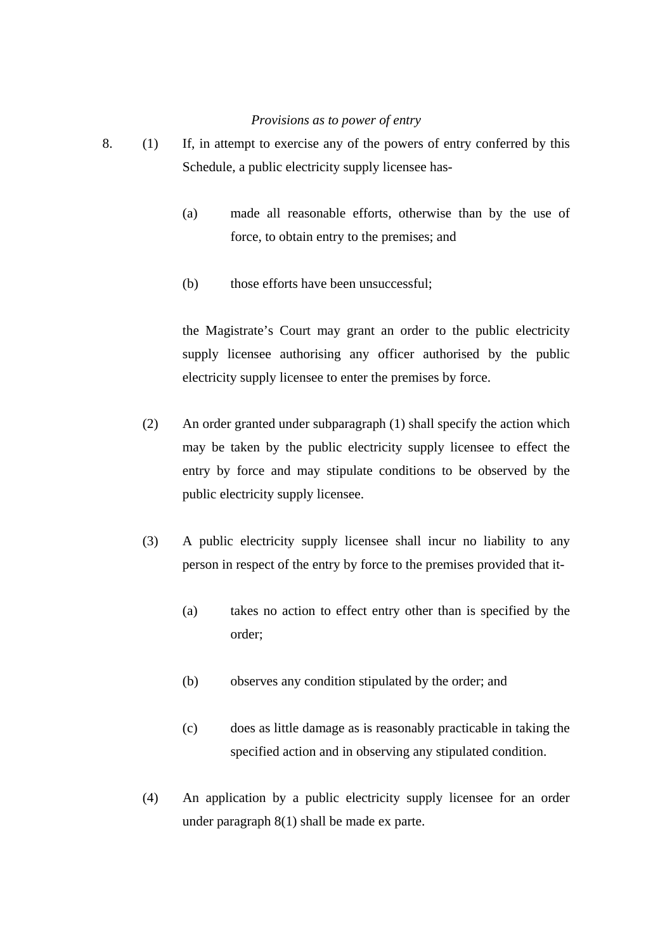### *Provisions as to power of entry*

- 8. (1) If, in attempt to exercise any of the powers of entry conferred by this Schedule, a public electricity supply licensee has-
	- (a) made all reasonable efforts, otherwise than by the use of force, to obtain entry to the premises; and
	- (b) those efforts have been unsuccessful;

 the Magistrate's Court may grant an order to the public electricity supply licensee authorising any officer authorised by the public electricity supply licensee to enter the premises by force.

- (2) An order granted under subparagraph (1) shall specify the action which may be taken by the public electricity supply licensee to effect the entry by force and may stipulate conditions to be observed by the public electricity supply licensee.
- (3) A public electricity supply licensee shall incur no liability to any person in respect of the entry by force to the premises provided that it-
	- (a) takes no action to effect entry other than is specified by the order;
	- (b) observes any condition stipulated by the order; and
	- (c) does as little damage as is reasonably practicable in taking the specified action and in observing any stipulated condition.
- (4) An application by a public electricity supply licensee for an order under paragraph 8(1) shall be made ex parte.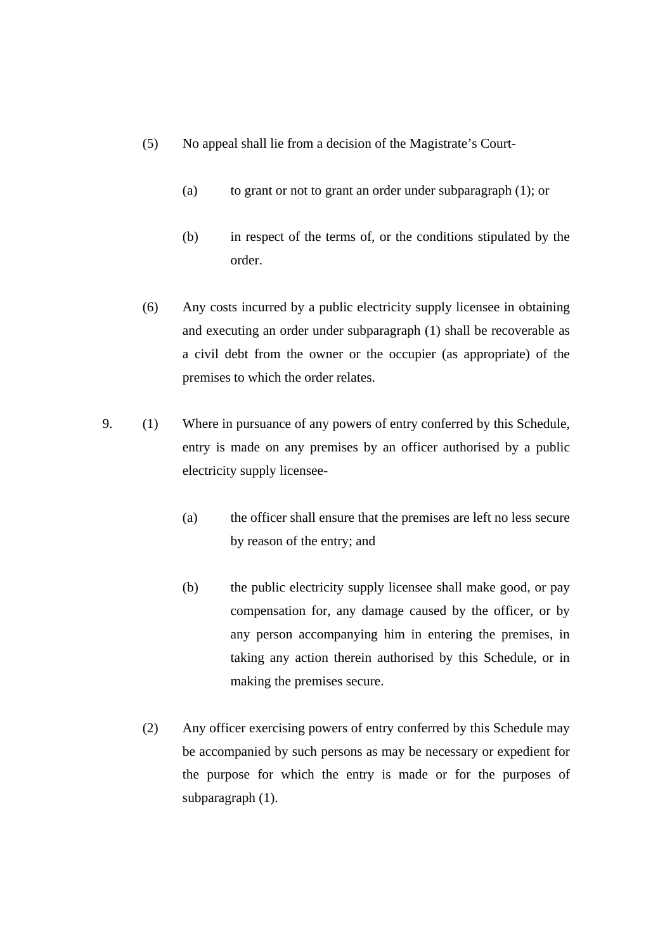- (5) No appeal shall lie from a decision of the Magistrate's Court-
	- (a) to grant or not to grant an order under subparagraph (1); or
	- (b) in respect of the terms of, or the conditions stipulated by the order.
- (6) Any costs incurred by a public electricity supply licensee in obtaining and executing an order under subparagraph (1) shall be recoverable as a civil debt from the owner or the occupier (as appropriate) of the premises to which the order relates.
- 9. (1) Where in pursuance of any powers of entry conferred by this Schedule, entry is made on any premises by an officer authorised by a public electricity supply licensee-
	- (a) the officer shall ensure that the premises are left no less secure by reason of the entry; and
	- (b) the public electricity supply licensee shall make good, or pay compensation for, any damage caused by the officer, or by any person accompanying him in entering the premises, in taking any action therein authorised by this Schedule, or in making the premises secure.
	- (2) Any officer exercising powers of entry conferred by this Schedule may be accompanied by such persons as may be necessary or expedient for the purpose for which the entry is made or for the purposes of subparagraph (1).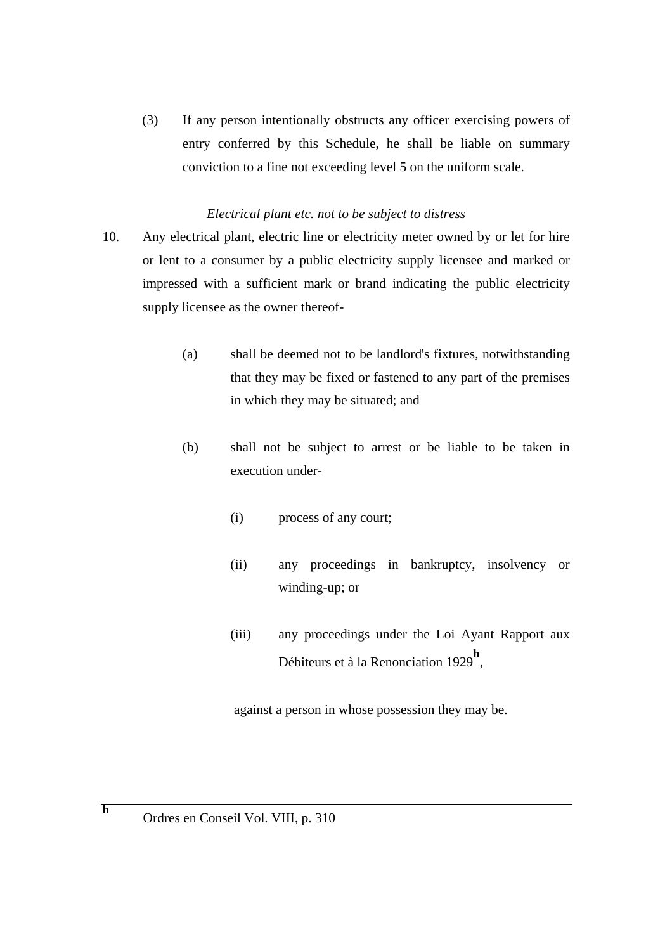(3) If any person intentionally obstructs any officer exercising powers of entry conferred by this Schedule, he shall be liable on summary conviction to a fine not exceeding level 5 on the uniform scale.

# *Electrical plant etc. not to be subject to distress*

- 10. Any electrical plant, electric line or electricity meter owned by or let for hire or lent to a consumer by a public electricity supply licensee and marked or impressed with a sufficient mark or brand indicating the public electricity supply licensee as the owner thereof-
	- (a) shall be deemed not to be landlord's fixtures, notwithstanding that they may be fixed or fastened to any part of the premises in which they may be situated; and
	- (b) shall not be subject to arrest or be liable to be taken in execution under-
		- (i) process of any court;
		- (ii) any proceedings in bankruptcy, insolvency or winding-up; or
		- (iii) any proceedings under the Loi Ayant Rapport aux Débiteurs et à la Renonciation 1929**<sup>h</sup>** ,

against a person in whose possession they may be.

**h**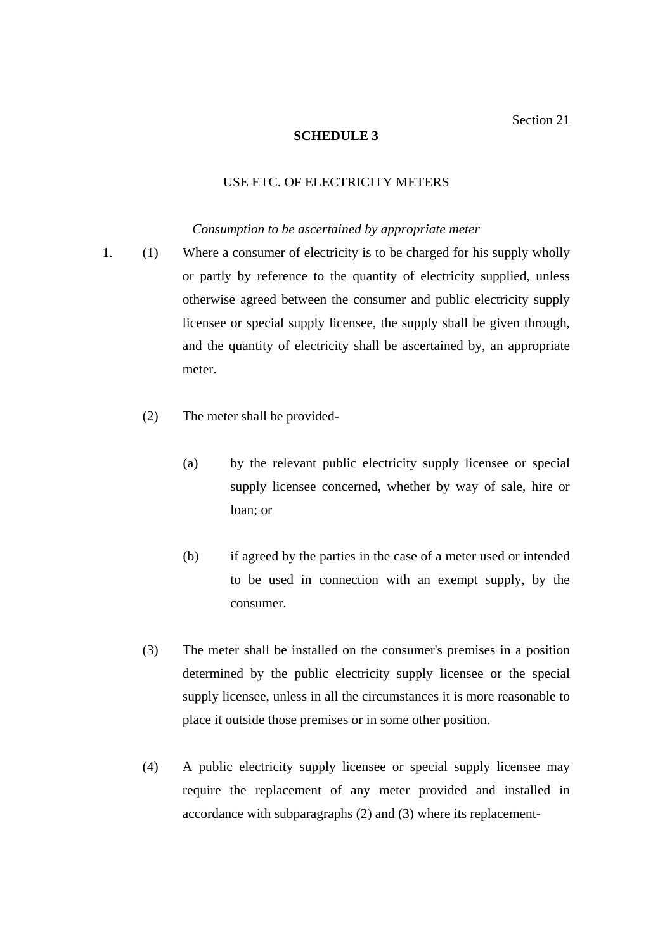Section 21

#### **SCHEDULE 3**

## USE ETC. OF ELECTRICITY METERS

*Consumption to be ascertained by appropriate meter* 

1. (1) Where a consumer of electricity is to be charged for his supply wholly or partly by reference to the quantity of electricity supplied, unless otherwise agreed between the consumer and public electricity supply licensee or special supply licensee, the supply shall be given through, and the quantity of electricity shall be ascertained by, an appropriate meter.

- (2) The meter shall be provided-
	- (a) by the relevant public electricity supply licensee or special supply licensee concerned, whether by way of sale, hire or loan; or
	- (b) if agreed by the parties in the case of a meter used or intended to be used in connection with an exempt supply, by the consumer.
- (3) The meter shall be installed on the consumer's premises in a position determined by the public electricity supply licensee or the special supply licensee, unless in all the circumstances it is more reasonable to place it outside those premises or in some other position.
- (4) A public electricity supply licensee or special supply licensee may require the replacement of any meter provided and installed in accordance with subparagraphs (2) and (3) where its replacement-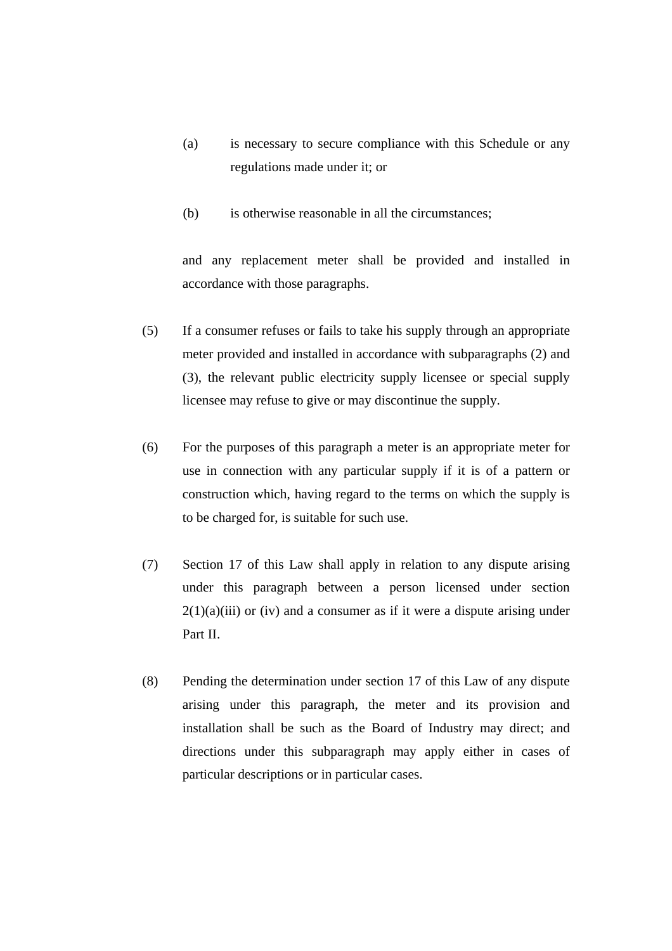- (a) is necessary to secure compliance with this Schedule or any regulations made under it; or
- (b) is otherwise reasonable in all the circumstances;

and any replacement meter shall be provided and installed in accordance with those paragraphs.

- (5) If a consumer refuses or fails to take his supply through an appropriate meter provided and installed in accordance with subparagraphs (2) and (3), the relevant public electricity supply licensee or special supply licensee may refuse to give or may discontinue the supply.
- (6) For the purposes of this paragraph a meter is an appropriate meter for use in connection with any particular supply if it is of a pattern or construction which, having regard to the terms on which the supply is to be charged for, is suitable for such use.
- (7) Section 17 of this Law shall apply in relation to any dispute arising under this paragraph between a person licensed under section  $2(1)(a)(iii)$  or (iv) and a consumer as if it were a dispute arising under Part II.
- (8) Pending the determination under section 17 of this Law of any dispute arising under this paragraph, the meter and its provision and installation shall be such as the Board of Industry may direct; and directions under this subparagraph may apply either in cases of particular descriptions or in particular cases.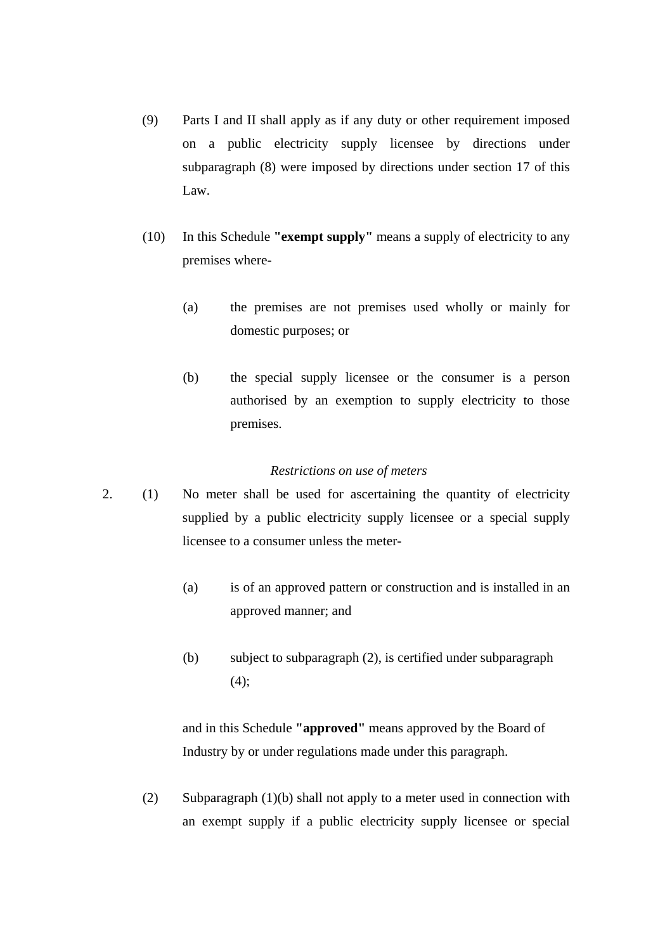- (9) Parts I and II shall apply as if any duty or other requirement imposed on a public electricity supply licensee by directions under subparagraph (8) were imposed by directions under section 17 of this Law.
- (10) In this Schedule **"exempt supply"** means a supply of electricity to any premises where-
	- (a) the premises are not premises used wholly or mainly for domestic purposes; or
	- (b) the special supply licensee or the consumer is a person authorised by an exemption to supply electricity to those premises.

### *Restrictions on use of meters*

- 2. (1) No meter shall be used for ascertaining the quantity of electricity supplied by a public electricity supply licensee or a special supply licensee to a consumer unless the meter-
	- (a) is of an approved pattern or construction and is installed in an approved manner; and
	- (b) subject to subparagraph (2), is certified under subparagraph (4);

 and in this Schedule **"approved"** means approved by the Board of Industry by or under regulations made under this paragraph.

 (2) Subparagraph (1)(b) shall not apply to a meter used in connection with an exempt supply if a public electricity supply licensee or special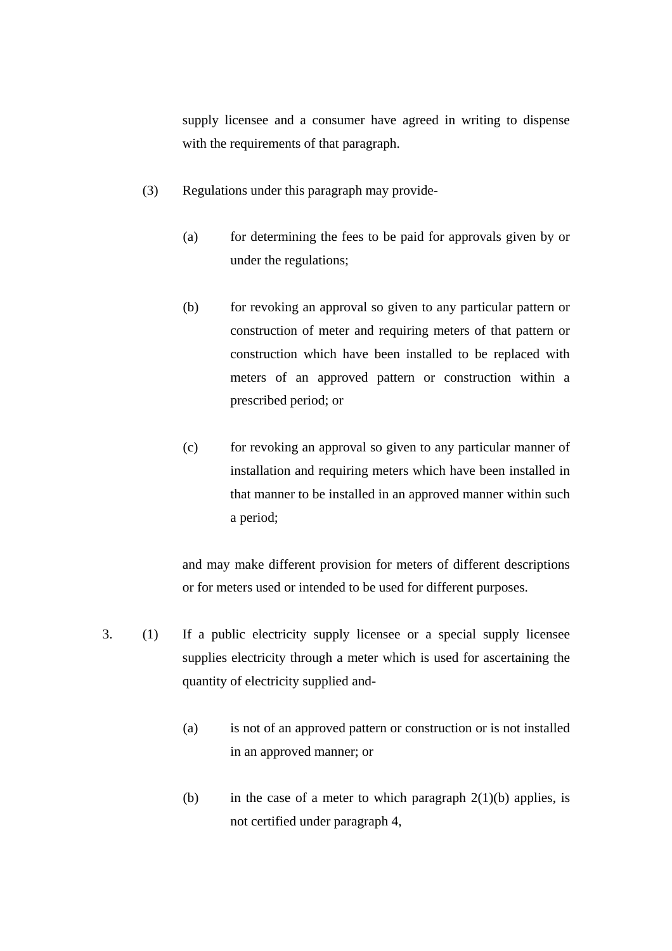supply licensee and a consumer have agreed in writing to dispense with the requirements of that paragraph.

- (3) Regulations under this paragraph may provide-
	- (a) for determining the fees to be paid for approvals given by or under the regulations;
	- (b) for revoking an approval so given to any particular pattern or construction of meter and requiring meters of that pattern or construction which have been installed to be replaced with meters of an approved pattern or construction within a prescribed period; or
	- (c) for revoking an approval so given to any particular manner of installation and requiring meters which have been installed in that manner to be installed in an approved manner within such a period;

 and may make different provision for meters of different descriptions or for meters used or intended to be used for different purposes.

- 3. (1) If a public electricity supply licensee or a special supply licensee supplies electricity through a meter which is used for ascertaining the quantity of electricity supplied and-
	- (a) is not of an approved pattern or construction or is not installed in an approved manner; or
	- (b) in the case of a meter to which paragraph  $2(1)(b)$  applies, is not certified under paragraph 4,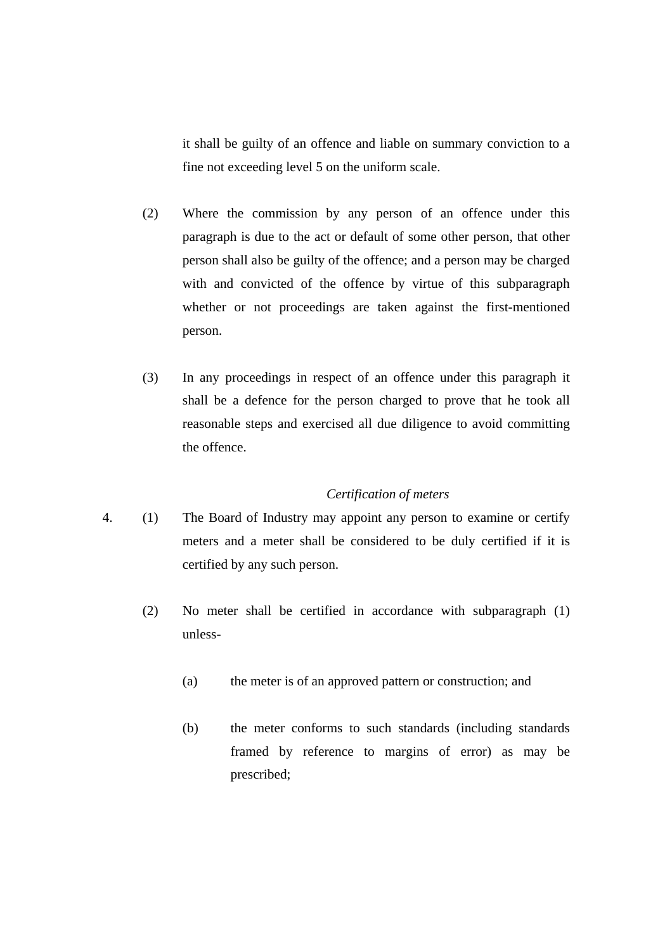it shall be guilty of an offence and liable on summary conviction to a fine not exceeding level 5 on the uniform scale.

- (2) Where the commission by any person of an offence under this paragraph is due to the act or default of some other person, that other person shall also be guilty of the offence; and a person may be charged with and convicted of the offence by virtue of this subparagraph whether or not proceedings are taken against the first-mentioned person.
- (3) In any proceedings in respect of an offence under this paragraph it shall be a defence for the person charged to prove that he took all reasonable steps and exercised all due diligence to avoid committing the offence.

### *Certification of meters*

- 4. (1) The Board of Industry may appoint any person to examine or certify meters and a meter shall be considered to be duly certified if it is certified by any such person.
	- (2) No meter shall be certified in accordance with subparagraph (1) unless-
		- (a) the meter is of an approved pattern or construction; and
		- (b) the meter conforms to such standards (including standards framed by reference to margins of error) as may be prescribed;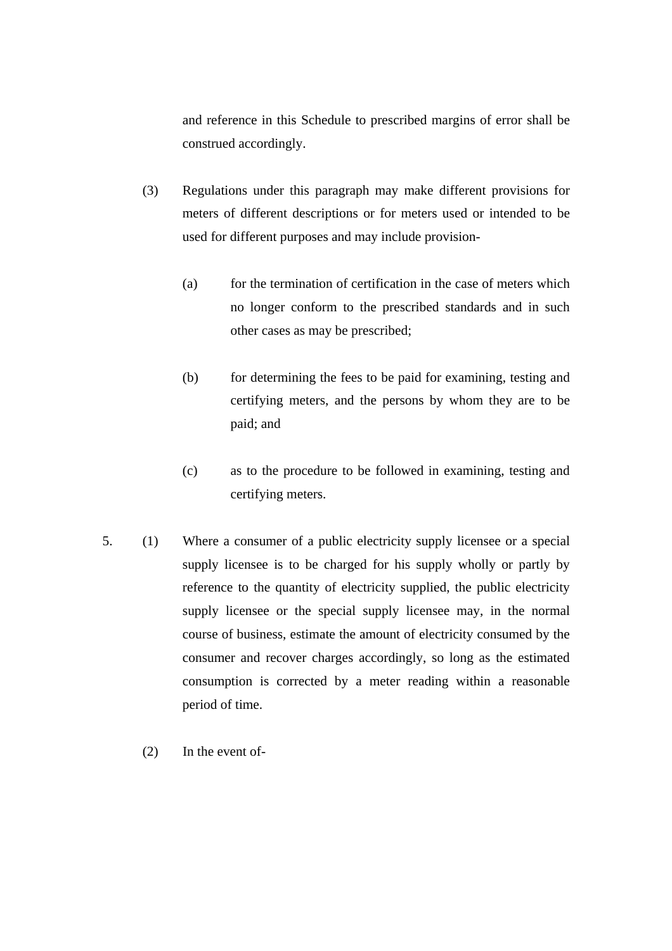and reference in this Schedule to prescribed margins of error shall be construed accordingly.

- (3) Regulations under this paragraph may make different provisions for meters of different descriptions or for meters used or intended to be used for different purposes and may include provision-
	- (a) for the termination of certification in the case of meters which no longer conform to the prescribed standards and in such other cases as may be prescribed;
	- (b) for determining the fees to be paid for examining, testing and certifying meters, and the persons by whom they are to be paid; and
	- (c) as to the procedure to be followed in examining, testing and certifying meters.
- 5. (1) Where a consumer of a public electricity supply licensee or a special supply licensee is to be charged for his supply wholly or partly by reference to the quantity of electricity supplied, the public electricity supply licensee or the special supply licensee may, in the normal course of business, estimate the amount of electricity consumed by the consumer and recover charges accordingly, so long as the estimated consumption is corrected by a meter reading within a reasonable period of time.
	- (2) In the event of-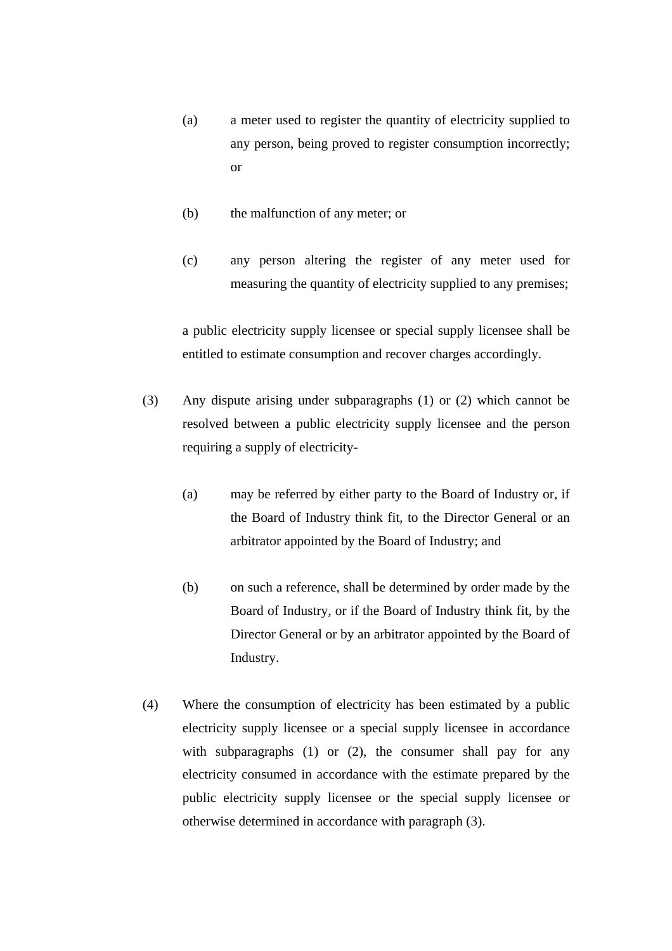- (a) a meter used to register the quantity of electricity supplied to any person, being proved to register consumption incorrectly; or
- (b) the malfunction of any meter; or
- (c) any person altering the register of any meter used for measuring the quantity of electricity supplied to any premises;

 a public electricity supply licensee or special supply licensee shall be entitled to estimate consumption and recover charges accordingly.

- (3) Any dispute arising under subparagraphs (1) or (2) which cannot be resolved between a public electricity supply licensee and the person requiring a supply of electricity-
	- (a) may be referred by either party to the Board of Industry or, if the Board of Industry think fit, to the Director General or an arbitrator appointed by the Board of Industry; and
	- (b) on such a reference, shall be determined by order made by the Board of Industry, or if the Board of Industry think fit, by the Director General or by an arbitrator appointed by the Board of Industry.
- (4) Where the consumption of electricity has been estimated by a public electricity supply licensee or a special supply licensee in accordance with subparagraphs (1) or (2), the consumer shall pay for any electricity consumed in accordance with the estimate prepared by the public electricity supply licensee or the special supply licensee or otherwise determined in accordance with paragraph (3).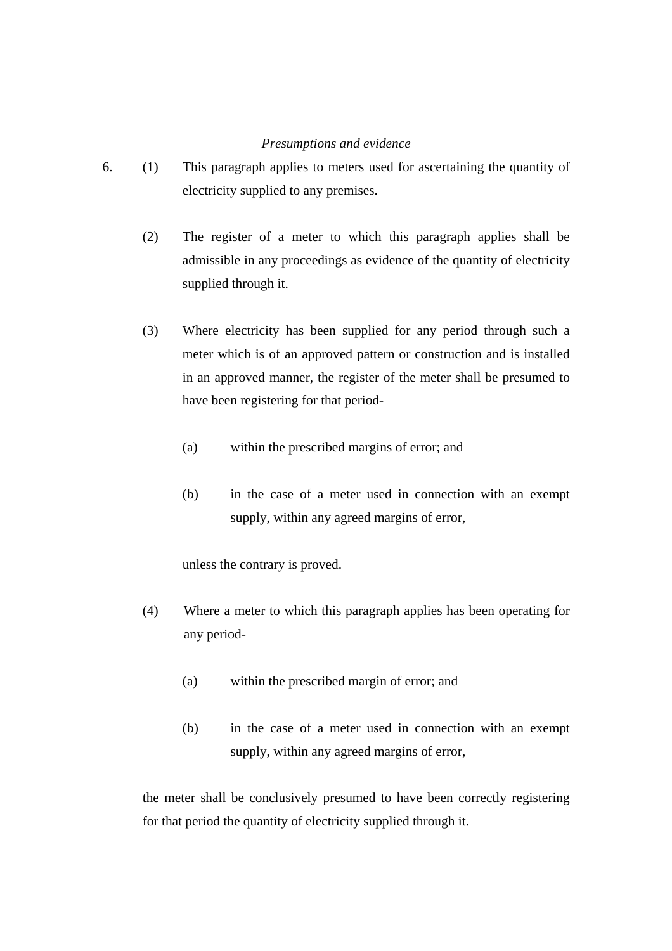# *Presumptions and evidence*

- 6. (1) This paragraph applies to meters used for ascertaining the quantity of electricity supplied to any premises.
	- (2) The register of a meter to which this paragraph applies shall be admissible in any proceedings as evidence of the quantity of electricity supplied through it.
	- (3) Where electricity has been supplied for any period through such a meter which is of an approved pattern or construction and is installed in an approved manner, the register of the meter shall be presumed to have been registering for that period-
		- (a) within the prescribed margins of error; and
		- (b) in the case of a meter used in connection with an exempt supply, within any agreed margins of error,

unless the contrary is proved.

- (4) Where a meter to which this paragraph applies has been operating for any period-
	- (a) within the prescribed margin of error; and
	- (b) in the case of a meter used in connection with an exempt supply, within any agreed margins of error,

 the meter shall be conclusively presumed to have been correctly registering for that period the quantity of electricity supplied through it.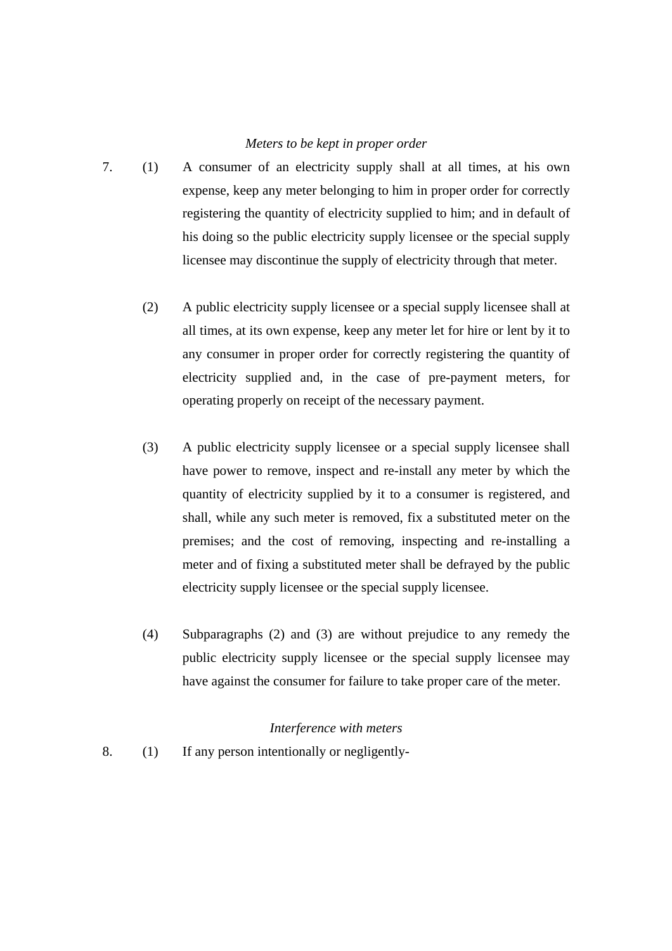# *Meters to be kept in proper order*

- 7. (1) A consumer of an electricity supply shall at all times, at his own expense, keep any meter belonging to him in proper order for correctly registering the quantity of electricity supplied to him; and in default of his doing so the public electricity supply licensee or the special supply licensee may discontinue the supply of electricity through that meter.
	- (2) A public electricity supply licensee or a special supply licensee shall at all times, at its own expense, keep any meter let for hire or lent by it to any consumer in proper order for correctly registering the quantity of electricity supplied and, in the case of pre-payment meters, for operating properly on receipt of the necessary payment.
	- (3) A public electricity supply licensee or a special supply licensee shall have power to remove, inspect and re-install any meter by which the quantity of electricity supplied by it to a consumer is registered, and shall, while any such meter is removed, fix a substituted meter on the premises; and the cost of removing, inspecting and re-installing a meter and of fixing a substituted meter shall be defrayed by the public electricity supply licensee or the special supply licensee.
	- (4) Subparagraphs (2) and (3) are without prejudice to any remedy the public electricity supply licensee or the special supply licensee may have against the consumer for failure to take proper care of the meter.

### *Interference with meters*

8. (1) If any person intentionally or negligently-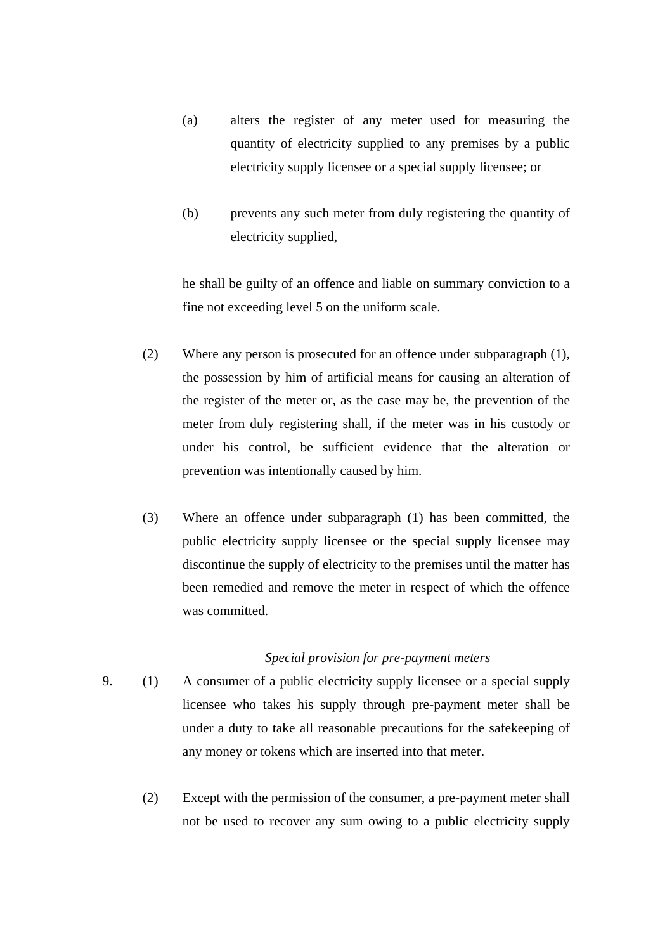- (a) alters the register of any meter used for measuring the quantity of electricity supplied to any premises by a public electricity supply licensee or a special supply licensee; or
- (b) prevents any such meter from duly registering the quantity of electricity supplied,

he shall be guilty of an offence and liable on summary conviction to a fine not exceeding level 5 on the uniform scale.

- (2) Where any person is prosecuted for an offence under subparagraph (1), the possession by him of artificial means for causing an alteration of the register of the meter or, as the case may be, the prevention of the meter from duly registering shall, if the meter was in his custody or under his control, be sufficient evidence that the alteration or prevention was intentionally caused by him.
- (3) Where an offence under subparagraph (1) has been committed, the public electricity supply licensee or the special supply licensee may discontinue the supply of electricity to the premises until the matter has been remedied and remove the meter in respect of which the offence was committed.

# *Special provision for pre-payment meters*

- 9. (1) A consumer of a public electricity supply licensee or a special supply licensee who takes his supply through pre-payment meter shall be under a duty to take all reasonable precautions for the safekeeping of any money or tokens which are inserted into that meter.
	- (2) Except with the permission of the consumer, a pre-payment meter shall not be used to recover any sum owing to a public electricity supply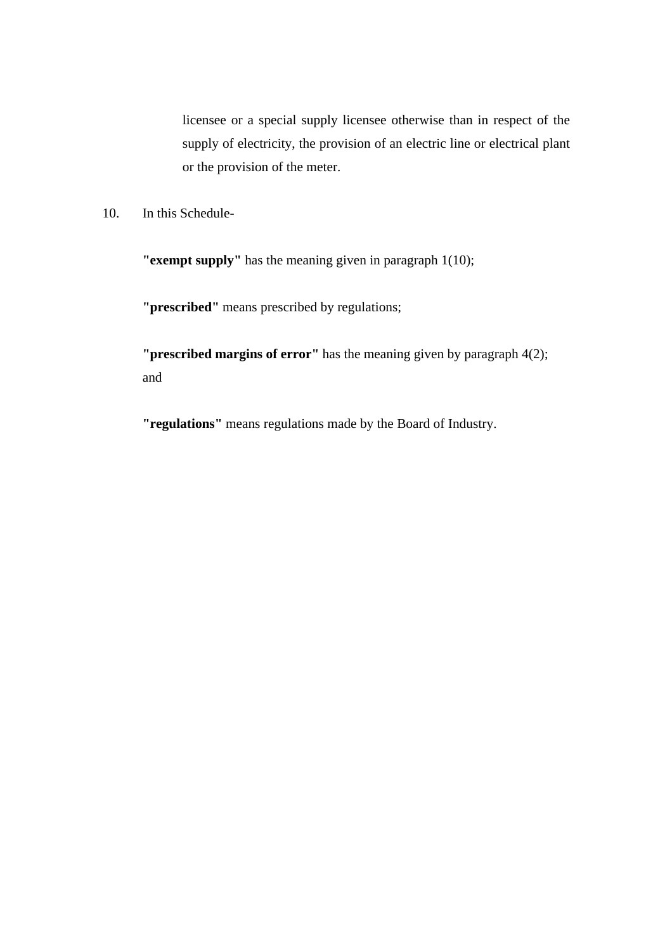licensee or a special supply licensee otherwise than in respect of the supply of electricity, the provision of an electric line or electrical plant or the provision of the meter.

10. In this Schedule-

**"exempt supply"** has the meaning given in paragraph 1(10);

**"prescribed"** means prescribed by regulations;

**"prescribed margins of error"** has the meaning given by paragraph 4(2); and

**"regulations"** means regulations made by the Board of Industry.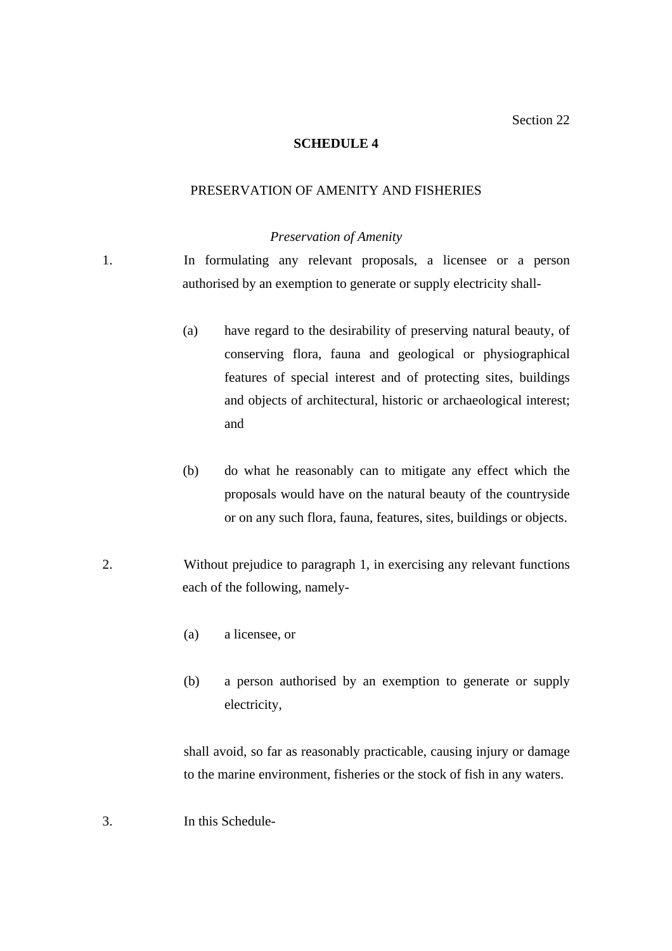Section 22

### **SCHEDULE 4**

#### PRESERVATION OF AMENITY AND FISHERIES

#### *Preservation of Amenity*

1. In formulating any relevant proposals, a licensee or a person authorised by an exemption to generate or supply electricity shall-

- (a) have regard to the desirability of preserving natural beauty, of conserving flora, fauna and geological or physiographical features of special interest and of protecting sites, buildings and objects of architectural, historic or archaeological interest; and
- (b) do what he reasonably can to mitigate any effect which the proposals would have on the natural beauty of the countryside or on any such flora, fauna, features, sites, buildings or objects.
- 2. Without prejudice to paragraph 1, in exercising any relevant functions each of the following, namely-
	- (a) a licensee, or
	- (b) a person authorised by an exemption to generate or supply electricity,

shall avoid, so far as reasonably practicable, causing injury or damage to the marine environment, fisheries or the stock of fish in any waters.

# 3. In this Schedule-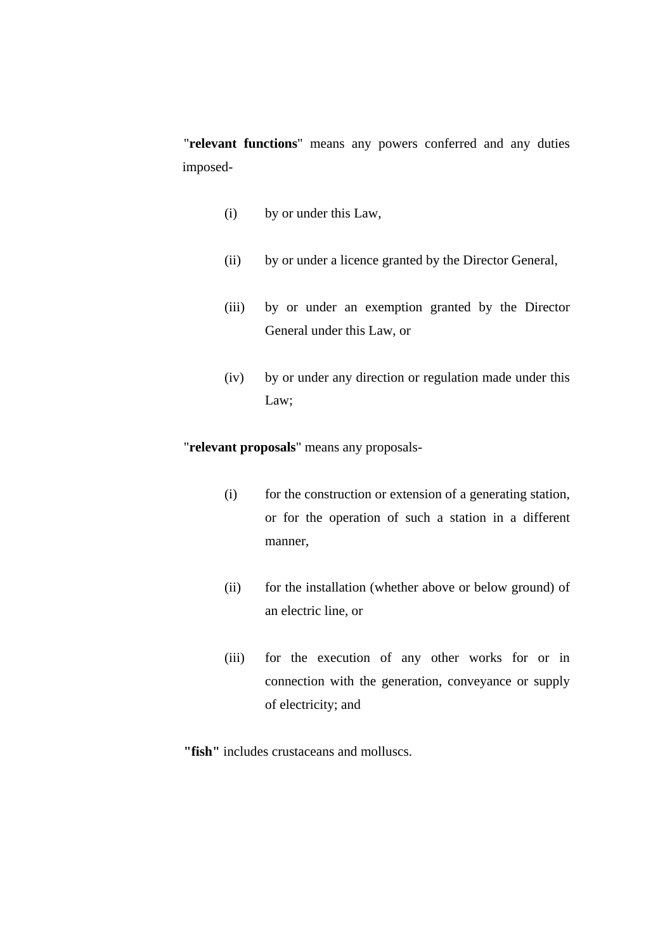"**relevant functions**" means any powers conferred and any duties imposed-

- (i) by or under this Law,
- (ii) by or under a licence granted by the Director General,
- (iii) by or under an exemption granted by the Director General under this Law, or
- (iv) by or under any direction or regulation made under this Law;

"**relevant proposals**" means any proposals-

- (i) for the construction or extension of a generating station, or for the operation of such a station in a different manner,
- (ii) for the installation (whether above or below ground) of an electric line, or
- (iii) for the execution of any other works for or in connection with the generation, conveyance or supply of electricity; and

**"fish"** includes crustaceans and molluscs.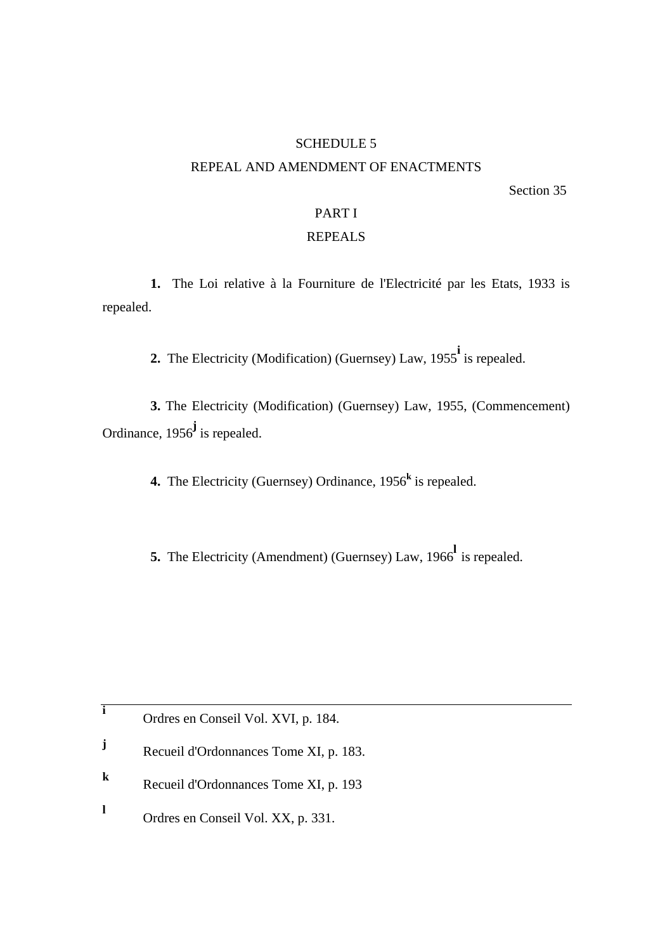### SCHEDULE 5

### REPEAL AND AMENDMENT OF ENACTMENTS

Section 35

# PART I REPEALS

**1.** The Loi relative à la Fourniture de l'Electricité par les Etats, 1933 is repealed.

**2.** The Electricity (Modification) (Guernsey) Law, 1955**<sup>i</sup>** is repealed.

**3.** The Electricity (Modification) (Guernsey) Law, 1955, (Commencement) Ordinance, 1956**<sup>j</sup>** is repealed.

**4.** The Electricity (Guernsey) Ordinance, 1956**<sup>k</sup>** is repealed.

**5.** The Electricity (Amendment) (Guernsey) Law, 1966<sup>1</sup> is repealed.

**i** Ordres en Conseil Vol. XVI, p. 184.

- **j** Recueil d'Ordonnances Tome XI, p. 183.
- **k** Recueil d'Ordonnances Tome XI, p. 193
- **l** Ordres en Conseil Vol. XX, p. 331.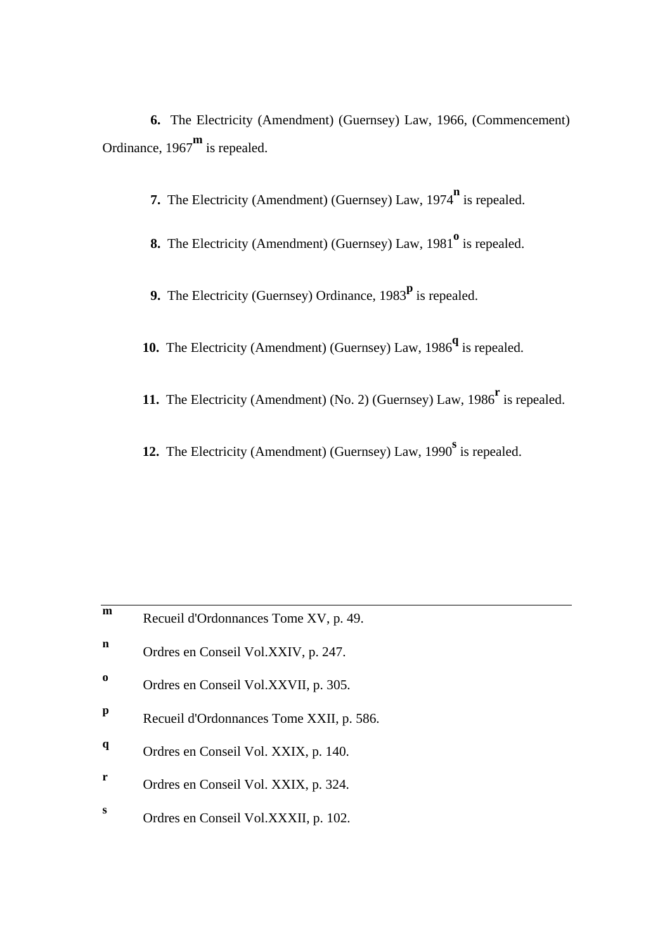**6.** The Electricity (Amendment) (Guernsey) Law, 1966, (Commencement) Ordinance, 1967**m** is repealed.

**7.** The Electricity (Amendment) (Guernsey) Law, 1974**<sup>n</sup>** is repealed.

**8.** The Electricity (Amendment) (Guernsey) Law, 1981<sup>°</sup> is repealed.

**9.** The Electricity (Guernsey) Ordinance, 1983<sup>P</sup> is repealed.

**10.** The Electricity (Amendment) (Guernsey) Law, 1986<sup>q</sup> is repealed.

**11.** The Electricity (Amendment) (No. 2) (Guernsey) Law, 1986**<sup>r</sup>** is repealed.

**12.** The Electricity (Amendment) (Guernsey) Law, 1990<sup>8</sup> is repealed.

| m           | Recueil d'Ordonnances Tome XV, p. 49.    |
|-------------|------------------------------------------|
| $\mathbf n$ | Ordres en Conseil Vol.XXIV, p. 247.      |
| $\bf{0}$    | Ordres en Conseil Vol.XXVII, p. 305.     |
| p           | Recueil d'Ordonnances Tome XXII, p. 586. |
| q           | Ordres en Conseil Vol. XXIX, p. 140.     |
| r           | Ordres en Conseil Vol. XXIX, p. 324.     |
| S           | Ordres en Conseil Vol.XXXII, p. 102.     |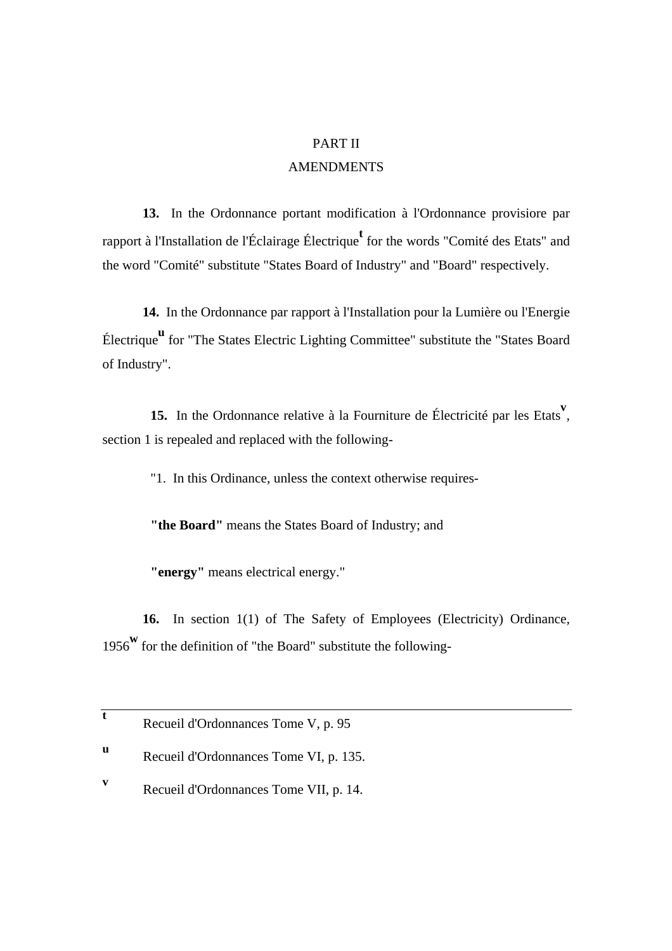# PART II

# **AMENDMENTS**

**13.** In the Ordonnance portant modification à l'Ordonnance provisiore par rapport à l'Installation de l'Éclairage Électrique**<sup>t</sup>** for the words "Comité des Etats" and the word "Comité" substitute "States Board of Industry" and "Board" respectively.

**14.** In the Ordonnance par rapport à l'Installation pour la Lumière ou l'Energie Électrique**<sup>u</sup>** for "The States Electric Lighting Committee" substitute the "States Board of Industry".

**15.** In the Ordonnance relative à la Fourniture de Électricité par les Etats<sup>v</sup>, section 1 is repealed and replaced with the following-

"1. In this Ordinance, unless the context otherwise requires-

**"the Board"** means the States Board of Industry; and

**"energy"** means electrical energy."

**16.** In section 1(1) of The Safety of Employees (Electricity) Ordinance, 1956**w** for the definition of "the Board" substitute the following-

Recueil d'Ordonnances Tome V, p. 95

**t**

- **u** Recueil d'Ordonnances Tome VI, p. 135.
- **v** Recueil d'Ordonnances Tome VII, p. 14.